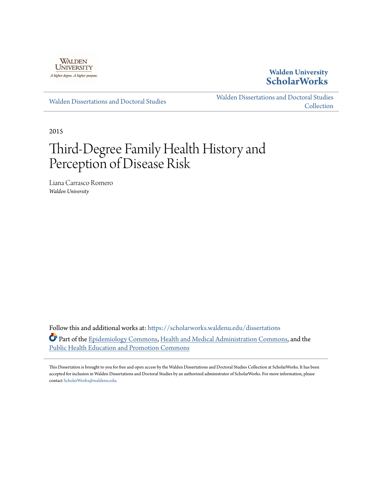

## **Walden University [ScholarWorks](https://scholarworks.waldenu.edu?utm_source=scholarworks.waldenu.edu%2Fdissertations%2F601&utm_medium=PDF&utm_campaign=PDFCoverPages)**

[Walden Dissertations and Doctoral Studies](https://scholarworks.waldenu.edu/dissertations?utm_source=scholarworks.waldenu.edu%2Fdissertations%2F601&utm_medium=PDF&utm_campaign=PDFCoverPages)

[Walden Dissertations and Doctoral Studies](https://scholarworks.waldenu.edu/dissanddoc?utm_source=scholarworks.waldenu.edu%2Fdissertations%2F601&utm_medium=PDF&utm_campaign=PDFCoverPages) **[Collection](https://scholarworks.waldenu.edu/dissanddoc?utm_source=scholarworks.waldenu.edu%2Fdissertations%2F601&utm_medium=PDF&utm_campaign=PDFCoverPages)** 

2015

# Third-Degree Family Health History and Perception of Disease Risk

Liana Carrasco Romero *Walden University*

Follow this and additional works at: [https://scholarworks.waldenu.edu/dissertations](https://scholarworks.waldenu.edu/dissertations?utm_source=scholarworks.waldenu.edu%2Fdissertations%2F601&utm_medium=PDF&utm_campaign=PDFCoverPages) Part of the [Epidemiology Commons](http://network.bepress.com/hgg/discipline/740?utm_source=scholarworks.waldenu.edu%2Fdissertations%2F601&utm_medium=PDF&utm_campaign=PDFCoverPages), [Health and Medical Administration Commons](http://network.bepress.com/hgg/discipline/663?utm_source=scholarworks.waldenu.edu%2Fdissertations%2F601&utm_medium=PDF&utm_campaign=PDFCoverPages), and the [Public Health Education and Promotion Commons](http://network.bepress.com/hgg/discipline/743?utm_source=scholarworks.waldenu.edu%2Fdissertations%2F601&utm_medium=PDF&utm_campaign=PDFCoverPages)

This Dissertation is brought to you for free and open access by the Walden Dissertations and Doctoral Studies Collection at ScholarWorks. It has been accepted for inclusion in Walden Dissertations and Doctoral Studies by an authorized administrator of ScholarWorks. For more information, please contact [ScholarWorks@waldenu.edu](mailto:ScholarWorks@waldenu.edu).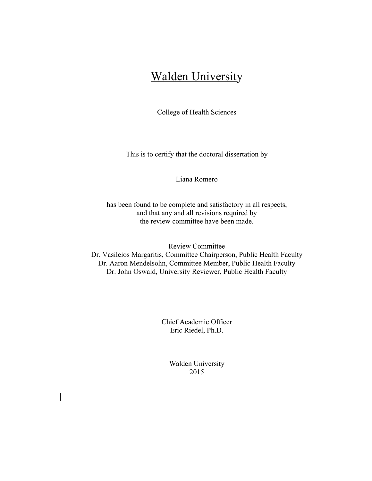## Walden University

College of Health Sciences

This is to certify that the doctoral dissertation by

Liana Romero

has been found to be complete and satisfactory in all respects, and that any and all revisions required by the review committee have been made.

Review Committee Dr. Vasileios Margaritis, Committee Chairperson, Public Health Faculty Dr. Aaron Mendelsohn, Committee Member, Public Health Faculty Dr. John Oswald, University Reviewer, Public Health Faculty

> Chief Academic Officer Eric Riedel, Ph.D.

Walden University 2015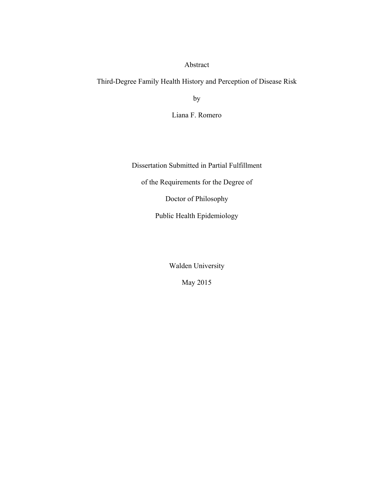Abstract

Third-Degree Family Health History and Perception of Disease Risk

by

Liana F. Romero

Dissertation Submitted in Partial Fulfillment of the Requirements for the Degree of Doctor of Philosophy Public Health Epidemiology

Walden University

May 2015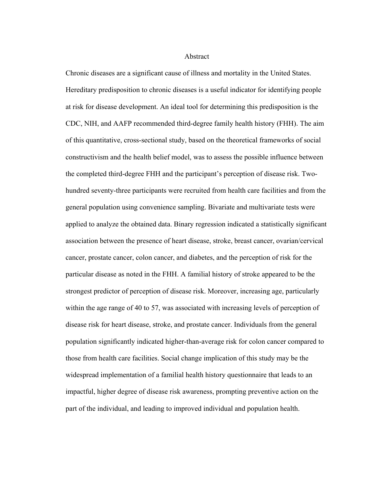Abstract

Chronic diseases are a significant cause of illness and mortality in the United States. Hereditary predisposition to chronic diseases is a useful indicator for identifying people at risk for disease development. An ideal tool for determining this predisposition is the CDC, NIH, and AAFP recommended third-degree family health history (FHH). The aim of this quantitative, cross-sectional study, based on the theoretical frameworks of social constructivism and the health belief model, was to assess the possible influence between the completed third-degree FHH and the participant's perception of disease risk. Twohundred seventy-three participants were recruited from health care facilities and from the general population using convenience sampling. Bivariate and multivariate tests were applied to analyze the obtained data. Binary regression indicated a statistically significant association between the presence of heart disease, stroke, breast cancer, ovarian/cervical cancer, prostate cancer, colon cancer, and diabetes, and the perception of risk for the particular disease as noted in the FHH. A familial history of stroke appeared to be the strongest predictor of perception of disease risk. Moreover, increasing age, particularly within the age range of 40 to 57, was associated with increasing levels of perception of disease risk for heart disease, stroke, and prostate cancer. Individuals from the general population significantly indicated higher-than-average risk for colon cancer compared to those from health care facilities. Social change implication of this study may be the widespread implementation of a familial health history questionnaire that leads to an impactful, higher degree of disease risk awareness, prompting preventive action on the part of the individual, and leading to improved individual and population health.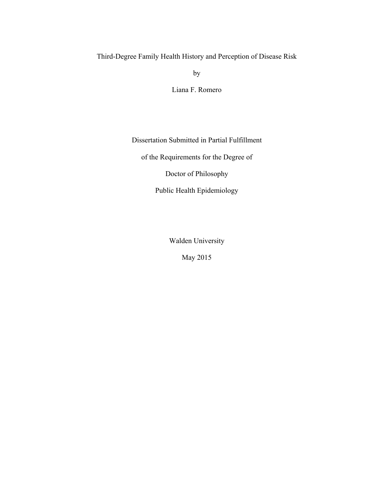## Third-Degree Family Health History and Perception of Disease Risk

by

Liana F. Romero

Dissertation Submitted in Partial Fulfillment

of the Requirements for the Degree of

Doctor of Philosophy

Public Health Epidemiology

Walden University

May 2015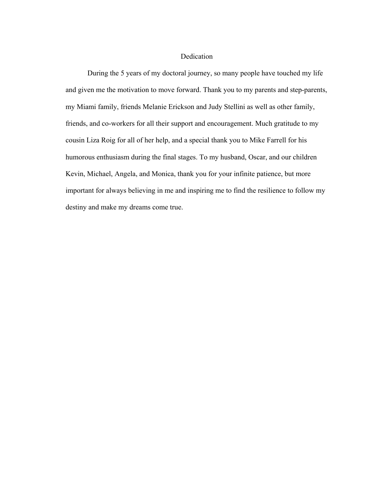#### Dedication

During the 5 years of my doctoral journey, so many people have touched my life and given me the motivation to move forward. Thank you to my parents and step-parents, my Miami family, friends Melanie Erickson and Judy Stellini as well as other family, friends, and co-workers for all their support and encouragement. Much gratitude to my cousin Liza Roig for all of her help, and a special thank you to Mike Farrell for his humorous enthusiasm during the final stages. To my husband, Oscar, and our children Kevin, Michael, Angela, and Monica, thank you for your infinite patience, but more important for always believing in me and inspiring me to find the resilience to follow my destiny and make my dreams come true.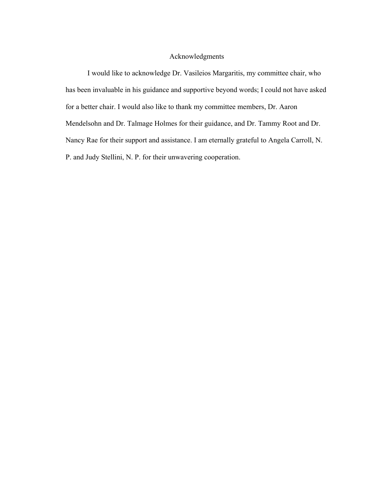### Acknowledgments

I would like to acknowledge Dr. Vasileios Margaritis, my committee chair, who has been invaluable in his guidance and supportive beyond words; I could not have asked for a better chair. I would also like to thank my committee members, Dr. Aaron Mendelsohn and Dr. Talmage Holmes for their guidance, and Dr. Tammy Root and Dr. Nancy Rae for their support and assistance. I am eternally grateful to Angela Carroll, N. P. and Judy Stellini, N. P. for their unwavering cooperation.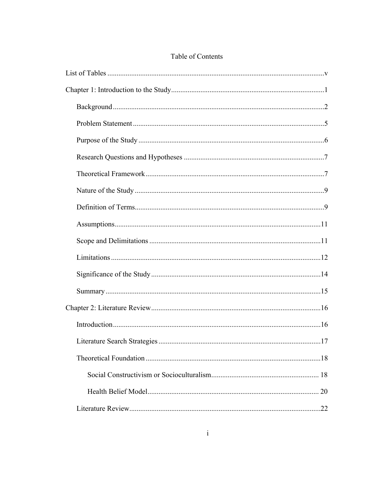## Table of Contents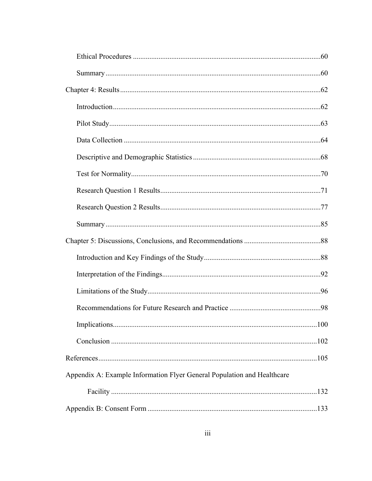| Appendix A: Example Information Flyer General Population and Healthcare |  |
|-------------------------------------------------------------------------|--|
|                                                                         |  |
|                                                                         |  |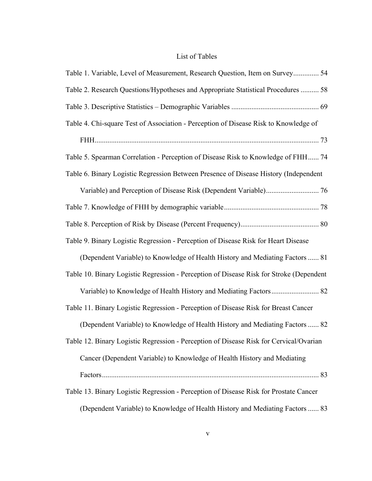## List of Tables

| Table 1. Variable, Level of Measurement, Research Question, Item on Survey 54           |
|-----------------------------------------------------------------------------------------|
| Table 2. Research Questions/Hypotheses and Appropriate Statistical Procedures  58       |
|                                                                                         |
| Table 4. Chi-square Test of Association - Perception of Disease Risk to Knowledge of    |
|                                                                                         |
| Table 5. Spearman Correlation - Perception of Disease Risk to Knowledge of FHH 74       |
| Table 6. Binary Logistic Regression Between Presence of Disease History (Independent    |
|                                                                                         |
|                                                                                         |
|                                                                                         |
| Table 9. Binary Logistic Regression - Perception of Disease Risk for Heart Disease      |
| (Dependent Variable) to Knowledge of Health History and Mediating Factors  81           |
| Table 10. Binary Logistic Regression - Perception of Disease Risk for Stroke (Dependent |
|                                                                                         |
| Table 11. Binary Logistic Regression - Perception of Disease Risk for Breast Cancer     |
| (Dependent Variable) to Knowledge of Health History and Mediating Factors  82           |
| Table 12. Binary Logistic Regression - Perception of Disease Risk for Cervical/Ovarian  |
| Cancer (Dependent Variable) to Knowledge of Health History and Mediating                |
|                                                                                         |
| Table 13. Binary Logistic Regression - Perception of Disease Risk for Prostate Cancer   |
| (Dependent Variable) to Knowledge of Health History and Mediating Factors  83           |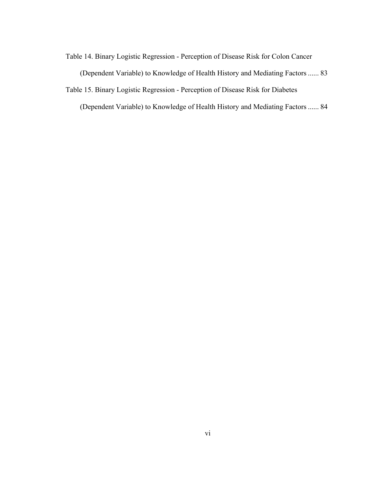Table 14. Binary Logistic Regression - Perception of Disease Risk for Colon Cancer

(Dependent Variable) to Knowledge of Health History and Mediating Factors ...... 83

Table 15. Binary Logistic Regression - Perception of Disease Risk for Diabetes

(Dependent Variable) to Knowledge of Health History and Mediating Factors ...... 84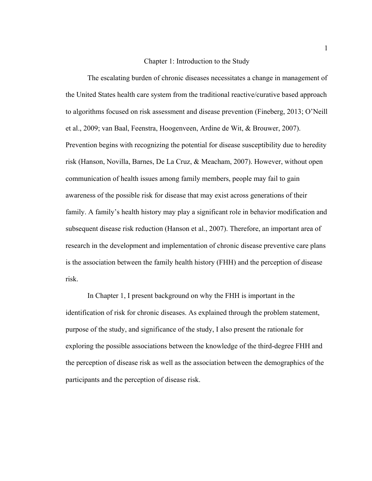#### Chapter 1: Introduction to the Study

The escalating burden of chronic diseases necessitates a change in management of the United States health care system from the traditional reactive/curative based approach to algorithms focused on risk assessment and disease prevention (Fineberg, 2013; O'Neill et al., 2009; van Baal, Feenstra, Hoogenveen, Ardine de Wit, & Brouwer, 2007). Prevention begins with recognizing the potential for disease susceptibility due to heredity risk (Hanson, Novilla, Barnes, De La Cruz, & Meacham, 2007). However, without open communication of health issues among family members, people may fail to gain awareness of the possible risk for disease that may exist across generations of their family. A family's health history may play a significant role in behavior modification and subsequent disease risk reduction (Hanson et al., 2007). Therefore, an important area of research in the development and implementation of chronic disease preventive care plans is the association between the family health history (FHH) and the perception of disease risk.

In Chapter 1, I present background on why the FHH is important in the identification of risk for chronic diseases. As explained through the problem statement, purpose of the study, and significance of the study, I also present the rationale for exploring the possible associations between the knowledge of the third-degree FHH and the perception of disease risk as well as the association between the demographics of the participants and the perception of disease risk.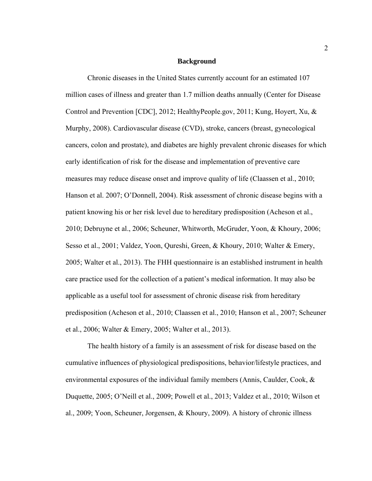#### **Background**

Chronic diseases in the United States currently account for an estimated 107 million cases of illness and greater than 1.7 million deaths annually (Center for Disease Control and Prevention [CDC], 2012; HealthyPeople.gov, 2011; Kung, Hoyert, Xu, & Murphy, 2008). Cardiovascular disease (CVD), stroke, cancers (breast, gynecological cancers, colon and prostate), and diabetes are highly prevalent chronic diseases for which early identification of risk for the disease and implementation of preventive care measures may reduce disease onset and improve quality of life (Claassen et al., 2010; Hanson et al. 2007; O'Donnell, 2004). Risk assessment of chronic disease begins with a patient knowing his or her risk level due to hereditary predisposition (Acheson et al., 2010; Debruyne et al., 2006; Scheuner, Whitworth, McGruder, Yoon, & Khoury, 2006; Sesso et al., 2001; Valdez, Yoon, Qureshi, Green, & Khoury, 2010; Walter & Emery, 2005; Walter et al., 2013). The FHH questionnaire is an established instrument in health care practice used for the collection of a patient's medical information. It may also be applicable as a useful tool for assessment of chronic disease risk from hereditary predisposition (Acheson et al., 2010; Claassen et al., 2010; Hanson et al., 2007; Scheuner et al., 2006; Walter & Emery, 2005; Walter et al., 2013).

The health history of a family is an assessment of risk for disease based on the cumulative influences of physiological predispositions, behavior/lifestyle practices, and environmental exposures of the individual family members (Annis, Caulder, Cook, & Duquette, 2005; O'Neill et al., 2009; Powell et al., 2013; Valdez et al., 2010; Wilson et al., 2009; Yoon, Scheuner, Jorgensen, & Khoury, 2009). A history of chronic illness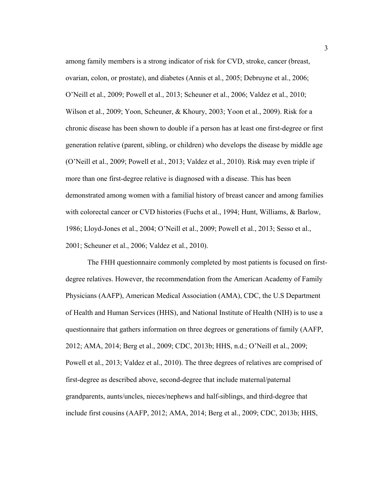among family members is a strong indicator of risk for CVD, stroke, cancer (breast, ovarian, colon, or prostate), and diabetes (Annis et al., 2005; Debruyne et al., 2006; O'Neill et al., 2009; Powell et al., 2013; Scheuner et al., 2006; Valdez et al., 2010; Wilson et al., 2009; Yoon, Scheuner, & Khoury, 2003; Yoon et al., 2009). Risk for a chronic disease has been shown to double if a person has at least one first-degree or first generation relative (parent, sibling, or children) who develops the disease by middle age (O'Neill et al., 2009; Powell et al., 2013; Valdez et al., 2010). Risk may even triple if more than one first-degree relative is diagnosed with a disease. This has been demonstrated among women with a familial history of breast cancer and among families with colorectal cancer or CVD histories (Fuchs et al., 1994; Hunt, Williams, & Barlow, 1986; Lloyd-Jones et al., 2004; O'Neill et al., 2009; Powell et al., 2013; Sesso et al., 2001; Scheuner et al., 2006; Valdez et al., 2010).

The FHH questionnaire commonly completed by most patients is focused on firstdegree relatives. However, the recommendation from the American Academy of Family Physicians (AAFP), American Medical Association (AMA), CDC, the U.S Department of Health and Human Services (HHS), and National Institute of Health (NIH) is to use a questionnaire that gathers information on three degrees or generations of family (AAFP, 2012; AMA, 2014; Berg et al., 2009; CDC, 2013b; HHS, n.d.; O'Neill et al., 2009; Powell et al., 2013; Valdez et al., 2010). The three degrees of relatives are comprised of first-degree as described above, second-degree that include maternal/paternal grandparents, aunts/uncles, nieces/nephews and half-siblings, and third-degree that include first cousins (AAFP, 2012; AMA, 2014; Berg et al., 2009; CDC, 2013b; HHS,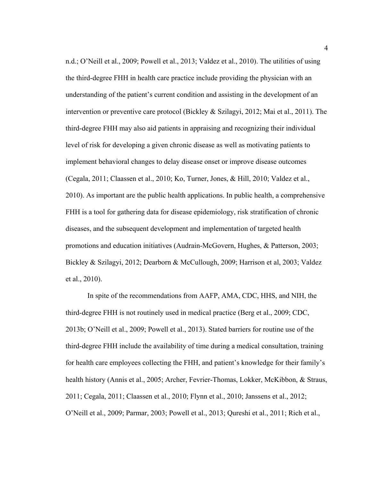n.d.; O'Neill et al., 2009; Powell et al., 2013; Valdez et al., 2010). The utilities of using the third-degree FHH in health care practice include providing the physician with an understanding of the patient's current condition and assisting in the development of an intervention or preventive care protocol (Bickley & Szilagyi, 2012; Mai et al., 2011). The third-degree FHH may also aid patients in appraising and recognizing their individual level of risk for developing a given chronic disease as well as motivating patients to implement behavioral changes to delay disease onset or improve disease outcomes (Cegala, 2011; Claassen et al., 2010; Ko, Turner, Jones, & Hill, 2010; Valdez et al., 2010). As important are the public health applications. In public health, a comprehensive FHH is a tool for gathering data for disease epidemiology, risk stratification of chronic diseases, and the subsequent development and implementation of targeted health promotions and education initiatives (Audrain-McGovern, Hughes, & Patterson, 2003; Bickley & Szilagyi, 2012; Dearborn & McCullough, 2009; Harrison et al, 2003; Valdez et al., 2010).

In spite of the recommendations from AAFP, AMA, CDC, HHS, and NIH, the third-degree FHH is not routinely used in medical practice (Berg et al., 2009; CDC, 2013b; O'Neill et al., 2009; Powell et al., 2013). Stated barriers for routine use of the third-degree FHH include the availability of time during a medical consultation, training for health care employees collecting the FHH, and patient's knowledge for their family's health history (Annis et al., 2005; Archer, Fevrier-Thomas, Lokker, McKibbon, & Straus, 2011; Cegala, 2011; Claassen et al., 2010; Flynn et al., 2010; Janssens et al., 2012; O'Neill et al., 2009; Parmar, 2003; Powell et al., 2013; Qureshi et al., 2011; Rich et al.,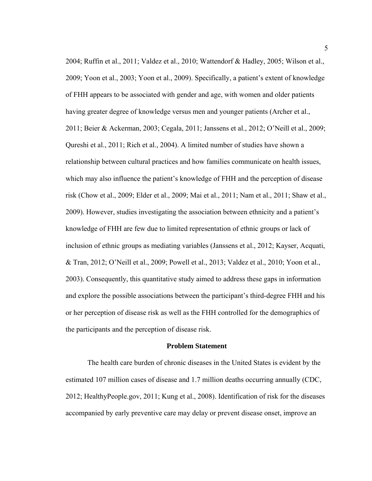2004; Ruffin et al., 2011; Valdez et al., 2010; Wattendorf & Hadley, 2005; Wilson et al., 2009; Yoon et al., 2003; Yoon et al., 2009). Specifically, a patient's extent of knowledge of FHH appears to be associated with gender and age, with women and older patients having greater degree of knowledge versus men and younger patients (Archer et al., 2011; Beier & Ackerman, 2003; Cegala, 2011; Janssens et al., 2012; O'Neill et al., 2009; Qureshi et al., 2011; Rich et al., 2004). A limited number of studies have shown a relationship between cultural practices and how families communicate on health issues, which may also influence the patient's knowledge of FHH and the perception of disease risk (Chow et al., 2009; Elder et al., 2009; Mai et al., 2011; Nam et al., 2011; Shaw et al., 2009). However, studies investigating the association between ethnicity and a patient's knowledge of FHH are few due to limited representation of ethnic groups or lack of inclusion of ethnic groups as mediating variables (Janssens et al., 2012; Kayser, Acquati, & Tran, 2012; O'Neill et al., 2009; Powell et al., 2013; Valdez et al., 2010; Yoon et al., 2003). Consequently, this quantitative study aimed to address these gaps in information and explore the possible associations between the participant's third-degree FHH and his or her perception of disease risk as well as the FHH controlled for the demographics of the participants and the perception of disease risk.

#### **Problem Statement**

The health care burden of chronic diseases in the United States is evident by the estimated 107 million cases of disease and 1.7 million deaths occurring annually (CDC, 2012; HealthyPeople.gov, 2011; Kung et al., 2008). Identification of risk for the diseases accompanied by early preventive care may delay or prevent disease onset, improve an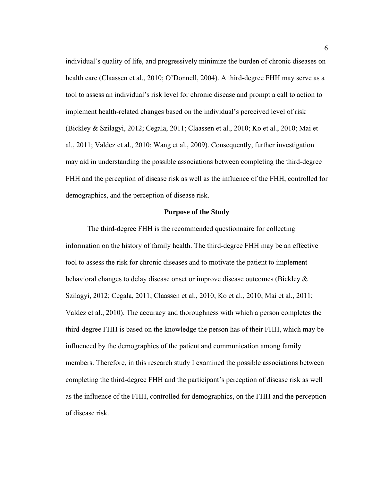individual's quality of life, and progressively minimize the burden of chronic diseases on health care (Claassen et al., 2010; O'Donnell, 2004). A third-degree FHH may serve as a tool to assess an individual's risk level for chronic disease and prompt a call to action to implement health-related changes based on the individual's perceived level of risk (Bickley & Szilagyi, 2012; Cegala, 2011; Claassen et al., 2010; Ko et al., 2010; Mai et al., 2011; Valdez et al., 2010; Wang et al., 2009). Consequently, further investigation may aid in understanding the possible associations between completing the third-degree FHH and the perception of disease risk as well as the influence of the FHH, controlled for demographics, and the perception of disease risk.

#### **Purpose of the Study**

 The third-degree FHH is the recommended questionnaire for collecting information on the history of family health. The third-degree FHH may be an effective tool to assess the risk for chronic diseases and to motivate the patient to implement behavioral changes to delay disease onset or improve disease outcomes (Bickley & Szilagyi, 2012; Cegala, 2011; Claassen et al., 2010; Ko et al., 2010; Mai et al., 2011; Valdez et al., 2010). The accuracy and thoroughness with which a person completes the third-degree FHH is based on the knowledge the person has of their FHH, which may be influenced by the demographics of the patient and communication among family members. Therefore, in this research study I examined the possible associations between completing the third-degree FHH and the participant's perception of disease risk as well as the influence of the FHH, controlled for demographics, on the FHH and the perception of disease risk.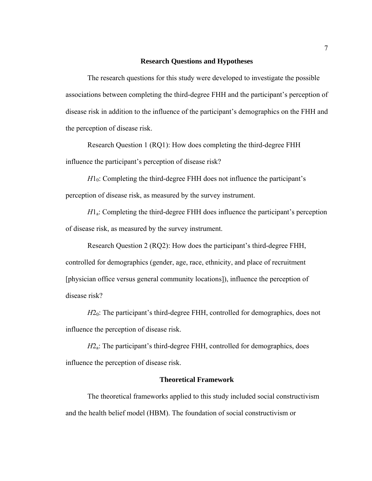#### **Research Questions and Hypotheses**

The research questions for this study were developed to investigate the possible associations between completing the third-degree FHH and the participant's perception of disease risk in addition to the influence of the participant's demographics on the FHH and the perception of disease risk.

Research Question 1 (RQ1): How does completing the third-degree FHH influence the participant's perception of disease risk?

 $H1<sub>0</sub>$ : Completing the third-degree FHH does not influence the participant's perception of disease risk, as measured by the survey instrument.

*H*<sub>1</sub>. Completing the third-degree FHH does influence the participant's perception of disease risk, as measured by the survey instrument.

Research Question 2 (RQ2): How does the participant's third-degree FHH, controlled for demographics (gender, age, race, ethnicity, and place of recruitment [physician office versus general community locations]), influence the perception of disease risk?

*H*<sub>20</sub>: The participant's third-degree FHH, controlled for demographics, does not influence the perception of disease risk.

*H*2<sub>a</sub>: The participant's third-degree FHH, controlled for demographics, does influence the perception of disease risk.

#### **Theoretical Framework**

The theoretical frameworks applied to this study included social constructivism and the health belief model (HBM). The foundation of social constructivism or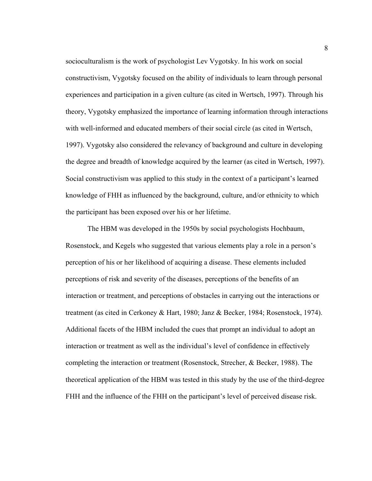socioculturalism is the work of psychologist Lev Vygotsky. In his work on social constructivism, Vygotsky focused on the ability of individuals to learn through personal experiences and participation in a given culture (as cited in Wertsch, 1997). Through his theory, Vygotsky emphasized the importance of learning information through interactions with well-informed and educated members of their social circle (as cited in Wertsch, 1997). Vygotsky also considered the relevancy of background and culture in developing the degree and breadth of knowledge acquired by the learner (as cited in Wertsch, 1997). Social constructivism was applied to this study in the context of a participant's learned knowledge of FHH as influenced by the background, culture, and/or ethnicity to which the participant has been exposed over his or her lifetime.

 The HBM was developed in the 1950s by social psychologists Hochbaum, Rosenstock, and Kegels who suggested that various elements play a role in a person's perception of his or her likelihood of acquiring a disease. These elements included perceptions of risk and severity of the diseases, perceptions of the benefits of an interaction or treatment, and perceptions of obstacles in carrying out the interactions or treatment (as cited in Cerkoney & Hart, 1980; Janz & Becker, 1984; Rosenstock, 1974). Additional facets of the HBM included the cues that prompt an individual to adopt an interaction or treatment as well as the individual's level of confidence in effectively completing the interaction or treatment (Rosenstock, Strecher, & Becker, 1988). The theoretical application of the HBM was tested in this study by the use of the third-degree FHH and the influence of the FHH on the participant's level of perceived disease risk.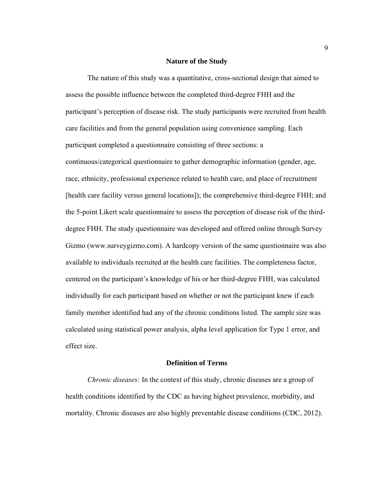#### **Nature of the Study**

The nature of this study was a quantitative, cross-sectional design that aimed to assess the possible influence between the completed third-degree FHH and the participant's perception of disease risk. The study participants were recruited from health care facilities and from the general population using convenience sampling. Each participant completed a questionnaire consisting of three sections: a continuous/categorical questionnaire to gather demographic information (gender, age, race, ethnicity, professional experience related to health care, and place of recruitment [health care facility versus general locations]); the comprehensive third-degree FHH; and the 5-point Likert scale questionnaire to assess the perception of disease risk of the thirddegree FHH. The study questionnaire was developed and offered online through Survey Gizmo (www.surveygizmo.com). A hardcopy version of the same questionnaire was also available to individuals recruited at the health care facilities. The completeness factor, centered on the participant's knowledge of his or her third-degree FHH, was calculated individually for each participant based on whether or not the participant knew if each family member identified had any of the chronic conditions listed. The sample size was calculated using statistical power analysis, alpha level application for Type 1 error, and effect size.

#### **Definition of Terms**

*Chronic diseases:* In the context of this study, chronic diseases are a group of health conditions identified by the CDC as having highest prevalence, morbidity, and mortality. Chronic diseases are also highly preventable disease conditions (CDC, 2012).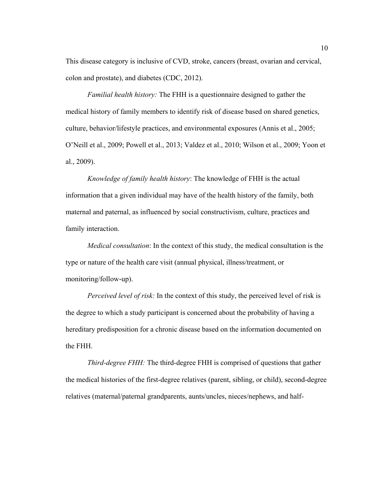This disease category is inclusive of CVD, stroke, cancers (breast, ovarian and cervical, colon and prostate), and diabetes (CDC, 2012).

*Familial health history:* The FHH is a questionnaire designed to gather the medical history of family members to identify risk of disease based on shared genetics, culture, behavior/lifestyle practices, and environmental exposures (Annis et al., 2005; O'Neill et al., 2009; Powell et al., 2013; Valdez et al., 2010; Wilson et al., 2009; Yoon et al., 2009).

*Knowledge of family health history*: The knowledge of FHH is the actual information that a given individual may have of the health history of the family, both maternal and paternal, as influenced by social constructivism, culture, practices and family interaction.

*Medical consultation*: In the context of this study, the medical consultation is the type or nature of the health care visit (annual physical, illness/treatment, or monitoring/follow-up).

*Perceived level of risk:* In the context of this study, the perceived level of risk is the degree to which a study participant is concerned about the probability of having a hereditary predisposition for a chronic disease based on the information documented on the FHH.

*Third-degree FHH:* The third-degree FHH is comprised of questions that gather the medical histories of the first-degree relatives (parent, sibling, or child), second-degree relatives (maternal/paternal grandparents, aunts/uncles, nieces/nephews, and half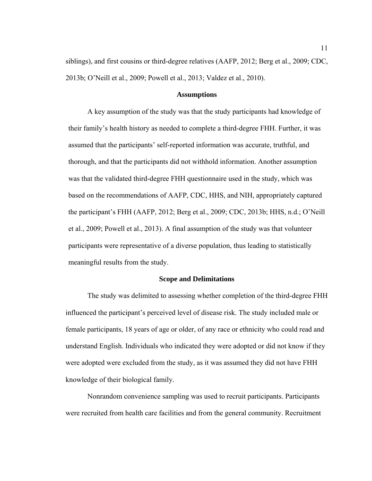siblings), and first cousins or third-degree relatives (AAFP, 2012; Berg et al., 2009; CDC, 2013b; O'Neill et al., 2009; Powell et al., 2013; Valdez et al., 2010).

#### **Assumptions**

A key assumption of the study was that the study participants had knowledge of their family's health history as needed to complete a third-degree FHH. Further, it was assumed that the participants' self-reported information was accurate, truthful, and thorough, and that the participants did not withhold information. Another assumption was that the validated third-degree FHH questionnaire used in the study, which was based on the recommendations of AAFP, CDC, HHS, and NIH, appropriately captured the participant's FHH (AAFP, 2012; Berg et al., 2009; CDC, 2013b; HHS, n.d.; O'Neill et al., 2009; Powell et al., 2013). A final assumption of the study was that volunteer participants were representative of a diverse population, thus leading to statistically meaningful results from the study.

#### **Scope and Delimitations**

The study was delimited to assessing whether completion of the third-degree FHH influenced the participant's perceived level of disease risk. The study included male or female participants, 18 years of age or older, of any race or ethnicity who could read and understand English. Individuals who indicated they were adopted or did not know if they were adopted were excluded from the study, as it was assumed they did not have FHH knowledge of their biological family.

Nonrandom convenience sampling was used to recruit participants. Participants were recruited from health care facilities and from the general community. Recruitment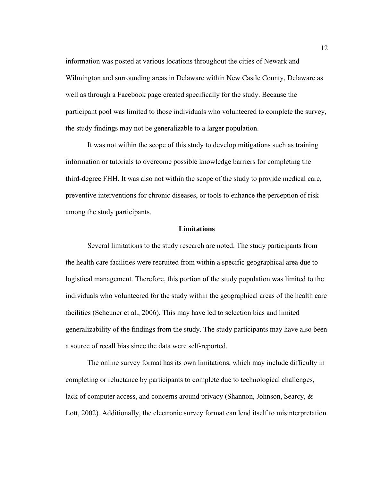information was posted at various locations throughout the cities of Newark and Wilmington and surrounding areas in Delaware within New Castle County, Delaware as well as through a Facebook page created specifically for the study. Because the participant pool was limited to those individuals who volunteered to complete the survey, the study findings may not be generalizable to a larger population.

It was not within the scope of this study to develop mitigations such as training information or tutorials to overcome possible knowledge barriers for completing the third-degree FHH. It was also not within the scope of the study to provide medical care, preventive interventions for chronic diseases, or tools to enhance the perception of risk among the study participants.

#### **Limitations**

Several limitations to the study research are noted. The study participants from the health care facilities were recruited from within a specific geographical area due to logistical management. Therefore, this portion of the study population was limited to the individuals who volunteered for the study within the geographical areas of the health care facilities (Scheuner et al., 2006). This may have led to selection bias and limited generalizability of the findings from the study. The study participants may have also been a source of recall bias since the data were self-reported.

The online survey format has its own limitations, which may include difficulty in completing or reluctance by participants to complete due to technological challenges, lack of computer access, and concerns around privacy (Shannon, Johnson, Searcy, & Lott, 2002). Additionally, the electronic survey format can lend itself to misinterpretation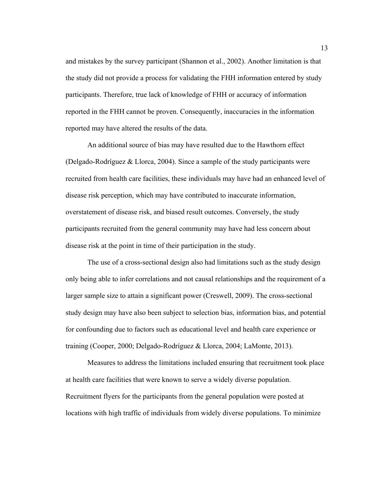and mistakes by the survey participant (Shannon et al., 2002). Another limitation is that the study did not provide a process for validating the FHH information entered by study participants. Therefore, true lack of knowledge of FHH or accuracy of information reported in the FHH cannot be proven. Consequently, inaccuracies in the information reported may have altered the results of the data.

An additional source of bias may have resulted due to the Hawthorn effect (Delgado-Rodríguez & Llorca, 2004). Since a sample of the study participants were recruited from health care facilities, these individuals may have had an enhanced level of disease risk perception, which may have contributed to inaccurate information, overstatement of disease risk, and biased result outcomes. Conversely, the study participants recruited from the general community may have had less concern about disease risk at the point in time of their participation in the study.

The use of a cross-sectional design also had limitations such as the study design only being able to infer correlations and not causal relationships and the requirement of a larger sample size to attain a significant power (Creswell, 2009). The cross-sectional study design may have also been subject to selection bias, information bias, and potential for confounding due to factors such as educational level and health care experience or training (Cooper, 2000; Delgado-Rodríguez & Llorca, 2004; LaMonte, 2013).

Measures to address the limitations included ensuring that recruitment took place at health care facilities that were known to serve a widely diverse population. Recruitment flyers for the participants from the general population were posted at locations with high traffic of individuals from widely diverse populations. To minimize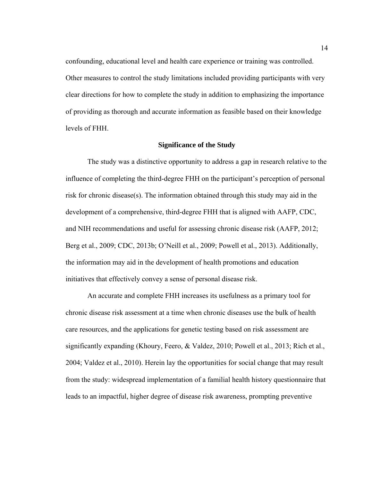confounding, educational level and health care experience or training was controlled. Other measures to control the study limitations included providing participants with very clear directions for how to complete the study in addition to emphasizing the importance of providing as thorough and accurate information as feasible based on their knowledge levels of FHH.

#### **Significance of the Study**

The study was a distinctive opportunity to address a gap in research relative to the influence of completing the third-degree FHH on the participant's perception of personal risk for chronic disease(s). The information obtained through this study may aid in the development of a comprehensive, third-degree FHH that is aligned with AAFP, CDC, and NIH recommendations and useful for assessing chronic disease risk (AAFP, 2012; Berg et al., 2009; CDC, 2013b; O'Neill et al., 2009; Powell et al., 2013). Additionally, the information may aid in the development of health promotions and education initiatives that effectively convey a sense of personal disease risk.

An accurate and complete FHH increases its usefulness as a primary tool for chronic disease risk assessment at a time when chronic diseases use the bulk of health care resources, and the applications for genetic testing based on risk assessment are significantly expanding (Khoury, Feero, & Valdez, 2010; Powell et al., 2013; Rich et al., 2004; Valdez et al., 2010). Herein lay the opportunities for social change that may result from the study: widespread implementation of a familial health history questionnaire that leads to an impactful, higher degree of disease risk awareness, prompting preventive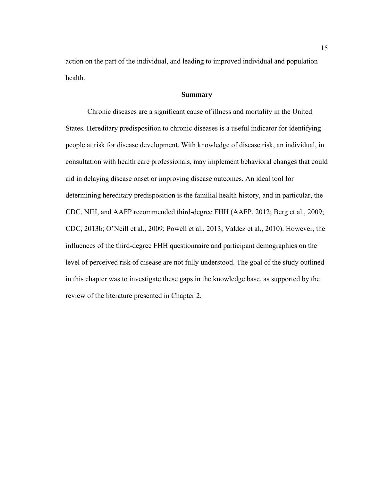action on the part of the individual, and leading to improved individual and population health.

#### **Summary**

Chronic diseases are a significant cause of illness and mortality in the United States. Hereditary predisposition to chronic diseases is a useful indicator for identifying people at risk for disease development. With knowledge of disease risk, an individual, in consultation with health care professionals, may implement behavioral changes that could aid in delaying disease onset or improving disease outcomes. An ideal tool for determining hereditary predisposition is the familial health history, and in particular, the CDC, NIH, and AAFP recommended third-degree FHH (AAFP, 2012; Berg et al., 2009; CDC, 2013b; O'Neill et al., 2009; Powell et al., 2013; Valdez et al., 2010). However, the influences of the third-degree FHH questionnaire and participant demographics on the level of perceived risk of disease are not fully understood. The goal of the study outlined in this chapter was to investigate these gaps in the knowledge base, as supported by the review of the literature presented in Chapter 2.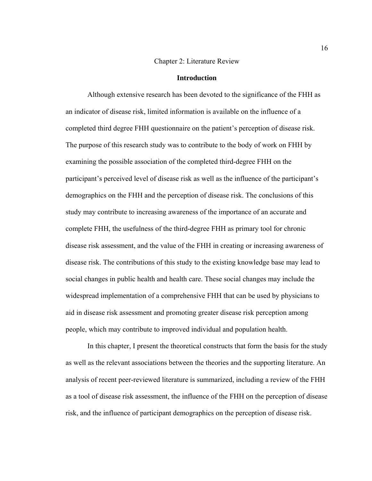#### Chapter 2: Literature Review

#### **Introduction**

Although extensive research has been devoted to the significance of the FHH as an indicator of disease risk, limited information is available on the influence of a completed third degree FHH questionnaire on the patient's perception of disease risk. The purpose of this research study was to contribute to the body of work on FHH by examining the possible association of the completed third-degree FHH on the participant's perceived level of disease risk as well as the influence of the participant's demographics on the FHH and the perception of disease risk. The conclusions of this study may contribute to increasing awareness of the importance of an accurate and complete FHH, the usefulness of the third-degree FHH as primary tool for chronic disease risk assessment, and the value of the FHH in creating or increasing awareness of disease risk. The contributions of this study to the existing knowledge base may lead to social changes in public health and health care. These social changes may include the widespread implementation of a comprehensive FHH that can be used by physicians to aid in disease risk assessment and promoting greater disease risk perception among people, which may contribute to improved individual and population health.

In this chapter, I present the theoretical constructs that form the basis for the study as well as the relevant associations between the theories and the supporting literature. An analysis of recent peer-reviewed literature is summarized, including a review of the FHH as a tool of disease risk assessment, the influence of the FHH on the perception of disease risk, and the influence of participant demographics on the perception of disease risk.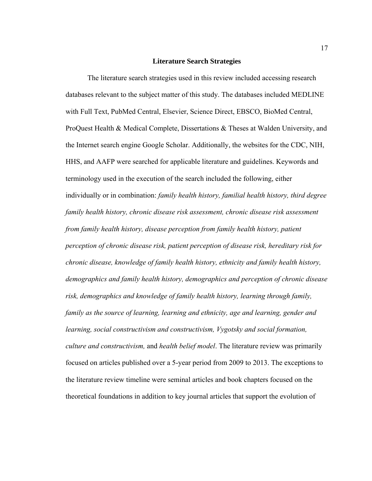#### **Literature Search Strategies**

The literature search strategies used in this review included accessing research databases relevant to the subject matter of this study. The databases included MEDLINE with Full Text, PubMed Central, Elsevier, Science Direct, EBSCO, BioMed Central, ProQuest Health & Medical Complete, Dissertations & Theses at Walden University, and the Internet search engine Google Scholar. Additionally, the websites for the CDC, NIH, HHS, and AAFP were searched for applicable literature and guidelines. Keywords and terminology used in the execution of the search included the following, either individually or in combination: *family health history, familial health history, third degree family health history, chronic disease risk assessment, chronic disease risk assessment from family health history, disease perception from family health history, patient perception of chronic disease risk, patient perception of disease risk, hereditary risk for chronic disease, knowledge of family health history, ethnicity and family health history, demographics and family health history, demographics and perception of chronic disease risk, demographics and knowledge of family health history, learning through family, family as the source of learning, learning and ethnicity, age and learning, gender and learning, social constructivism and constructivism, Vygotsky and social formation, culture and constructivism,* and *health belief model*. The literature review was primarily focused on articles published over a 5-year period from 2009 to 2013. The exceptions to the literature review timeline were seminal articles and book chapters focused on the theoretical foundations in addition to key journal articles that support the evolution of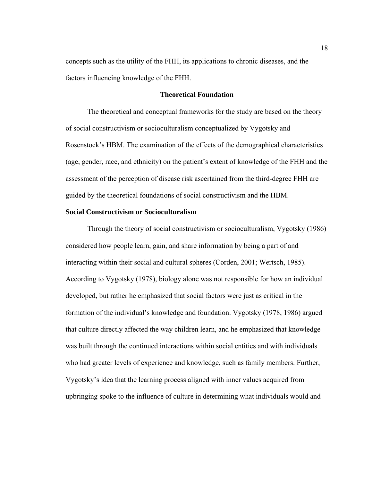concepts such as the utility of the FHH, its applications to chronic diseases, and the factors influencing knowledge of the FHH.

#### **Theoretical Foundation**

The theoretical and conceptual frameworks for the study are based on the theory of social constructivism or socioculturalism conceptualized by Vygotsky and Rosenstock's HBM. The examination of the effects of the demographical characteristics (age, gender, race, and ethnicity) on the patient's extent of knowledge of the FHH and the assessment of the perception of disease risk ascertained from the third-degree FHH are guided by the theoretical foundations of social constructivism and the HBM.

#### **Social Constructivism or Socioculturalism**

Through the theory of social constructivism or socioculturalism, Vygotsky (1986) considered how people learn, gain, and share information by being a part of and interacting within their social and cultural spheres (Corden, 2001; Wertsch, 1985). According to Vygotsky (1978), biology alone was not responsible for how an individual developed, but rather he emphasized that social factors were just as critical in the formation of the individual's knowledge and foundation. Vygotsky (1978, 1986) argued that culture directly affected the way children learn, and he emphasized that knowledge was built through the continued interactions within social entities and with individuals who had greater levels of experience and knowledge, such as family members. Further, Vygotsky's idea that the learning process aligned with inner values acquired from upbringing spoke to the influence of culture in determining what individuals would and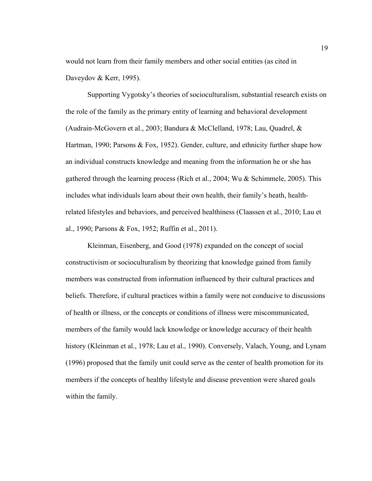would not learn from their family members and other social entities (as cited in Daveydov & Kerr, 1995).

Supporting Vygotsky's theories of socioculturalism, substantial research exists on the role of the family as the primary entity of learning and behavioral development (Audrain-McGovern et al., 2003; Bandura & McClelland, 1978; Lau, Quadrel, & Hartman, 1990; Parsons & Fox, 1952). Gender, culture, and ethnicity further shape how an individual constructs knowledge and meaning from the information he or she has gathered through the learning process (Rich et al., 2004; Wu & Schimmele, 2005). This includes what individuals learn about their own health, their family's heath, healthrelated lifestyles and behaviors, and perceived healthiness (Claassen et al., 2010; Lau et al., 1990; Parsons & Fox, 1952; Ruffin et al., 2011).

Kleinman, Eisenberg, and Good (1978) expanded on the concept of social constructivism or socioculturalism by theorizing that knowledge gained from family members was constructed from information influenced by their cultural practices and beliefs. Therefore, if cultural practices within a family were not conducive to discussions of health or illness, or the concepts or conditions of illness were miscommunicated, members of the family would lack knowledge or knowledge accuracy of their health history (Kleinman et al., 1978; Lau et al., 1990). Conversely, Valach, Young, and Lynam (1996) proposed that the family unit could serve as the center of health promotion for its members if the concepts of healthy lifestyle and disease prevention were shared goals within the family.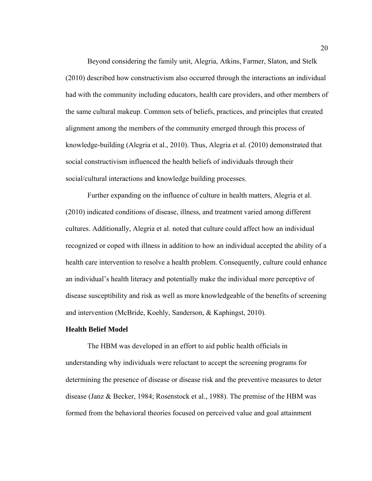Beyond considering the family unit, Alegria, Atkins, Farmer, Slaton, and Stelk (2010) described how constructivism also occurred through the interactions an individual had with the community including educators, health care providers, and other members of the same cultural makeup. Common sets of beliefs, practices, and principles that created alignment among the members of the community emerged through this process of knowledge-building (Alegria et al., 2010). Thus, Alegria et al. (2010) demonstrated that social constructivism influenced the health beliefs of individuals through their social/cultural interactions and knowledge building processes.

Further expanding on the influence of culture in health matters, Alegria et al. (2010) indicated conditions of disease, illness, and treatment varied among different cultures. Additionally, Alegria et al. noted that culture could affect how an individual recognized or coped with illness in addition to how an individual accepted the ability of a health care intervention to resolve a health problem. Consequently, culture could enhance an individual's health literacy and potentially make the individual more perceptive of disease susceptibility and risk as well as more knowledgeable of the benefits of screening and intervention (McBride, Koehly, Sanderson, & Kaphingst, 2010).

#### **Health Belief Model**

The HBM was developed in an effort to aid public health officials in understanding why individuals were reluctant to accept the screening programs for determining the presence of disease or disease risk and the preventive measures to deter disease (Janz & Becker, 1984; Rosenstock et al., 1988). The premise of the HBM was formed from the behavioral theories focused on perceived value and goal attainment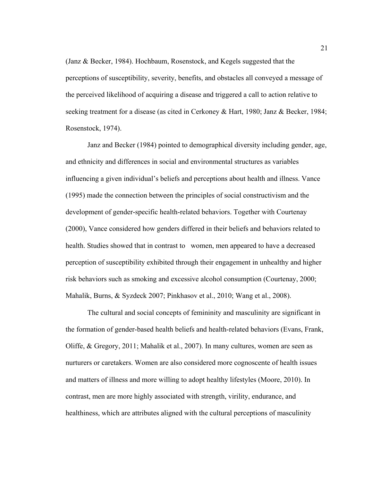(Janz & Becker, 1984). Hochbaum, Rosenstock, and Kegels suggested that the perceptions of susceptibility, severity, benefits, and obstacles all conveyed a message of the perceived likelihood of acquiring a disease and triggered a call to action relative to seeking treatment for a disease (as cited in Cerkoney & Hart, 1980; Janz & Becker, 1984; Rosenstock, 1974).

Janz and Becker (1984) pointed to demographical diversity including gender, age, and ethnicity and differences in social and environmental structures as variables influencing a given individual's beliefs and perceptions about health and illness. Vance (1995) made the connection between the principles of social constructivism and the development of gender-specific health-related behaviors. Together with Courtenay (2000), Vance considered how genders differed in their beliefs and behaviors related to health. Studies showed that in contrast to women, men appeared to have a decreased perception of susceptibility exhibited through their engagement in unhealthy and higher risk behaviors such as smoking and excessive alcohol consumption (Courtenay, 2000; Mahalik, Burns, & Syzdeck 2007; Pinkhasov et al., 2010; Wang et al., 2008).

The cultural and social concepts of femininity and masculinity are significant in the formation of gender-based health beliefs and health-related behaviors (Evans, Frank, Oliffe, & Gregory, 2011; Mahalik et al., 2007). In many cultures, women are seen as nurturers or caretakers. Women are also considered more cognoscente of health issues and matters of illness and more willing to adopt healthy lifestyles (Moore, 2010). In contrast, men are more highly associated with strength, virility, endurance, and healthiness, which are attributes aligned with the cultural perceptions of masculinity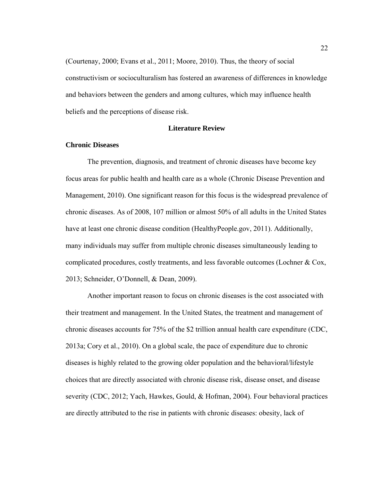(Courtenay, 2000; Evans et al., 2011; Moore, 2010). Thus, the theory of social constructivism or socioculturalism has fostered an awareness of differences in knowledge and behaviors between the genders and among cultures, which may influence health beliefs and the perceptions of disease risk.

#### **Literature Review**

#### **Chronic Diseases**

 The prevention, diagnosis, and treatment of chronic diseases have become key focus areas for public health and health care as a whole (Chronic Disease Prevention and Management, 2010). One significant reason for this focus is the widespread prevalence of chronic diseases. As of 2008, 107 million or almost 50% of all adults in the United States have at least one chronic disease condition (HealthyPeople.gov, 2011). Additionally, many individuals may suffer from multiple chronic diseases simultaneously leading to complicated procedures, costly treatments, and less favorable outcomes (Lochner & Cox, 2013; Schneider, O'Donnell, & Dean, 2009).

Another important reason to focus on chronic diseases is the cost associated with their treatment and management. In the United States, the treatment and management of chronic diseases accounts for 75% of the \$2 trillion annual health care expenditure (CDC, 2013a; Cory et al., 2010). On a global scale, the pace of expenditure due to chronic diseases is highly related to the growing older population and the behavioral/lifestyle choices that are directly associated with chronic disease risk, disease onset, and disease severity (CDC, 2012; Yach, Hawkes, Gould, & Hofman, 2004). Four behavioral practices are directly attributed to the rise in patients with chronic diseases: obesity, lack of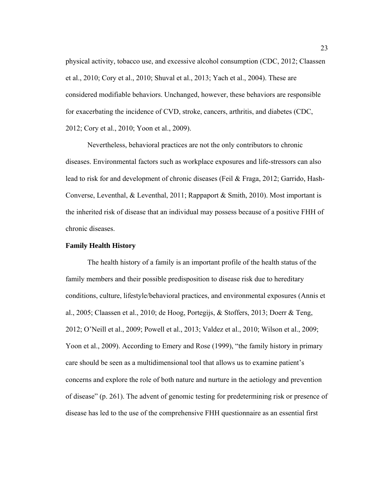physical activity, tobacco use, and excessive alcohol consumption (CDC, 2012; Claassen et al., 2010; Cory et al., 2010; Shuval et al., 2013; Yach et al., 2004). These are considered modifiable behaviors. Unchanged, however, these behaviors are responsible for exacerbating the incidence of CVD, stroke, cancers, arthritis, and diabetes (CDC, 2012; Cory et al., 2010; Yoon et al., 2009).

Nevertheless, behavioral practices are not the only contributors to chronic diseases. Environmental factors such as workplace exposures and life-stressors can also lead to risk for and development of chronic diseases (Feil & Fraga, 2012; Garrido, Hash-Converse, Leventhal, & Leventhal, 2011; Rappaport & Smith, 2010). Most important is the inherited risk of disease that an individual may possess because of a positive FHH of chronic diseases.

#### **Family Health History**

 The health history of a family is an important profile of the health status of the family members and their possible predisposition to disease risk due to hereditary conditions, culture, lifestyle/behavioral practices, and environmental exposures (Annis et al., 2005; Claassen et al., 2010; de Hoog, Portegijs, & Stoffers, 2013; Doerr & Teng, 2012; O'Neill et al., 2009; Powell et al., 2013; Valdez et al., 2010; Wilson et al., 2009; Yoon et al., 2009). According to Emery and Rose (1999), "the family history in primary care should be seen as a multidimensional tool that allows us to examine patient's concerns and explore the role of both nature and nurture in the aetiology and prevention of disease" (p. 261). The advent of genomic testing for predetermining risk or presence of disease has led to the use of the comprehensive FHH questionnaire as an essential first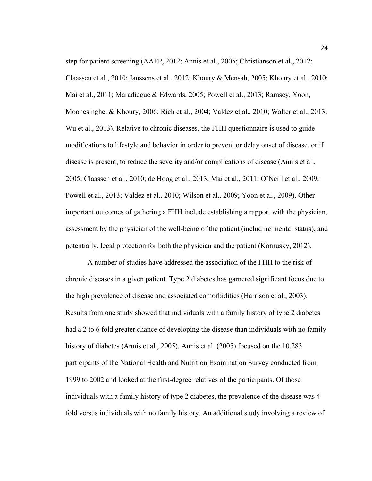step for patient screening (AAFP, 2012; Annis et al., 2005; Christianson et al., 2012; Claassen et al., 2010; Janssens et al., 2012; Khoury & Mensah, 2005; Khoury et al., 2010; Mai et al., 2011; Maradiegue & Edwards, 2005; Powell et al., 2013; Ramsey, Yoon, Moonesinghe, & Khoury, 2006; Rich et al., 2004; Valdez et al., 2010; Walter et al., 2013; Wu et al., 2013). Relative to chronic diseases, the FHH questionnaire is used to guide modifications to lifestyle and behavior in order to prevent or delay onset of disease, or if disease is present, to reduce the severity and/or complications of disease (Annis et al., 2005; Claassen et al., 2010; de Hoog et al., 2013; Mai et al., 2011; O'Neill et al., 2009; Powell et al., 2013; Valdez et al., 2010; Wilson et al., 2009; Yoon et al., 2009). Other important outcomes of gathering a FHH include establishing a rapport with the physician, assessment by the physician of the well-being of the patient (including mental status), and potentially, legal protection for both the physician and the patient (Kornusky, 2012).

 A number of studies have addressed the association of the FHH to the risk of chronic diseases in a given patient. Type 2 diabetes has garnered significant focus due to the high prevalence of disease and associated comorbidities (Harrison et al., 2003). Results from one study showed that individuals with a family history of type 2 diabetes had a 2 to 6 fold greater chance of developing the disease than individuals with no family history of diabetes (Annis et al., 2005). Annis et al. (2005) focused on the 10,283 participants of the National Health and Nutrition Examination Survey conducted from 1999 to 2002 and looked at the first-degree relatives of the participants. Of those individuals with a family history of type 2 diabetes, the prevalence of the disease was 4 fold versus individuals with no family history. An additional study involving a review of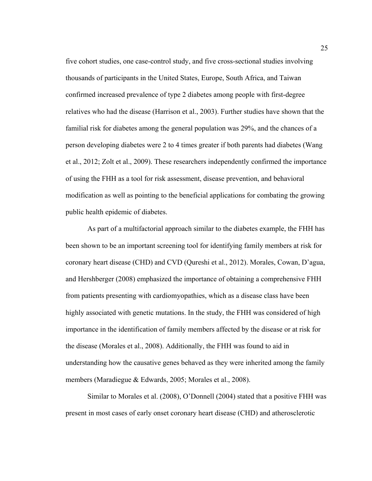five cohort studies, one case-control study, and five cross-sectional studies involving thousands of participants in the United States, Europe, South Africa, and Taiwan confirmed increased prevalence of type 2 diabetes among people with first-degree relatives who had the disease (Harrison et al., 2003). Further studies have shown that the familial risk for diabetes among the general population was 29%, and the chances of a person developing diabetes were 2 to 4 times greater if both parents had diabetes (Wang et al., 2012; Zolt et al., 2009). These researchers independently confirmed the importance of using the FHH as a tool for risk assessment, disease prevention, and behavioral modification as well as pointing to the beneficial applications for combating the growing public health epidemic of diabetes.

 As part of a multifactorial approach similar to the diabetes example, the FHH has been shown to be an important screening tool for identifying family members at risk for coronary heart disease (CHD) and CVD (Qureshi et al., 2012). Morales, Cowan, D'agua, and Hershberger (2008) emphasized the importance of obtaining a comprehensive FHH from patients presenting with cardiomyopathies, which as a disease class have been highly associated with genetic mutations. In the study, the FHH was considered of high importance in the identification of family members affected by the disease or at risk for the disease (Morales et al., 2008). Additionally, the FHH was found to aid in understanding how the causative genes behaved as they were inherited among the family members (Maradiegue & Edwards, 2005; Morales et al., 2008).

 Similar to Morales et al. (2008), O'Donnell (2004) stated that a positive FHH was present in most cases of early onset coronary heart disease (CHD) and atherosclerotic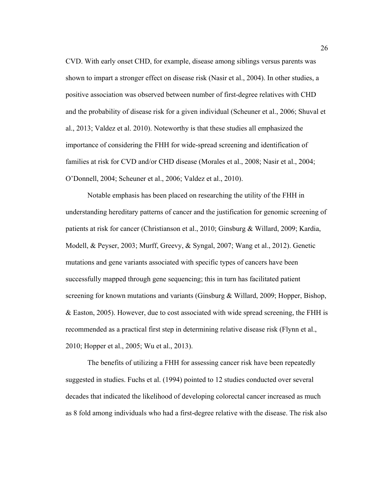CVD. With early onset CHD, for example, disease among siblings versus parents was shown to impart a stronger effect on disease risk (Nasir et al., 2004). In other studies, a positive association was observed between number of first-degree relatives with CHD and the probability of disease risk for a given individual (Scheuner et al., 2006; Shuval et al., 2013; Valdez et al. 2010). Noteworthy is that these studies all emphasized the importance of considering the FHH for wide-spread screening and identification of families at risk for CVD and/or CHD disease (Morales et al., 2008; Nasir et al., 2004; O'Donnell, 2004; Scheuner et al., 2006; Valdez et al., 2010).

 Notable emphasis has been placed on researching the utility of the FHH in understanding hereditary patterns of cancer and the justification for genomic screening of patients at risk for cancer (Christianson et al., 2010; Ginsburg & Willard, 2009; Kardia, Modell, & Peyser, 2003; Murff, Greevy, & Syngal, 2007; Wang et al., 2012). Genetic mutations and gene variants associated with specific types of cancers have been successfully mapped through gene sequencing; this in turn has facilitated patient screening for known mutations and variants (Ginsburg & Willard, 2009; Hopper, Bishop, & Easton, 2005). However, due to cost associated with wide spread screening, the FHH is recommended as a practical first step in determining relative disease risk (Flynn et al., 2010; Hopper et al., 2005; Wu et al., 2013).

The benefits of utilizing a FHH for assessing cancer risk have been repeatedly suggested in studies. Fuchs et al. (1994) pointed to 12 studies conducted over several decades that indicated the likelihood of developing colorectal cancer increased as much as 8 fold among individuals who had a first-degree relative with the disease. The risk also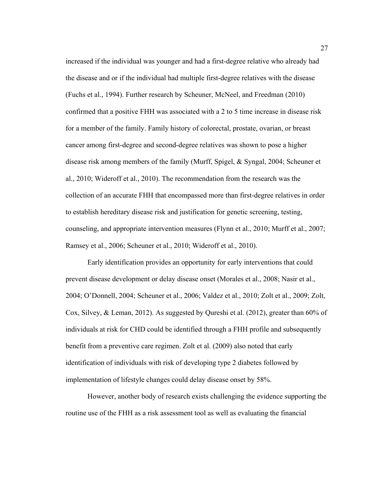increased if the individual was younger and had a first-degree relative who already had the disease and or if the individual had multiple first-degree relatives with the disease (Fuchs et al., 1994). Further research by Scheuner, McNeel, and Freedman (2010) confirmed that a positive FHH was associated with a 2 to 5 time increase in disease risk for a member of the family. Family history of colorectal, prostate, ovarian, or breast cancer among first-degree and second-degree relatives was shown to pose a higher disease risk among members of the family (Murff, Spigel, & Syngal, 2004; Scheuner et al., 2010; Wideroff et al., 2010). The recommendation from the research was the collection of an accurate FHH that encompassed more than first-degree relatives in order to establish hereditary disease risk and justification for genetic screening, testing, counseling, and appropriate intervention measures (Flynn et al., 2010; Murff et al., 2007; Ramsey et al., 2006; Scheuner et al., 2010; Wideroff et al., 2010).

Early identification provides an opportunity for early interventions that could prevent disease development or delay disease onset (Morales et al., 2008; Nasir et al., 2004; O'Donnell, 2004; Scheuner et al., 2006; Valdez et al., 2010; Zolt et al., 2009; Zolt, Cox, Silvey, & Leman, 2012). As suggested by Qureshi et al. (2012), greater than 60% of individuals at risk for CHD could be identified through a FHH profile and subsequently benefit from a preventive care regimen. Zolt et al. (2009) also noted that early identification of individuals with risk of developing type 2 diabetes followed by implementation of lifestyle changes could delay disease onset by 58%.

However, another body of research exists challenging the evidence supporting the routine use of the FHH as a risk assessment tool as well as evaluating the financial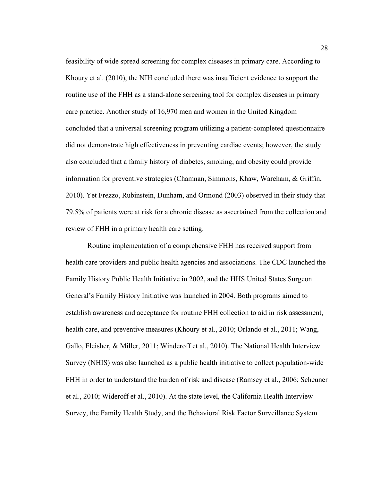feasibility of wide spread screening for complex diseases in primary care. According to Khoury et al. (2010), the NIH concluded there was insufficient evidence to support the routine use of the FHH as a stand-alone screening tool for complex diseases in primary care practice. Another study of 16,970 men and women in the United Kingdom concluded that a universal screening program utilizing a patient-completed questionnaire did not demonstrate high effectiveness in preventing cardiac events; however, the study also concluded that a family history of diabetes, smoking, and obesity could provide information for preventive strategies (Chamnan, Simmons, Khaw, Wareham, & Griffin, 2010). Yet Frezzo, Rubinstein, Dunham, and Ormond (2003) observed in their study that 79.5% of patients were at risk for a chronic disease as ascertained from the collection and review of FHH in a primary health care setting.

Routine implementation of a comprehensive FHH has received support from health care providers and public health agencies and associations. The CDC launched the Family History Public Health Initiative in 2002, and the HHS United States Surgeon General's Family History Initiative was launched in 2004. Both programs aimed to establish awareness and acceptance for routine FHH collection to aid in risk assessment, health care, and preventive measures (Khoury et al., 2010; Orlando et al., 2011; Wang, Gallo, Fleisher, & Miller, 2011; Winderoff et al., 2010). The National Health Interview Survey (NHIS) was also launched as a public health initiative to collect population-wide FHH in order to understand the burden of risk and disease (Ramsey et al., 2006; Scheuner et al., 2010; Wideroff et al., 2010). At the state level, the California Health Interview Survey, the Family Health Study, and the Behavioral Risk Factor Surveillance System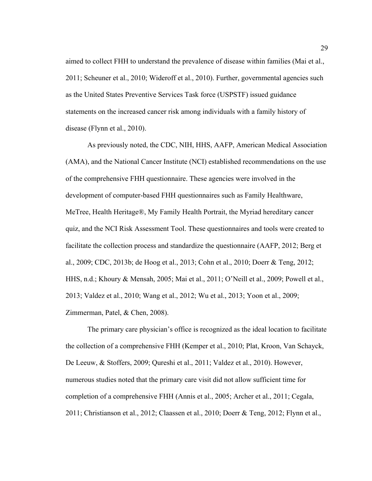aimed to collect FHH to understand the prevalence of disease within families (Mai et al., 2011; Scheuner et al., 2010; Wideroff et al., 2010). Further, governmental agencies such as the United States Preventive Services Task force (USPSTF) issued guidance statements on the increased cancer risk among individuals with a family history of disease (Flynn et al., 2010).

As previously noted, the CDC, NIH, HHS, AAFP, American Medical Association (AMA), and the National Cancer Institute (NCI) established recommendations on the use of the comprehensive FHH questionnaire. These agencies were involved in the development of computer-based FHH questionnaires such as Family Healthware, MeTree, Health Heritage®, My Family Health Portrait, the Myriad hereditary cancer quiz, and the NCI Risk Assessment Tool. These questionnaires and tools were created to facilitate the collection process and standardize the questionnaire (AAFP, 2012; Berg et al., 2009; CDC, 2013b; de Hoog et al., 2013; Cohn et al., 2010; Doerr & Teng, 2012; HHS, n.d.; Khoury & Mensah, 2005; Mai et al., 2011; O'Neill et al., 2009; Powell et al., 2013; Valdez et al., 2010; Wang et al., 2012; Wu et al., 2013; Yoon et al., 2009; Zimmerman, Patel, & Chen, 2008).

The primary care physician's office is recognized as the ideal location to facilitate the collection of a comprehensive FHH (Kemper et al., 2010; Plat, Kroon, Van Schayck, De Leeuw, & Stoffers, 2009; Qureshi et al., 2011; Valdez et al., 2010). However, numerous studies noted that the primary care visit did not allow sufficient time for completion of a comprehensive FHH (Annis et al., 2005; Archer et al., 2011; Cegala, 2011; Christianson et al., 2012; Claassen et al., 2010; Doerr & Teng, 2012; Flynn et al.,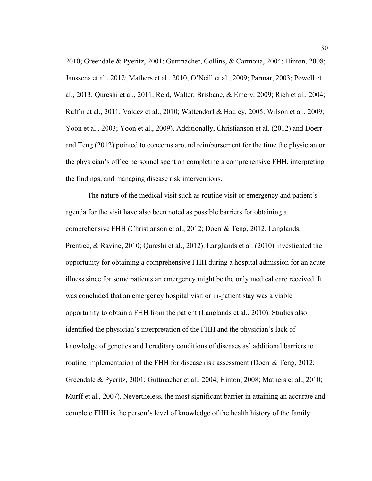2010; Greendale & Pyeritz, 2001; Guttmacher, Collins, & Carmona, 2004; Hinton, 2008; Janssens et al., 2012; Mathers et al., 2010; O'Neill et al., 2009; Parmar, 2003; Powell et al., 2013; Qureshi et al., 2011; Reid, Walter, Brisbane, & Emery, 2009; Rich et al., 2004; Ruffin et al., 2011; Valdez et al., 2010; Wattendorf & Hadley, 2005; Wilson et al., 2009; Yoon et al., 2003; Yoon et al., 2009). Additionally, Christianson et al. (2012) and Doerr and Teng (2012) pointed to concerns around reimbursement for the time the physician or the physician's office personnel spent on completing a comprehensive FHH, interpreting the findings, and managing disease risk interventions.

The nature of the medical visit such as routine visit or emergency and patient's agenda for the visit have also been noted as possible barriers for obtaining a comprehensive FHH (Christianson et al., 2012; Doerr & Teng, 2012; Langlands, Prentice, & Ravine, 2010; Qureshi et al., 2012). Langlands et al. (2010) investigated the opportunity for obtaining a comprehensive FHH during a hospital admission for an acute illness since for some patients an emergency might be the only medical care received. It was concluded that an emergency hospital visit or in-patient stay was a viable opportunity to obtain a FHH from the patient (Langlands et al., 2010). Studies also identified the physician's interpretation of the FHH and the physician's lack of knowledge of genetics and hereditary conditions of diseases as` additional barriers to routine implementation of the FHH for disease risk assessment (Doerr & Teng, 2012; Greendale & Pyeritz, 2001; Guttmacher et al., 2004; Hinton, 2008; Mathers et al., 2010; Murff et al., 2007). Nevertheless, the most significant barrier in attaining an accurate and complete FHH is the person's level of knowledge of the health history of the family.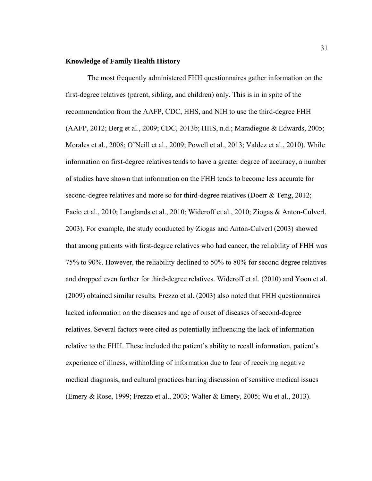### **Knowledge of Family Health History**

The most frequently administered FHH questionnaires gather information on the first-degree relatives (parent, sibling, and children) only. This is in in spite of the recommendation from the AAFP, CDC, HHS, and NIH to use the third-degree FHH (AAFP, 2012; Berg et al., 2009; CDC, 2013b; HHS, n.d.; Maradiegue & Edwards, 2005; Morales et al., 2008; O'Neill et al., 2009; Powell et al., 2013; Valdez et al., 2010). While information on first-degree relatives tends to have a greater degree of accuracy, a number of studies have shown that information on the FHH tends to become less accurate for second-degree relatives and more so for third-degree relatives (Doerr & Teng, 2012; Facio et al., 2010; Langlands et al., 2010; Wideroff et al., 2010; Ziogas & Anton-Culverl, 2003). For example, the study conducted by Ziogas and Anton-Culverl (2003) showed that among patients with first-degree relatives who had cancer, the reliability of FHH was 75% to 90%. However, the reliability declined to 50% to 80% for second degree relatives and dropped even further for third-degree relatives. Wideroff et al. (2010) and Yoon et al. (2009) obtained similar results. Frezzo et al. (2003) also noted that FHH questionnaires lacked information on the diseases and age of onset of diseases of second-degree relatives. Several factors were cited as potentially influencing the lack of information relative to the FHH. These included the patient's ability to recall information, patient's experience of illness, withholding of information due to fear of receiving negative medical diagnosis, and cultural practices barring discussion of sensitive medical issues (Emery & Rose, 1999; Frezzo et al., 2003; Walter & Emery, 2005; Wu et al., 2013).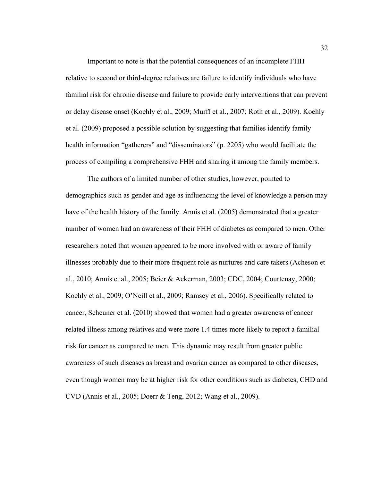Important to note is that the potential consequences of an incomplete FHH relative to second or third-degree relatives are failure to identify individuals who have familial risk for chronic disease and failure to provide early interventions that can prevent or delay disease onset (Koehly et al., 2009; Murff et al., 2007; Roth et al., 2009). Koehly et al. (2009) proposed a possible solution by suggesting that families identify family health information "gatherers" and "disseminators" (p. 2205) who would facilitate the process of compiling a comprehensive FHH and sharing it among the family members.

The authors of a limited number of other studies, however, pointed to demographics such as gender and age as influencing the level of knowledge a person may have of the health history of the family. Annis et al. (2005) demonstrated that a greater number of women had an awareness of their FHH of diabetes as compared to men. Other researchers noted that women appeared to be more involved with or aware of family illnesses probably due to their more frequent role as nurtures and care takers (Acheson et al., 2010; Annis et al., 2005; Beier & Ackerman, 2003; CDC, 2004; Courtenay, 2000; Koehly et al., 2009; O'Neill et al., 2009; Ramsey et al., 2006). Specifically related to cancer, Scheuner et al. (2010) showed that women had a greater awareness of cancer related illness among relatives and were more 1.4 times more likely to report a familial risk for cancer as compared to men. This dynamic may result from greater public awareness of such diseases as breast and ovarian cancer as compared to other diseases, even though women may be at higher risk for other conditions such as diabetes, CHD and CVD (Annis et al., 2005; Doerr & Teng, 2012; Wang et al., 2009).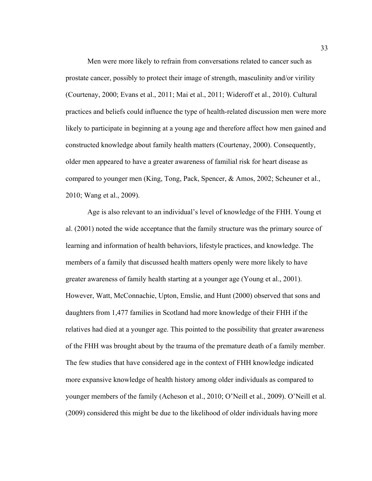Men were more likely to refrain from conversations related to cancer such as prostate cancer, possibly to protect their image of strength, masculinity and/or virility (Courtenay, 2000; Evans et al., 2011; Mai et al., 2011; Wideroff et al., 2010). Cultural practices and beliefs could influence the type of health-related discussion men were more likely to participate in beginning at a young age and therefore affect how men gained and constructed knowledge about family health matters (Courtenay, 2000). Consequently, older men appeared to have a greater awareness of familial risk for heart disease as compared to younger men (King, Tong, Pack, Spencer, & Amos, 2002; Scheuner et al., 2010; Wang et al., 2009).

Age is also relevant to an individual's level of knowledge of the FHH. Young et al. (2001) noted the wide acceptance that the family structure was the primary source of learning and information of health behaviors, lifestyle practices, and knowledge. The members of a family that discussed health matters openly were more likely to have greater awareness of family health starting at a younger age (Young et al., 2001). However, Watt, McConnachie, Upton, Emslie, and Hunt (2000) observed that sons and daughters from 1,477 families in Scotland had more knowledge of their FHH if the relatives had died at a younger age. This pointed to the possibility that greater awareness of the FHH was brought about by the trauma of the premature death of a family member. The few studies that have considered age in the context of FHH knowledge indicated more expansive knowledge of health history among older individuals as compared to younger members of the family (Acheson et al., 2010; O'Neill et al., 2009). O'Neill et al. (2009) considered this might be due to the likelihood of older individuals having more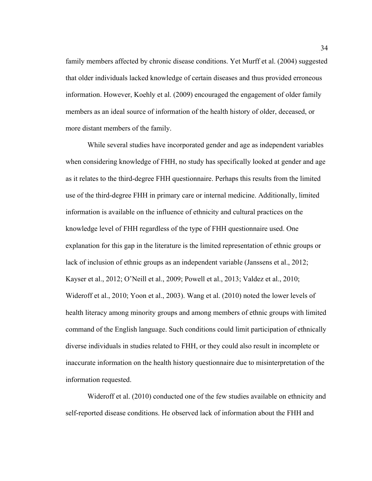family members affected by chronic disease conditions. Yet Murff et al. (2004) suggested that older individuals lacked knowledge of certain diseases and thus provided erroneous information. However, Koehly et al. (2009) encouraged the engagement of older family members as an ideal source of information of the health history of older, deceased, or more distant members of the family.

While several studies have incorporated gender and age as independent variables when considering knowledge of FHH, no study has specifically looked at gender and age as it relates to the third-degree FHH questionnaire. Perhaps this results from the limited use of the third-degree FHH in primary care or internal medicine. Additionally, limited information is available on the influence of ethnicity and cultural practices on the knowledge level of FHH regardless of the type of FHH questionnaire used. One explanation for this gap in the literature is the limited representation of ethnic groups or lack of inclusion of ethnic groups as an independent variable (Janssens et al., 2012; Kayser et al., 2012; O'Neill et al., 2009; Powell et al., 2013; Valdez et al., 2010; Wideroff et al., 2010; Yoon et al., 2003). Wang et al. (2010) noted the lower levels of health literacy among minority groups and among members of ethnic groups with limited command of the English language. Such conditions could limit participation of ethnically diverse individuals in studies related to FHH, or they could also result in incomplete or inaccurate information on the health history questionnaire due to misinterpretation of the information requested.

Wideroff et al. (2010) conducted one of the few studies available on ethnicity and self-reported disease conditions. He observed lack of information about the FHH and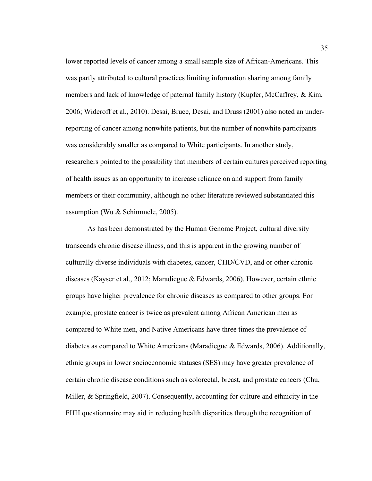lower reported levels of cancer among a small sample size of African-Americans. This was partly attributed to cultural practices limiting information sharing among family members and lack of knowledge of paternal family history (Kupfer, McCaffrey, & Kim, 2006; Wideroff et al., 2010). Desai, Bruce, Desai, and Druss (2001) also noted an underreporting of cancer among nonwhite patients, but the number of nonwhite participants was considerably smaller as compared to White participants. In another study, researchers pointed to the possibility that members of certain cultures perceived reporting of health issues as an opportunity to increase reliance on and support from family members or their community, although no other literature reviewed substantiated this assumption (Wu & Schimmele, 2005).

As has been demonstrated by the Human Genome Project, cultural diversity transcends chronic disease illness, and this is apparent in the growing number of culturally diverse individuals with diabetes, cancer, CHD/CVD, and or other chronic diseases (Kayser et al., 2012; Maradiegue & Edwards, 2006). However, certain ethnic groups have higher prevalence for chronic diseases as compared to other groups. For example, prostate cancer is twice as prevalent among African American men as compared to White men, and Native Americans have three times the prevalence of diabetes as compared to White Americans (Maradiegue & Edwards, 2006). Additionally, ethnic groups in lower socioeconomic statuses (SES) may have greater prevalence of certain chronic disease conditions such as colorectal, breast, and prostate cancers (Chu, Miller, & Springfield, 2007). Consequently, accounting for culture and ethnicity in the FHH questionnaire may aid in reducing health disparities through the recognition of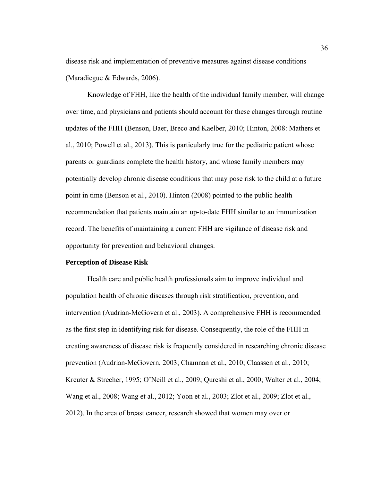disease risk and implementation of preventive measures against disease conditions (Maradiegue & Edwards, 2006).

Knowledge of FHH, like the health of the individual family member, will change over time, and physicians and patients should account for these changes through routine updates of the FHH (Benson, Baer, Breco and Kaelber, 2010; Hinton, 2008: Mathers et al., 2010; Powell et al., 2013). This is particularly true for the pediatric patient whose parents or guardians complete the health history, and whose family members may potentially develop chronic disease conditions that may pose risk to the child at a future point in time (Benson et al., 2010). Hinton (2008) pointed to the public health recommendation that patients maintain an up-to-date FHH similar to an immunization record. The benefits of maintaining a current FHH are vigilance of disease risk and opportunity for prevention and behavioral changes.

### **Perception of Disease Risk**

 Health care and public health professionals aim to improve individual and population health of chronic diseases through risk stratification, prevention, and intervention (Audrian-McGovern et al., 2003). A comprehensive FHH is recommended as the first step in identifying risk for disease. Consequently, the role of the FHH in creating awareness of disease risk is frequently considered in researching chronic disease prevention (Audrian-McGovern, 2003; Chamnan et al., 2010; Claassen et al., 2010; Kreuter & Strecher, 1995; O'Neill et al., 2009; Qureshi et al., 2000; Walter et al., 2004; Wang et al., 2008; Wang et al., 2012; Yoon et al., 2003; Zlot et al., 2009; Zlot et al., 2012). In the area of breast cancer, research showed that women may over or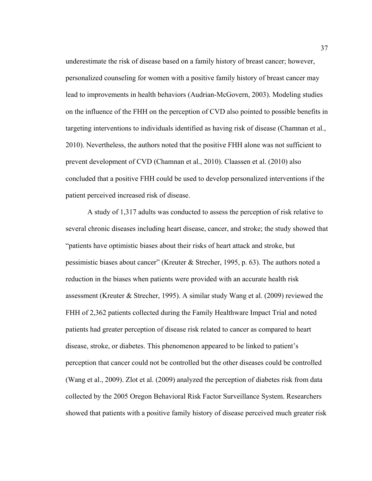underestimate the risk of disease based on a family history of breast cancer; however, personalized counseling for women with a positive family history of breast cancer may lead to improvements in health behaviors (Audrian-McGovern, 2003). Modeling studies on the influence of the FHH on the perception of CVD also pointed to possible benefits in targeting interventions to individuals identified as having risk of disease (Chamnan et al., 2010). Nevertheless, the authors noted that the positive FHH alone was not sufficient to prevent development of CVD (Chamnan et al., 2010). Claassen et al. (2010) also concluded that a positive FHH could be used to develop personalized interventions if the patient perceived increased risk of disease.

 A study of 1,317 adults was conducted to assess the perception of risk relative to several chronic diseases including heart disease, cancer, and stroke; the study showed that "patients have optimistic biases about their risks of heart attack and stroke, but pessimistic biases about cancer" (Kreuter & Strecher, 1995, p. 63). The authors noted a reduction in the biases when patients were provided with an accurate health risk assessment (Kreuter & Strecher, 1995). A similar study Wang et al. (2009) reviewed the FHH of 2,362 patients collected during the Family Healthware Impact Trial and noted patients had greater perception of disease risk related to cancer as compared to heart disease, stroke, or diabetes. This phenomenon appeared to be linked to patient's perception that cancer could not be controlled but the other diseases could be controlled (Wang et al., 2009). Zlot et al. (2009) analyzed the perception of diabetes risk from data collected by the 2005 Oregon Behavioral Risk Factor Surveillance System. Researchers showed that patients with a positive family history of disease perceived much greater risk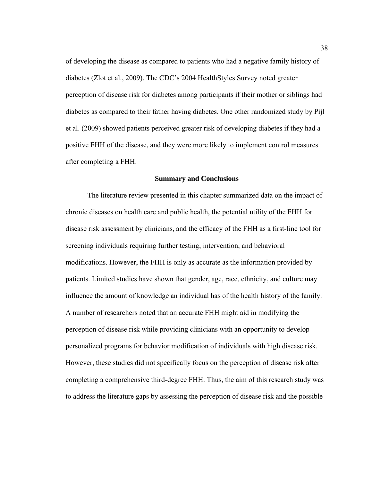of developing the disease as compared to patients who had a negative family history of diabetes (Zlot et al., 2009). The CDC's 2004 HealthStyles Survey noted greater perception of disease risk for diabetes among participants if their mother or siblings had diabetes as compared to their father having diabetes. One other randomized study by Pijl et al. (2009) showed patients perceived greater risk of developing diabetes if they had a positive FHH of the disease, and they were more likely to implement control measures after completing a FHH.

### **Summary and Conclusions**

 The literature review presented in this chapter summarized data on the impact of chronic diseases on health care and public health, the potential utility of the FHH for disease risk assessment by clinicians, and the efficacy of the FHH as a first-line tool for screening individuals requiring further testing, intervention, and behavioral modifications. However, the FHH is only as accurate as the information provided by patients. Limited studies have shown that gender, age, race, ethnicity, and culture may influence the amount of knowledge an individual has of the health history of the family. A number of researchers noted that an accurate FHH might aid in modifying the perception of disease risk while providing clinicians with an opportunity to develop personalized programs for behavior modification of individuals with high disease risk. However, these studies did not specifically focus on the perception of disease risk after completing a comprehensive third-degree FHH. Thus, the aim of this research study was to address the literature gaps by assessing the perception of disease risk and the possible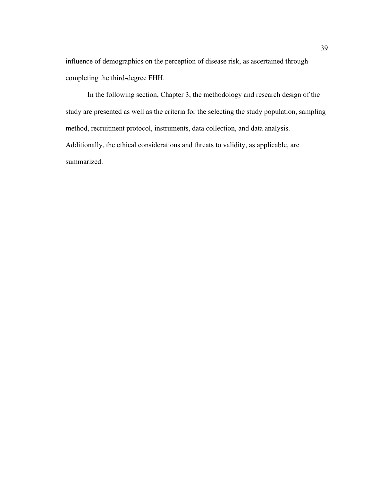influence of demographics on the perception of disease risk, as ascertained through completing the third-degree FHH.

In the following section, Chapter 3, the methodology and research design of the study are presented as well as the criteria for the selecting the study population, sampling method, recruitment protocol, instruments, data collection, and data analysis. Additionally, the ethical considerations and threats to validity, as applicable, are summarized.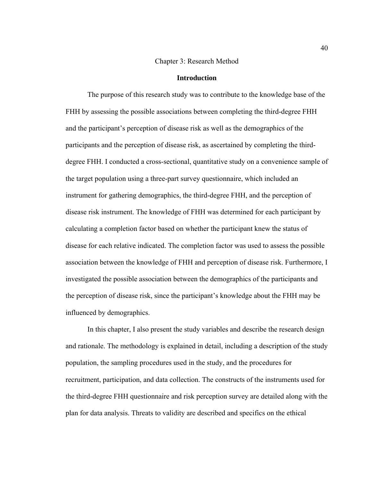### Chapter 3: Research Method

#### **Introduction**

 The purpose of this research study was to contribute to the knowledge base of the FHH by assessing the possible associations between completing the third-degree FHH and the participant's perception of disease risk as well as the demographics of the participants and the perception of disease risk, as ascertained by completing the thirddegree FHH. I conducted a cross-sectional, quantitative study on a convenience sample of the target population using a three-part survey questionnaire, which included an instrument for gathering demographics, the third-degree FHH, and the perception of disease risk instrument. The knowledge of FHH was determined for each participant by calculating a completion factor based on whether the participant knew the status of disease for each relative indicated. The completion factor was used to assess the possible association between the knowledge of FHH and perception of disease risk. Furthermore, I investigated the possible association between the demographics of the participants and the perception of disease risk, since the participant's knowledge about the FHH may be influenced by demographics.

In this chapter, I also present the study variables and describe the research design and rationale. The methodology is explained in detail, including a description of the study population, the sampling procedures used in the study, and the procedures for recruitment, participation, and data collection. The constructs of the instruments used for the third-degree FHH questionnaire and risk perception survey are detailed along with the plan for data analysis. Threats to validity are described and specifics on the ethical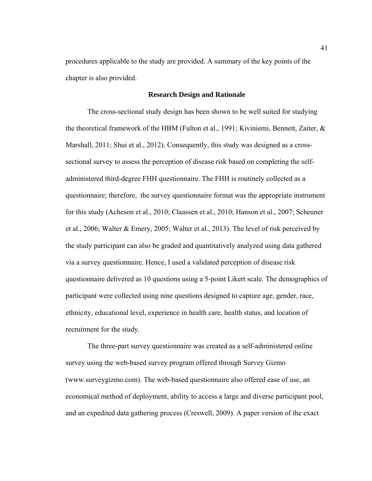procedures applicable to the study are provided. A summary of the key points of the chapter is also provided.

### **Research Design and Rationale**

The cross-sectional study design has been shown to be well suited for studying the theoretical framework of the HBM (Fulton et al., 1991; Kiviniemi, Bennett, Zaiter, & Marshall, 2011; Shui et al., 2012). Consequently, this study was designed as a crosssectional survey to assess the perception of disease risk based on completing the selfadministered third-degree FHH questionnaire. The FHH is routinely collected as a questionnaire; therefore, the survey questionnaire format was the appropriate instrument for this study (Acheson et al., 2010; Claassen et al., 2010; Hanson et al., 2007; Scheuner et al., 2006; Walter & Emery, 2005; Walter et al., 2013). The level of risk perceived by the study participant can also be graded and quantitatively analyzed using data gathered via a survey questionnaire. Hence, I used a validated perception of disease risk questionnaire delivered as 10 questions using a 5-point Likert scale. The demographics of participant were collected using nine questions designed to capture age, gender, race, ethnicity, educational level, experience in health care, health status, and location of recruitment for the study.

The three-part survey questionnaire was created as a self-administered online survey using the web-based survey program offered through Survey Gizmo (www.surveygizmo.com). The web-based questionnaire also offered ease of use, an economical method of deployment, ability to access a large and diverse participant pool, and an expedited data gathering process (Creswell, 2009). A paper version of the exact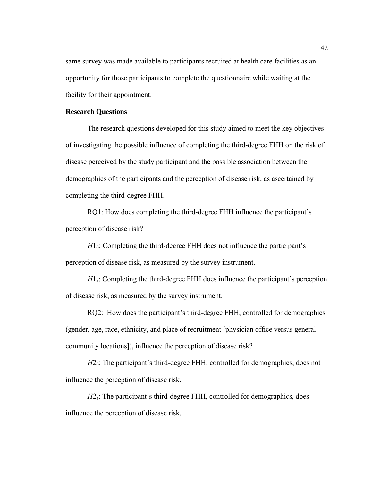same survey was made available to participants recruited at health care facilities as an opportunity for those participants to complete the questionnaire while waiting at the facility for their appointment.

### **Research Questions**

The research questions developed for this study aimed to meet the key objectives of investigating the possible influence of completing the third-degree FHH on the risk of disease perceived by the study participant and the possible association between the demographics of the participants and the perception of disease risk, as ascertained by completing the third-degree FHH.

RQ1: How does completing the third-degree FHH influence the participant's perception of disease risk?

 $H_0$ : Completing the third-degree FHH does not influence the participant's perception of disease risk, as measured by the survey instrument.

*H*<sub>1</sub>: Completing the third-degree FHH does influence the participant's perception of disease risk, as measured by the survey instrument.

RQ2: How does the participant's third-degree FHH, controlled for demographics (gender, age, race, ethnicity, and place of recruitment [physician office versus general community locations]), influence the perception of disease risk?

*H*2<sub>0</sub>: The participant's third-degree FHH, controlled for demographics, does not influence the perception of disease risk.

*H*2<sub>a</sub>: The participant's third-degree FHH, controlled for demographics, does influence the perception of disease risk.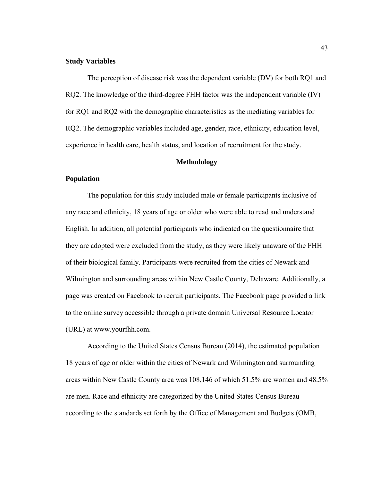### **Study Variables**

The perception of disease risk was the dependent variable (DV) for both RQ1 and RQ2. The knowledge of the third-degree FHH factor was the independent variable (IV) for RQ1 and RQ2 with the demographic characteristics as the mediating variables for RQ2. The demographic variables included age, gender, race, ethnicity, education level, experience in health care, health status, and location of recruitment for the study.

### **Methodology**

### **Population**

The population for this study included male or female participants inclusive of any race and ethnicity, 18 years of age or older who were able to read and understand English. In addition, all potential participants who indicated on the questionnaire that they are adopted were excluded from the study, as they were likely unaware of the FHH of their biological family. Participants were recruited from the cities of Newark and Wilmington and surrounding areas within New Castle County, Delaware. Additionally, a page was created on Facebook to recruit participants. The Facebook page provided a link to the online survey accessible through a private domain Universal Resource Locator (URL) at www.yourfhh.com.

According to the United States Census Bureau (2014), the estimated population 18 years of age or older within the cities of Newark and Wilmington and surrounding areas within New Castle County area was 108,146 of which 51.5% are women and 48.5% are men. Race and ethnicity are categorized by the United States Census Bureau according to the standards set forth by the Office of Management and Budgets (OMB,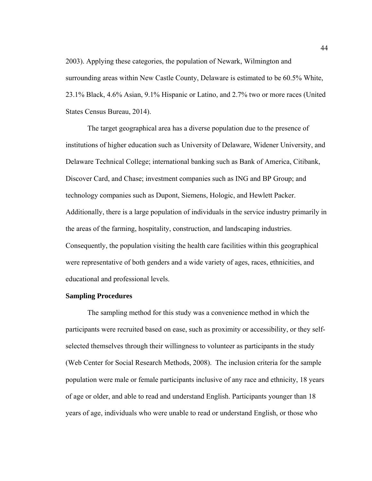2003). Applying these categories, the population of Newark, Wilmington and surrounding areas within New Castle County, Delaware is estimated to be 60.5% White, 23.1% Black, 4.6% Asian, 9.1% Hispanic or Latino, and 2.7% two or more races (United States Census Bureau, 2014).

The target geographical area has a diverse population due to the presence of institutions of higher education such as University of Delaware, Widener University, and Delaware Technical College; international banking such as Bank of America, Citibank, Discover Card, and Chase; investment companies such as ING and BP Group; and technology companies such as Dupont, Siemens, Hologic, and Hewlett Packer. Additionally, there is a large population of individuals in the service industry primarily in the areas of the farming, hospitality, construction, and landscaping industries. Consequently, the population visiting the health care facilities within this geographical were representative of both genders and a wide variety of ages, races, ethnicities, and educational and professional levels.

### **Sampling Procedures**

The sampling method for this study was a convenience method in which the participants were recruited based on ease, such as proximity or accessibility, or they selfselected themselves through their willingness to volunteer as participants in the study (Web Center for Social Research Methods, 2008). The inclusion criteria for the sample population were male or female participants inclusive of any race and ethnicity, 18 years of age or older, and able to read and understand English. Participants younger than 18 years of age, individuals who were unable to read or understand English, or those who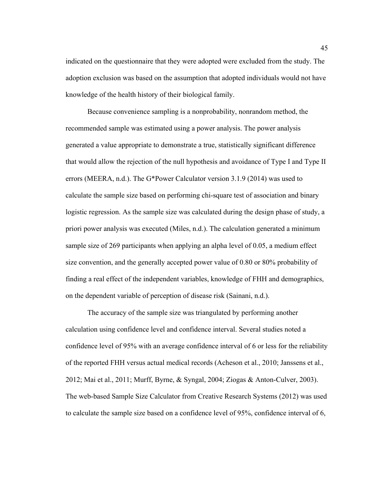indicated on the questionnaire that they were adopted were excluded from the study. The adoption exclusion was based on the assumption that adopted individuals would not have knowledge of the health history of their biological family.

Because convenience sampling is a nonprobability, nonrandom method, the recommended sample was estimated using a power analysis. The power analysis generated a value appropriate to demonstrate a true, statistically significant difference that would allow the rejection of the null hypothesis and avoidance of Type I and Type II errors (MEERA, n.d.). The G\*Power Calculator version 3.1.9 (2014) was used to calculate the sample size based on performing chi-square test of association and binary logistic regression. As the sample size was calculated during the design phase of study, a priori power analysis was executed (Miles, n.d.). The calculation generated a minimum sample size of 269 participants when applying an alpha level of 0.05, a medium effect size convention, and the generally accepted power value of 0.80 or 80% probability of finding a real effect of the independent variables, knowledge of FHH and demographics, on the dependent variable of perception of disease risk (Sainani, n.d.).

The accuracy of the sample size was triangulated by performing another calculation using confidence level and confidence interval. Several studies noted a confidence level of 95% with an average confidence interval of 6 or less for the reliability of the reported FHH versus actual medical records (Acheson et al., 2010; Janssens et al., 2012; Mai et al., 2011; Murff, Byrne, & Syngal, 2004; Ziogas & Anton-Culver, 2003). The web-based Sample Size Calculator from Creative Research Systems (2012) was used to calculate the sample size based on a confidence level of 95%, confidence interval of 6,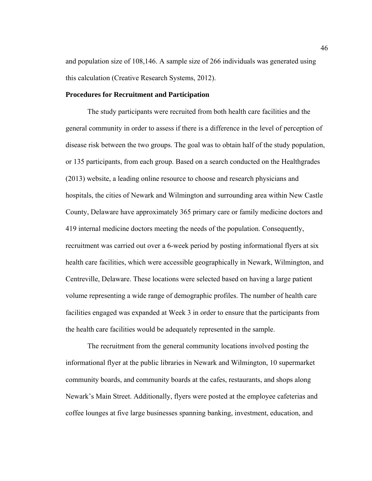and population size of 108,146. A sample size of 266 individuals was generated using this calculation (Creative Research Systems, 2012).

### **Procedures for Recruitment and Participation**

The study participants were recruited from both health care facilities and the general community in order to assess if there is a difference in the level of perception of disease risk between the two groups. The goal was to obtain half of the study population, or 135 participants, from each group. Based on a search conducted on the Healthgrades (2013) website, a leading online resource to choose and research physicians and hospitals, the cities of Newark and Wilmington and surrounding area within New Castle County, Delaware have approximately 365 primary care or family medicine doctors and 419 internal medicine doctors meeting the needs of the population. Consequently, recruitment was carried out over a 6-week period by posting informational flyers at six health care facilities, which were accessible geographically in Newark, Wilmington, and Centreville, Delaware. These locations were selected based on having a large patient volume representing a wide range of demographic profiles. The number of health care facilities engaged was expanded at Week 3 in order to ensure that the participants from the health care facilities would be adequately represented in the sample.

The recruitment from the general community locations involved posting the informational flyer at the public libraries in Newark and Wilmington, 10 supermarket community boards, and community boards at the cafes, restaurants, and shops along Newark's Main Street. Additionally, flyers were posted at the employee cafeterias and coffee lounges at five large businesses spanning banking, investment, education, and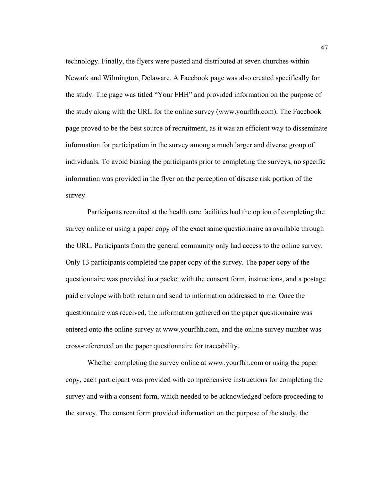technology. Finally, the flyers were posted and distributed at seven churches within Newark and Wilmington, Delaware. A Facebook page was also created specifically for the study. The page was titled "Your FHH" and provided information on the purpose of the study along with the URL for the online survey (www.yourfhh.com). The Facebook page proved to be the best source of recruitment, as it was an efficient way to disseminate information for participation in the survey among a much larger and diverse group of individuals. To avoid biasing the participants prior to completing the surveys, no specific information was provided in the flyer on the perception of disease risk portion of the survey.

Participants recruited at the health care facilities had the option of completing the survey online or using a paper copy of the exact same questionnaire as available through the URL. Participants from the general community only had access to the online survey. Only 13 participants completed the paper copy of the survey. The paper copy of the questionnaire was provided in a packet with the consent form, instructions, and a postage paid envelope with both return and send to information addressed to me. Once the questionnaire was received, the information gathered on the paper questionnaire was entered onto the online survey at www.yourfhh.com, and the online survey number was cross-referenced on the paper questionnaire for traceability.

Whether completing the survey online at www.yourfhh.com or using the paper copy, each participant was provided with comprehensive instructions for completing the survey and with a consent form, which needed to be acknowledged before proceeding to the survey. The consent form provided information on the purpose of the study, the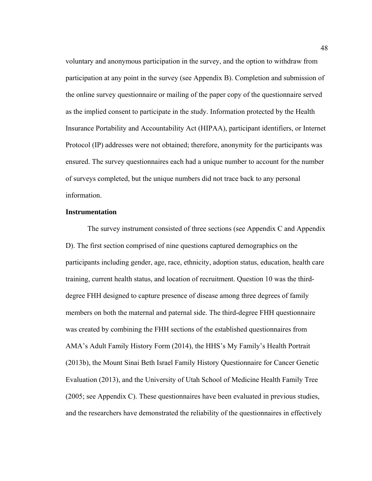voluntary and anonymous participation in the survey, and the option to withdraw from participation at any point in the survey (see Appendix B). Completion and submission of the online survey questionnaire or mailing of the paper copy of the questionnaire served as the implied consent to participate in the study. Information protected by the Health Insurance Portability and Accountability Act (HIPAA), participant identifiers, or Internet Protocol (IP) addresses were not obtained; therefore, anonymity for the participants was ensured. The survey questionnaires each had a unique number to account for the number of surveys completed, but the unique numbers did not trace back to any personal information.

### **Instrumentation**

The survey instrument consisted of three sections (see Appendix C and Appendix D). The first section comprised of nine questions captured demographics on the participants including gender, age, race, ethnicity, adoption status, education, health care training, current health status, and location of recruitment. Question 10 was the thirddegree FHH designed to capture presence of disease among three degrees of family members on both the maternal and paternal side. The third-degree FHH questionnaire was created by combining the FHH sections of the established questionnaires from AMA's Adult Family History Form (2014), the HHS's My Family's Health Portrait (2013b), the Mount Sinai Beth Israel Family History Questionnaire for Cancer Genetic Evaluation (2013), and the University of Utah School of Medicine Health Family Tree (2005; see Appendix C). These questionnaires have been evaluated in previous studies, and the researchers have demonstrated the reliability of the questionnaires in effectively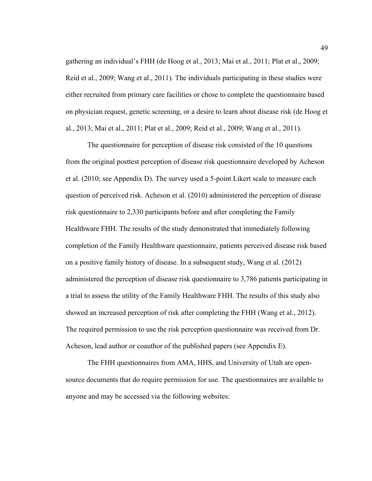gathering an individual's FHH (de Hoog et al., 2013; Mai et al., 2011; Plat et al., 2009; Reid et al., 2009; Wang et al., 2011). The individuals participating in these studies were either recruited from primary care facilities or chose to complete the questionnaire based on physician request, genetic screening, or a desire to learn about disease risk (de Hoog et al., 2013; Mai et al., 2011; Plat et al., 2009; Reid et al., 2009; Wang et al., 2011).

The questionnaire for perception of disease risk consisted of the 10 questions from the original posttest perception of disease risk questionnaire developed by Acheson et al. (2010; see Appendix D). The survey used a 5-point Likert scale to measure each question of perceived risk. Acheson et al. (2010) administered the perception of disease risk questionnaire to 2,330 participants before and after completing the Family Healthware FHH. The results of the study demonstrated that immediately following completion of the Family Healthware questionnaire, patients perceived disease risk based on a positive family history of disease. In a subsequent study, Wang et al. (2012) administered the perception of disease risk questionnaire to 3,786 patients participating in a trial to assess the utility of the Family Healthware FHH. The results of this study also showed an increased perception of risk after completing the FHH (Wang et al., 2012). The required permission to use the risk perception questionnaire was received from Dr. Acheson, lead author or coauthor of the published papers (see Appendix E).

The FHH questionnaires from AMA, HHS, and University of Utah are opensource documents that do require permission for use. The questionnaires are available to anyone and may be accessed via the following websites: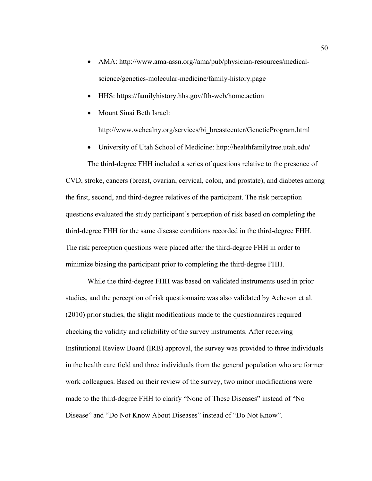- AMA: http://www.ama-assn.org//ama/pub/physician-resources/medicalscience/genetics-molecular-medicine/family-history.page
- HHS: https://familyhistory.hhs.gov/ffh-web/home.action
- Mount Sinai Beth Israel:

http://www.wehealny.org/services/bi\_breastcenter/GeneticProgram.html

University of Utah School of Medicine: http://healthfamilytree.utah.edu/

 The third-degree FHH included a series of questions relative to the presence of CVD, stroke, cancers (breast, ovarian, cervical, colon, and prostate), and diabetes among the first, second, and third-degree relatives of the participant. The risk perception questions evaluated the study participant's perception of risk based on completing the third-degree FHH for the same disease conditions recorded in the third-degree FHH. The risk perception questions were placed after the third-degree FHH in order to minimize biasing the participant prior to completing the third-degree FHH.

 While the third-degree FHH was based on validated instruments used in prior studies, and the perception of risk questionnaire was also validated by Acheson et al. (2010) prior studies, the slight modifications made to the questionnaires required checking the validity and reliability of the survey instruments. After receiving Institutional Review Board (IRB) approval, the survey was provided to three individuals in the health care field and three individuals from the general population who are former work colleagues. Based on their review of the survey, two minor modifications were made to the third-degree FHH to clarify "None of These Diseases" instead of "No Disease" and "Do Not Know About Diseases" instead of "Do Not Know".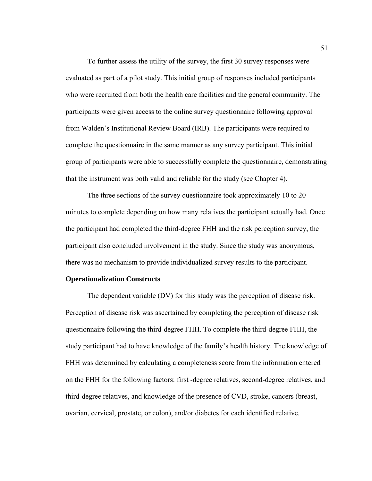To further assess the utility of the survey, the first 30 survey responses were evaluated as part of a pilot study. This initial group of responses included participants who were recruited from both the health care facilities and the general community. The participants were given access to the online survey questionnaire following approval from Walden's Institutional Review Board (IRB). The participants were required to complete the questionnaire in the same manner as any survey participant. This initial group of participants were able to successfully complete the questionnaire, demonstrating that the instrument was both valid and reliable for the study (see Chapter 4).

The three sections of the survey questionnaire took approximately 10 to 20 minutes to complete depending on how many relatives the participant actually had. Once the participant had completed the third-degree FHH and the risk perception survey, the participant also concluded involvement in the study. Since the study was anonymous, there was no mechanism to provide individualized survey results to the participant.

### **Operationalization Constructs**

 The dependent variable (DV) for this study was the perception of disease risk. Perception of disease risk was ascertained by completing the perception of disease risk questionnaire following the third-degree FHH. To complete the third-degree FHH, the study participant had to have knowledge of the family's health history. The knowledge of FHH was determined by calculating a completeness score from the information entered on the FHH for the following factors: first -degree relatives, second-degree relatives, and third-degree relatives, and knowledge of the presence of CVD, stroke, cancers (breast, ovarian, cervical, prostate, or colon), and/or diabetes for each identified relative*.*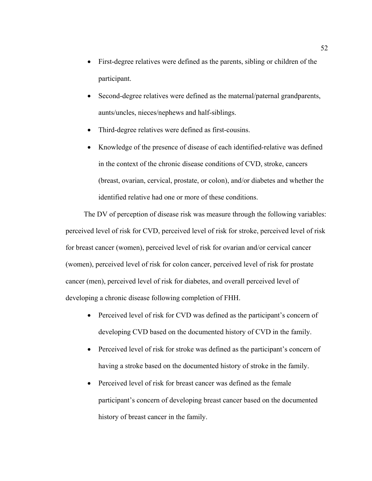- First-degree relatives were defined as the parents, sibling or children of the participant.
- Second-degree relatives were defined as the maternal/paternal grandparents, aunts/uncles, nieces/nephews and half-siblings.
- Third-degree relatives were defined as first-cousins.
- Knowledge of the presence of disease of each identified-relative was defined in the context of the chronic disease conditions of CVD, stroke, cancers (breast, ovarian, cervical, prostate, or colon), and/or diabetes and whether the identified relative had one or more of these conditions.

The DV of perception of disease risk was measure through the following variables: perceived level of risk for CVD, perceived level of risk for stroke, perceived level of risk for breast cancer (women), perceived level of risk for ovarian and/or cervical cancer (women), perceived level of risk for colon cancer, perceived level of risk for prostate cancer (men), perceived level of risk for diabetes, and overall perceived level of developing a chronic disease following completion of FHH.

- Perceived level of risk for CVD was defined as the participant's concern of developing CVD based on the documented history of CVD in the family.
- Perceived level of risk for stroke was defined as the participant's concern of having a stroke based on the documented history of stroke in the family.
- Perceived level of risk for breast cancer was defined as the female participant's concern of developing breast cancer based on the documented history of breast cancer in the family.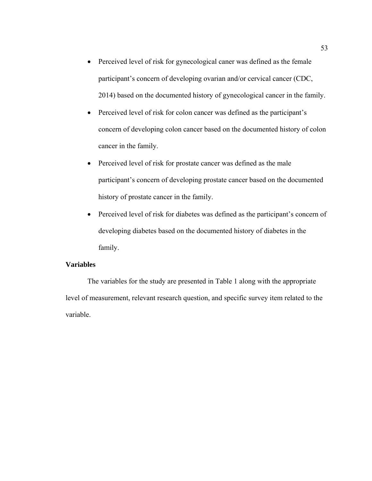- Perceived level of risk for gynecological caner was defined as the female participant's concern of developing ovarian and/or cervical cancer (CDC, 2014) based on the documented history of gynecological cancer in the family.
- Perceived level of risk for colon cancer was defined as the participant's concern of developing colon cancer based on the documented history of colon cancer in the family.
- Perceived level of risk for prostate cancer was defined as the male participant's concern of developing prostate cancer based on the documented history of prostate cancer in the family.
- Perceived level of risk for diabetes was defined as the participant's concern of developing diabetes based on the documented history of diabetes in the family.

# **Variables**

 The variables for the study are presented in Table 1 along with the appropriate level of measurement, relevant research question, and specific survey item related to the variable.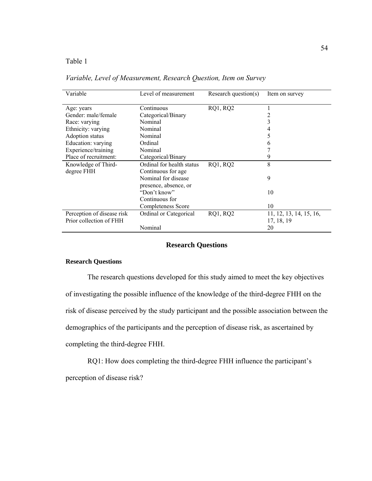Table 1

| Variable                   | Level of measurement      | Research question(s) | Item on survey          |
|----------------------------|---------------------------|----------------------|-------------------------|
| Age: years                 | Continuous                | <b>RQ1, RQ2</b>      |                         |
| Gender: male/female        | Categorical/Binary        |                      |                         |
| Race: varying              | Nominal                   |                      | 3                       |
| Ethnicity: varying         | Nominal                   |                      | 4                       |
| Adoption status            | Nominal                   |                      | 5                       |
| Education: varying         | Ordinal                   |                      | b                       |
| Experience/training        | Nominal                   |                      |                         |
| Place of recruitment:      | Categorical/Binary        |                      | 9                       |
| Knowledge of Third-        | Ordinal for health status | <b>RQ1, RQ2</b>      | 8                       |
| degree FHH                 | Continuous for age        |                      |                         |
|                            | Nominal for disease       |                      | 9                       |
|                            | presence, absence, or     |                      |                         |
|                            | "Don't know"              |                      | 10                      |
|                            | Continuous for            |                      |                         |
|                            | Completeness Score        |                      | 10                      |
| Perception of disease risk | Ordinal or Categorical    | <b>RQ1, RQ2</b>      | 11, 12, 13, 14, 15, 16, |
| Prior collection of FHH    |                           |                      | 17, 18, 19              |
|                            | Nominal                   |                      | 20                      |

*Variable, Level of Measurement, Research Question, Item on Survey* 

# **Research Questions**

### **Research Questions**

The research questions developed for this study aimed to meet the key objectives of investigating the possible influence of the knowledge of the third-degree FHH on the risk of disease perceived by the study participant and the possible association between the demographics of the participants and the perception of disease risk, as ascertained by completing the third-degree FHH.

RQ1: How does completing the third-degree FHH influence the participant's perception of disease risk?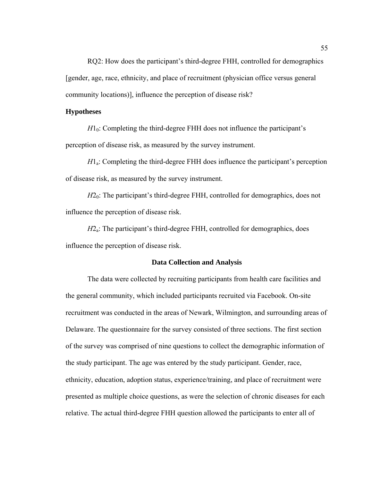RQ2: How does the participant's third-degree FHH, controlled for demographics [gender, age, race, ethnicity, and place of recruitment (physician office versus general community locations)], influence the perception of disease risk?

### **Hypotheses**

 $H1_0$ : Completing the third-degree FHH does not influence the participant's perception of disease risk, as measured by the survey instrument.

*H*<sub>1</sub>: Completing the third-degree FHH does influence the participant's perception of disease risk, as measured by the survey instrument.

*H*<sub>20</sub>: The participant's third-degree FHH, controlled for demographics, does not influence the perception of disease risk.

*H*2<sub>a</sub>: The participant's third-degree FHH, controlled for demographics, does influence the perception of disease risk.

### **Data Collection and Analysis**

The data were collected by recruiting participants from health care facilities and the general community, which included participants recruited via Facebook. On-site recruitment was conducted in the areas of Newark, Wilmington, and surrounding areas of Delaware. The questionnaire for the survey consisted of three sections. The first section of the survey was comprised of nine questions to collect the demographic information of the study participant. The age was entered by the study participant. Gender, race, ethnicity, education, adoption status, experience/training, and place of recruitment were presented as multiple choice questions, as were the selection of chronic diseases for each relative. The actual third-degree FHH question allowed the participants to enter all of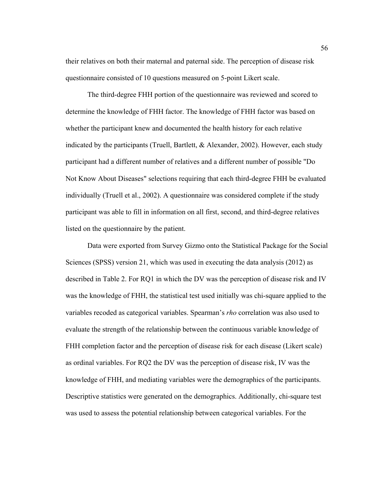their relatives on both their maternal and paternal side. The perception of disease risk questionnaire consisted of 10 questions measured on 5-point Likert scale.

The third-degree FHH portion of the questionnaire was reviewed and scored to determine the knowledge of FHH factor. The knowledge of FHH factor was based on whether the participant knew and documented the health history for each relative indicated by the participants (Truell, Bartlett, & Alexander, 2002). However, each study participant had a different number of relatives and a different number of possible "Do Not Know About Diseases" selections requiring that each third-degree FHH be evaluated individually (Truell et al., 2002). A questionnaire was considered complete if the study participant was able to fill in information on all first, second, and third-degree relatives listed on the questionnaire by the patient.

Data were exported from Survey Gizmo onto the Statistical Package for the Social Sciences (SPSS) version 21, which was used in executing the data analysis (2012) as described in Table 2. For RQ1 in which the DV was the perception of disease risk and IV was the knowledge of FHH, the statistical test used initially was chi-square applied to the variables recoded as categorical variables. Spearman's *rho* correlation was also used to evaluate the strength of the relationship between the continuous variable knowledge of FHH completion factor and the perception of disease risk for each disease (Likert scale) as ordinal variables. For RQ2 the DV was the perception of disease risk, IV was the knowledge of FHH, and mediating variables were the demographics of the participants. Descriptive statistics were generated on the demographics. Additionally, chi-square test was used to assess the potential relationship between categorical variables. For the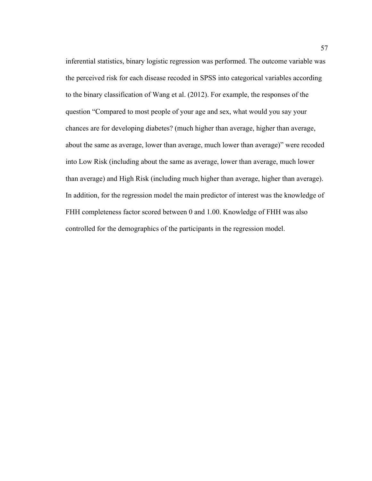inferential statistics, binary logistic regression was performed. The outcome variable was the perceived risk for each disease recoded in SPSS into categorical variables according to the binary classification of Wang et al. (2012). For example, the responses of the question "Compared to most people of your age and sex, what would you say your chances are for developing diabetes? (much higher than average, higher than average, about the same as average, lower than average, much lower than average)" were recoded into Low Risk (including about the same as average, lower than average, much lower than average) and High Risk (including much higher than average, higher than average). In addition, for the regression model the main predictor of interest was the knowledge of FHH completeness factor scored between 0 and 1.00. Knowledge of FHH was also controlled for the demographics of the participants in the regression model.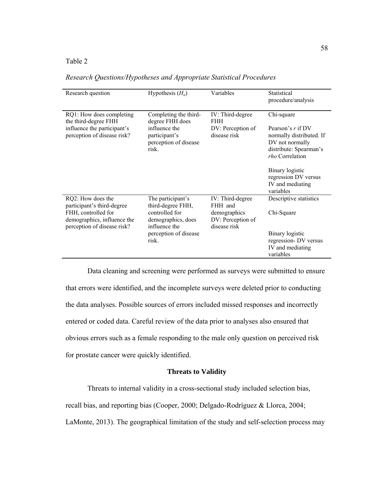# Table 2

| Research question                                                                                                                    | Hypothesis $(H_a)$                                                                                                                | Variables                                                                        | Statistical<br>procedure/analysis                                                                                                    |
|--------------------------------------------------------------------------------------------------------------------------------------|-----------------------------------------------------------------------------------------------------------------------------------|----------------------------------------------------------------------------------|--------------------------------------------------------------------------------------------------------------------------------------|
| RQ1: How does completing<br>the third-degree FHH<br>influence the participant's<br>perception of disease risk?                       | Completing the third-<br>degree FHH does<br>influence the<br>participant's<br>perception of disease<br>risk.                      | IV: Third-degree<br><b>FHH</b><br>DV: Perception of<br>disease risk              | Chi-square<br>Pearson's $r$ if DV<br>normally distributed. If<br>DV not normally<br>distribute: Spearman's<br><i>rho</i> Correlation |
|                                                                                                                                      |                                                                                                                                   |                                                                                  | Binary logistic<br>regression DV versus<br>IV and mediating<br>variables                                                             |
| RQ2: How does the<br>participant's third-degree<br>FHH, controlled for<br>demographics, influence the<br>perception of disease risk? | The participant's<br>third-degree FHH,<br>controlled for<br>demographics, does<br>influence the<br>perception of disease<br>risk. | IV: Third-degree<br>FHH and<br>demographics<br>DV: Perception of<br>disease risk | Descriptive statistics<br>Chi-Square                                                                                                 |
|                                                                                                                                      |                                                                                                                                   |                                                                                  | Binary logistic<br>regression- DV versus<br>IV and mediating<br>variables                                                            |

### *Research Questions/Hypotheses and Appropriate Statistical Procedures*

Data cleaning and screening were performed as surveys were submitted to ensure that errors were identified, and the incomplete surveys were deleted prior to conducting the data analyses. Possible sources of errors included missed responses and incorrectly entered or coded data. Careful review of the data prior to analyses also ensured that obvious errors such as a female responding to the male only question on perceived risk for prostate cancer were quickly identified.

# **Threats to Validity**

Threats to internal validity in a cross-sectional study included selection bias,

recall bias, and reporting bias (Cooper, 2000; Delgado-Rodríguez & Llorca, 2004;

LaMonte, 2013). The geographical limitation of the study and self-selection process may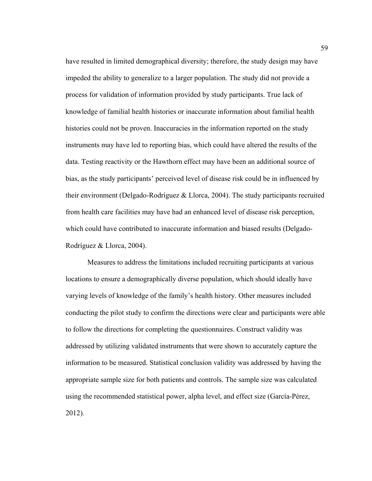have resulted in limited demographical diversity; therefore, the study design may have impeded the ability to generalize to a larger population. The study did not provide a process for validation of information provided by study participants. True lack of knowledge of familial health histories or inaccurate information about familial health histories could not be proven. Inaccuracies in the information reported on the study instruments may have led to reporting bias, which could have altered the results of the data. Testing reactivity or the Hawthorn effect may have been an additional source of bias, as the study participants' perceived level of disease risk could be in influenced by their environment (Delgado-Rodríguez & Llorca, 2004). The study participants recruited from health care facilities may have had an enhanced level of disease risk perception, which could have contributed to inaccurate information and biased results (Delgado-Rodríguez & Llorca, 2004).

Measures to address the limitations included recruiting participants at various locations to ensure a demographically diverse population, which should ideally have varying levels of knowledge of the family's health history. Other measures included conducting the pilot study to confirm the directions were clear and participants were able to follow the directions for completing the questionnaires. Construct validity was addressed by utilizing validated instruments that were shown to accurately capture the information to be measured. Statistical conclusion validity was addressed by having the appropriate sample size for both patients and controls. The sample size was calculated using the recommended statistical power, alpha level, and effect size (García-Pérez, 2012).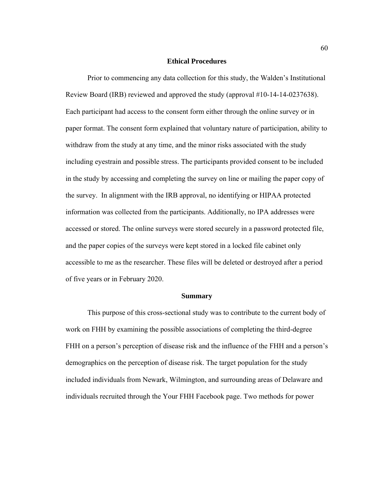### **Ethical Procedures**

Prior to commencing any data collection for this study, the Walden's Institutional Review Board (IRB) reviewed and approved the study (approval #10-14-14-0237638). Each participant had access to the consent form either through the online survey or in paper format. The consent form explained that voluntary nature of participation, ability to withdraw from the study at any time, and the minor risks associated with the study including eyestrain and possible stress. The participants provided consent to be included in the study by accessing and completing the survey on line or mailing the paper copy of the survey. In alignment with the IRB approval, no identifying or HIPAA protected information was collected from the participants. Additionally, no IPA addresses were accessed or stored. The online surveys were stored securely in a password protected file, and the paper copies of the surveys were kept stored in a locked file cabinet only accessible to me as the researcher. These files will be deleted or destroyed after a period of five years or in February 2020.

#### **Summary**

 This purpose of this cross-sectional study was to contribute to the current body of work on FHH by examining the possible associations of completing the third-degree FHH on a person's perception of disease risk and the influence of the FHH and a person's demographics on the perception of disease risk. The target population for the study included individuals from Newark, Wilmington, and surrounding areas of Delaware and individuals recruited through the Your FHH Facebook page. Two methods for power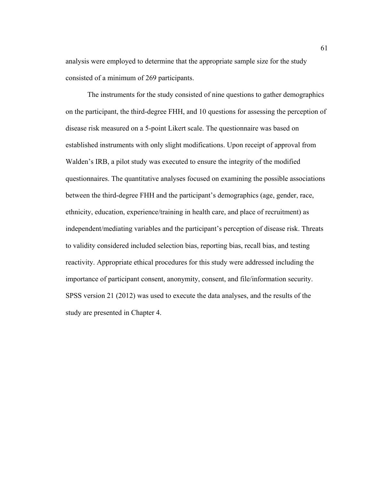analysis were employed to determine that the appropriate sample size for the study consisted of a minimum of 269 participants.

 The instruments for the study consisted of nine questions to gather demographics on the participant, the third-degree FHH, and 10 questions for assessing the perception of disease risk measured on a 5-point Likert scale. The questionnaire was based on established instruments with only slight modifications. Upon receipt of approval from Walden's IRB, a pilot study was executed to ensure the integrity of the modified questionnaires. The quantitative analyses focused on examining the possible associations between the third-degree FHH and the participant's demographics (age, gender, race, ethnicity, education, experience/training in health care, and place of recruitment) as independent/mediating variables and the participant's perception of disease risk. Threats to validity considered included selection bias, reporting bias, recall bias, and testing reactivity. Appropriate ethical procedures for this study were addressed including the importance of participant consent, anonymity, consent, and file/information security. SPSS version 21 (2012) was used to execute the data analyses, and the results of the study are presented in Chapter 4.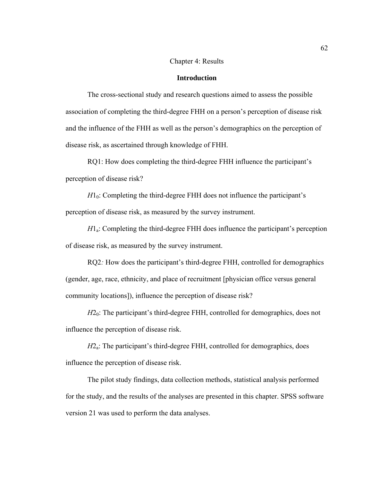### Chapter 4: Results

# **Introduction**

 The cross-sectional study and research questions aimed to assess the possible association of completing the third-degree FHH on a person's perception of disease risk and the influence of the FHH as well as the person's demographics on the perception of disease risk, as ascertained through knowledge of FHH.

RQ1: How does completing the third-degree FHH influence the participant's perception of disease risk?

 $H1_0$ : Completing the third-degree FHH does not influence the participant's perception of disease risk, as measured by the survey instrument.

*H*1a: Completing the third-degree FHH does influence the participant's perception of disease risk, as measured by the survey instrument.

RQ2*:* How does the participant's third-degree FHH, controlled for demographics (gender, age, race, ethnicity, and place of recruitment [physician office versus general community locations]), influence the perception of disease risk?

*H*2<sub>0</sub>: The participant's third-degree FHH, controlled for demographics, does not influence the perception of disease risk.

*H*2<sub>a</sub>: The participant's third-degree FHH, controlled for demographics, does influence the perception of disease risk.

The pilot study findings, data collection methods, statistical analysis performed for the study, and the results of the analyses are presented in this chapter. SPSS software version 21 was used to perform the data analyses.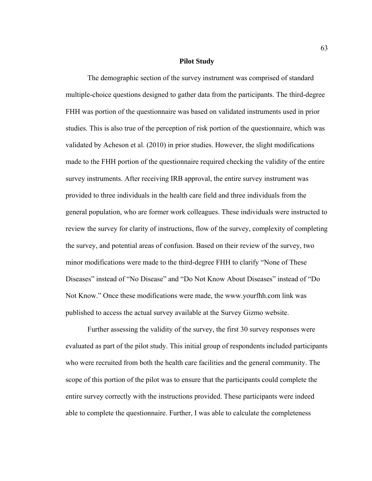### **Pilot Study**

The demographic section of the survey instrument was comprised of standard multiple-choice questions designed to gather data from the participants. The third-degree FHH was portion of the questionnaire was based on validated instruments used in prior studies. This is also true of the perception of risk portion of the questionnaire, which was validated by Acheson et al. (2010) in prior studies. However, the slight modifications made to the FHH portion of the questionnaire required checking the validity of the entire survey instruments. After receiving IRB approval, the entire survey instrument was provided to three individuals in the health care field and three individuals from the general population, who are former work colleagues. These individuals were instructed to review the survey for clarity of instructions, flow of the survey, complexity of completing the survey, and potential areas of confusion. Based on their review of the survey, two minor modifications were made to the third-degree FHH to clarify "None of These Diseases" instead of "No Disease" and "Do Not Know About Diseases" instead of "Do Not Know." Once these modifications were made, the www.yourfhh.com link was published to access the actual survey available at the Survey Gizmo website.

Further assessing the validity of the survey, the first 30 survey responses were evaluated as part of the pilot study. This initial group of respondents included participants who were recruited from both the health care facilities and the general community. The scope of this portion of the pilot was to ensure that the participants could complete the entire survey correctly with the instructions provided. These participants were indeed able to complete the questionnaire. Further, I was able to calculate the completeness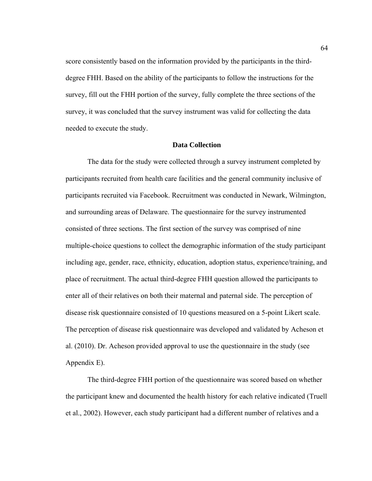score consistently based on the information provided by the participants in the thirddegree FHH. Based on the ability of the participants to follow the instructions for the survey, fill out the FHH portion of the survey, fully complete the three sections of the survey, it was concluded that the survey instrument was valid for collecting the data needed to execute the study.

# **Data Collection**

The data for the study were collected through a survey instrument completed by participants recruited from health care facilities and the general community inclusive of participants recruited via Facebook. Recruitment was conducted in Newark, Wilmington, and surrounding areas of Delaware. The questionnaire for the survey instrumented consisted of three sections. The first section of the survey was comprised of nine multiple-choice questions to collect the demographic information of the study participant including age, gender, race, ethnicity, education, adoption status, experience/training, and place of recruitment. The actual third-degree FHH question allowed the participants to enter all of their relatives on both their maternal and paternal side. The perception of disease risk questionnaire consisted of 10 questions measured on a 5-point Likert scale. The perception of disease risk questionnaire was developed and validated by Acheson et al. (2010). Dr. Acheson provided approval to use the questionnaire in the study (see Appendix E).

The third-degree FHH portion of the questionnaire was scored based on whether the participant knew and documented the health history for each relative indicated (Truell et al., 2002). However, each study participant had a different number of relatives and a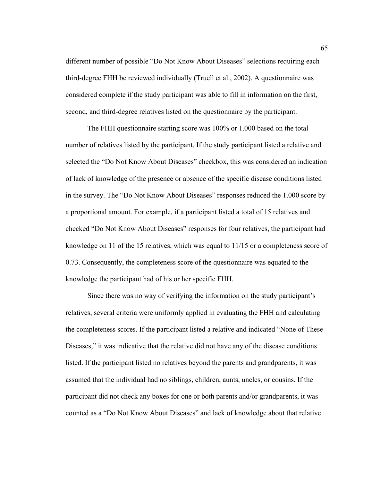different number of possible "Do Not Know About Diseases" selections requiring each third-degree FHH be reviewed individually (Truell et al., 2002). A questionnaire was considered complete if the study participant was able to fill in information on the first, second, and third-degree relatives listed on the questionnaire by the participant.

The FHH questionnaire starting score was 100% or 1.000 based on the total number of relatives listed by the participant. If the study participant listed a relative and selected the "Do Not Know About Diseases" checkbox, this was considered an indication of lack of knowledge of the presence or absence of the specific disease conditions listed in the survey. The "Do Not Know About Diseases" responses reduced the 1.000 score by a proportional amount. For example, if a participant listed a total of 15 relatives and checked "Do Not Know About Diseases" responses for four relatives, the participant had knowledge on 11 of the 15 relatives, which was equal to 11/15 or a completeness score of 0.73. Consequently, the completeness score of the questionnaire was equated to the knowledge the participant had of his or her specific FHH.

Since there was no way of verifying the information on the study participant's relatives, several criteria were uniformly applied in evaluating the FHH and calculating the completeness scores. If the participant listed a relative and indicated "None of These Diseases," it was indicative that the relative did not have any of the disease conditions listed. If the participant listed no relatives beyond the parents and grandparents, it was assumed that the individual had no siblings, children, aunts, uncles, or cousins. If the participant did not check any boxes for one or both parents and/or grandparents, it was counted as a "Do Not Know About Diseases" and lack of knowledge about that relative.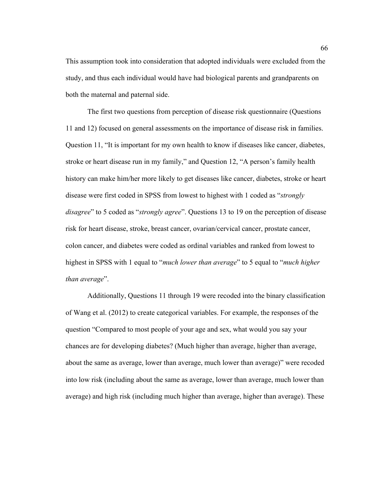This assumption took into consideration that adopted individuals were excluded from the study, and thus each individual would have had biological parents and grandparents on both the maternal and paternal side.

The first two questions from perception of disease risk questionnaire (Questions 11 and 12) focused on general assessments on the importance of disease risk in families. Question 11, "It is important for my own health to know if diseases like cancer, diabetes, stroke or heart disease run in my family," and Question 12, "A person's family health history can make him/her more likely to get diseases like cancer, diabetes, stroke or heart disease were first coded in SPSS from lowest to highest with 1 coded as "*strongly disagree*" to 5 coded as "*strongly agree*". Questions 13 to 19 on the perception of disease risk for heart disease, stroke, breast cancer, ovarian/cervical cancer, prostate cancer, colon cancer, and diabetes were coded as ordinal variables and ranked from lowest to highest in SPSS with 1 equal to "*much lower than average*" to 5 equal to "*much higher than average*".

Additionally, Questions 11 through 19 were recoded into the binary classification of Wang et al. (2012) to create categorical variables. For example, the responses of the question "Compared to most people of your age and sex, what would you say your chances are for developing diabetes? (Much higher than average, higher than average, about the same as average, lower than average, much lower than average)" were recoded into low risk (including about the same as average, lower than average, much lower than average) and high risk (including much higher than average, higher than average). These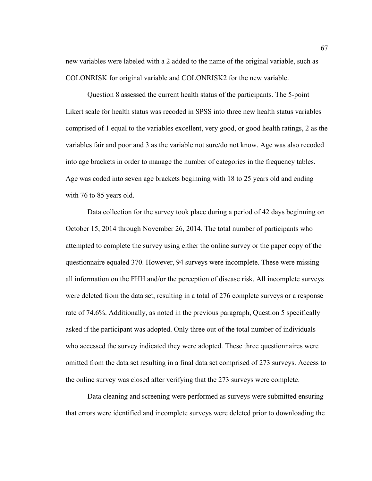new variables were labeled with a 2 added to the name of the original variable, such as COLONRISK for original variable and COLONRISK2 for the new variable.

Question 8 assessed the current health status of the participants. The 5-point Likert scale for health status was recoded in SPSS into three new health status variables comprised of 1 equal to the variables excellent, very good, or good health ratings, 2 as the variables fair and poor and 3 as the variable not sure/do not know. Age was also recoded into age brackets in order to manage the number of categories in the frequency tables. Age was coded into seven age brackets beginning with 18 to 25 years old and ending with 76 to 85 years old.

Data collection for the survey took place during a period of 42 days beginning on October 15, 2014 through November 26, 2014. The total number of participants who attempted to complete the survey using either the online survey or the paper copy of the questionnaire equaled 370. However, 94 surveys were incomplete. These were missing all information on the FHH and/or the perception of disease risk. All incomplete surveys were deleted from the data set, resulting in a total of 276 complete surveys or a response rate of 74.6%. Additionally, as noted in the previous paragraph, Question 5 specifically asked if the participant was adopted. Only three out of the total number of individuals who accessed the survey indicated they were adopted. These three questionnaires were omitted from the data set resulting in a final data set comprised of 273 surveys. Access to the online survey was closed after verifying that the 273 surveys were complete.

Data cleaning and screening were performed as surveys were submitted ensuring that errors were identified and incomplete surveys were deleted prior to downloading the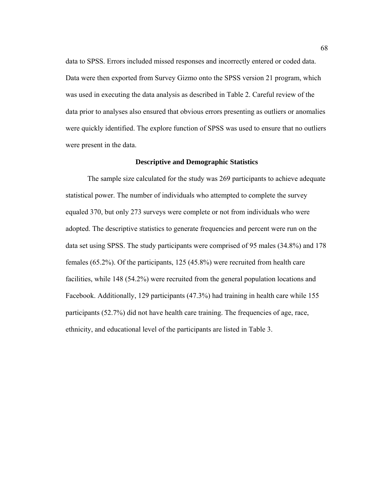data to SPSS. Errors included missed responses and incorrectly entered or coded data. Data were then exported from Survey Gizmo onto the SPSS version 21 program, which was used in executing the data analysis as described in Table 2. Careful review of the data prior to analyses also ensured that obvious errors presenting as outliers or anomalies were quickly identified. The explore function of SPSS was used to ensure that no outliers were present in the data.

### **Descriptive and Demographic Statistics**

 The sample size calculated for the study was 269 participants to achieve adequate statistical power. The number of individuals who attempted to complete the survey equaled 370, but only 273 surveys were complete or not from individuals who were adopted. The descriptive statistics to generate frequencies and percent were run on the data set using SPSS. The study participants were comprised of 95 males (34.8%) and 178 females (65.2%). Of the participants, 125 (45.8%) were recruited from health care facilities, while 148 (54.2%) were recruited from the general population locations and Facebook. Additionally, 129 participants (47.3%) had training in health care while 155 participants (52.7%) did not have health care training. The frequencies of age, race, ethnicity, and educational level of the participants are listed in Table 3.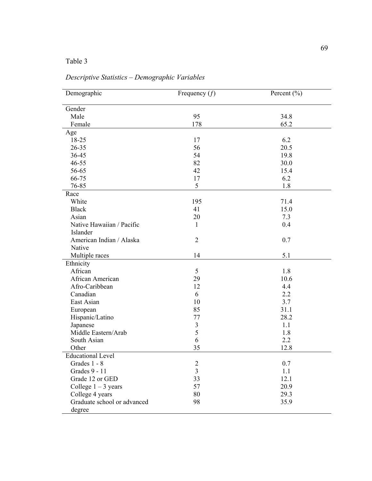| Demographic                 | Frequency $(f)$         | Percent $(\% )$ |
|-----------------------------|-------------------------|-----------------|
| Gender                      |                         |                 |
| Male                        | 95                      | 34.8            |
| Female                      | 178                     | 65.2            |
| Age                         |                         |                 |
| 18-25                       | 17                      | 6.2             |
| $26 - 35$                   | 56                      | 20.5            |
| 36-45                       | 54                      | 19.8            |
| $46 - 55$                   | 82                      | 30.0            |
| 56-65                       | 42                      | 15.4            |
| 66-75                       | 17                      | 6.2             |
| 76-85                       | 5                       | 1.8             |
| Race                        |                         |                 |
| White                       | 195                     | 71.4            |
| <b>Black</b>                | 41                      | 15.0            |
| Asian                       | 20                      | 7.3             |
| Native Hawaiian / Pacific   | $\mathbf{1}$            | 0.4             |
| Islander                    |                         |                 |
| American Indian / Alaska    | $\overline{2}$          | 0.7             |
| Native                      |                         |                 |
| Multiple races              | 14                      | 5.1             |
| Ethnicity                   |                         |                 |
| African                     | 5                       | 1.8             |
| African American            | 29                      | 10.6            |
| Afro-Caribbean              | 12                      | 4.4             |
| Canadian                    | 6                       | 2.2             |
| East Asian                  | 10                      | 3.7             |
| European                    | 85                      | 31.1            |
| Hispanic/Latino             | 77                      | 28.2            |
| Japanese                    | 3                       | 1.1             |
| Middle Eastern/Arab         | 5                       | 1.8             |
| South Asian                 | 6                       | 2.2             |
| Other                       | 35                      | 12.8            |
| <b>Educational Level</b>    |                         |                 |
| Grades 1 - 8                | $\overline{c}$          | 0.7             |
| Grades 9 - 11               | $\overline{\mathbf{3}}$ | 1.1             |
| Grade 12 or GED             | 33                      | 12.1            |
| College $1 - 3$ years       | 57                      | 20.9            |
| College 4 years             | 80                      | 29.3            |
| Graduate school or advanced | 98                      | 35.9            |
| degree                      |                         |                 |

# *Descriptive Statistics – Demographic Variables*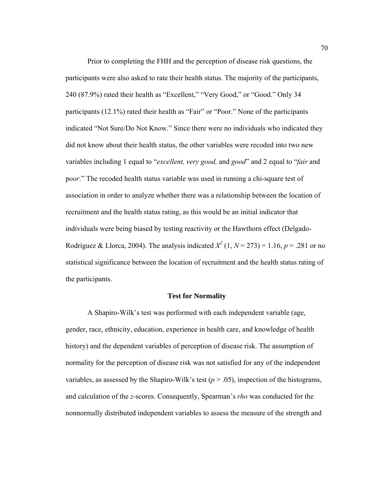Prior to completing the FHH and the perception of disease risk questions, the participants were also asked to rate their health status. The majority of the participants, 240 (87.9%) rated their health as "Excellent," "Very Good," or "Good." Only 34 participants (12.1%) rated their health as "Fair" or "Poor." None of the participants indicated "Not Sure/Do Not Know." Since there were no individuals who indicated they did not know about their health status, the other variables were recoded into two new variables including 1 equal to "*excellent, very good,* and *good*" and 2 equal to "*fair* and p*oor*." The recoded health status variable was used in running a chi-square test of association in order to analyze whether there was a relationship between the location of recruitment and the health status rating, as this would be an initial indicator that individuals were being biased by testing reactivity or the Hawthorn effect (Delgado-Rodríguez & Llorca, 2004). The analysis indicated  $X^2$  (1,  $N = 273$ ) = 1.16,  $p = .281$  or no statistical significance between the location of recruitment and the health status rating of the participants.

### **Test for Normality**

 A Shapiro-Wilk's test was performed with each independent variable (age, gender, race, ethnicity, education, experience in health care, and knowledge of health history) and the dependent variables of perception of disease risk. The assumption of normality for the perception of disease risk was not satisfied for any of the independent variables, as assessed by the Shapiro-Wilk's test  $(p > .05)$ , inspection of the histograms, and calculation of the *z*-scores. Consequently, Spearman's *rho* was conducted for the nonnormally distributed independent variables to assess the measure of the strength and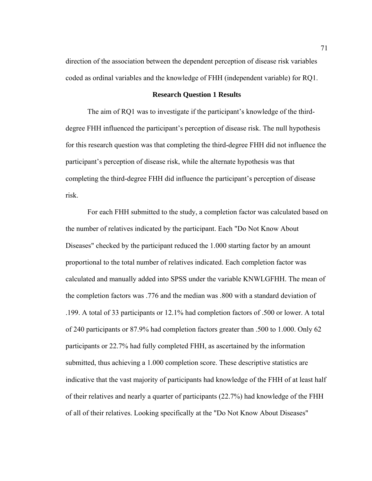direction of the association between the dependent perception of disease risk variables coded as ordinal variables and the knowledge of FHH (independent variable) for RQ1.

# **Research Question 1 Results**

The aim of RQ1 was to investigate if the participant's knowledge of the thirddegree FHH influenced the participant's perception of disease risk. The null hypothesis for this research question was that completing the third-degree FHH did not influence the participant's perception of disease risk, while the alternate hypothesis was that completing the third-degree FHH did influence the participant's perception of disease risk.

 For each FHH submitted to the study, a completion factor was calculated based on the number of relatives indicated by the participant. Each "Do Not Know About Diseases" checked by the participant reduced the 1.000 starting factor by an amount proportional to the total number of relatives indicated. Each completion factor was calculated and manually added into SPSS under the variable KNWLGFHH. The mean of the completion factors was .776 and the median was .800 with a standard deviation of .199. A total of 33 participants or 12.1% had completion factors of .500 or lower. A total of 240 participants or 87.9% had completion factors greater than .500 to 1.000. Only 62 participants or 22.7% had fully completed FHH, as ascertained by the information submitted, thus achieving a 1.000 completion score. These descriptive statistics are indicative that the vast majority of participants had knowledge of the FHH of at least half of their relatives and nearly a quarter of participants (22.7%) had knowledge of the FHH of all of their relatives. Looking specifically at the "Do Not Know About Diseases"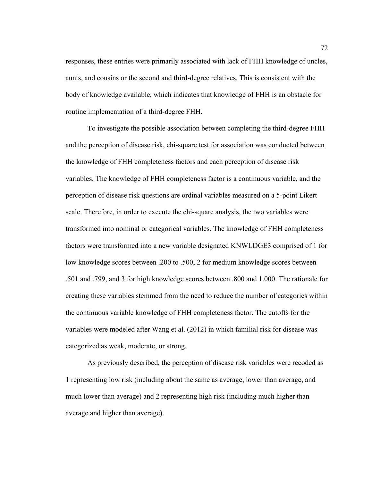responses, these entries were primarily associated with lack of FHH knowledge of uncles, aunts, and cousins or the second and third-degree relatives. This is consistent with the body of knowledge available, which indicates that knowledge of FHH is an obstacle for routine implementation of a third-degree FHH.

 To investigate the possible association between completing the third-degree FHH and the perception of disease risk, chi-square test for association was conducted between the knowledge of FHH completeness factors and each perception of disease risk variables. The knowledge of FHH completeness factor is a continuous variable, and the perception of disease risk questions are ordinal variables measured on a 5-point Likert scale. Therefore, in order to execute the chi-square analysis, the two variables were transformed into nominal or categorical variables. The knowledge of FHH completeness factors were transformed into a new variable designated KNWLDGE3 comprised of 1 for low knowledge scores between .200 to .500, 2 for medium knowledge scores between .501 and .799, and 3 for high knowledge scores between .800 and 1.000. The rationale for creating these variables stemmed from the need to reduce the number of categories within the continuous variable knowledge of FHH completeness factor. The cutoffs for the variables were modeled after Wang et al. (2012) in which familial risk for disease was categorized as weak, moderate, or strong.

As previously described, the perception of disease risk variables were recoded as 1 representing low risk (including about the same as average, lower than average, and much lower than average) and 2 representing high risk (including much higher than average and higher than average).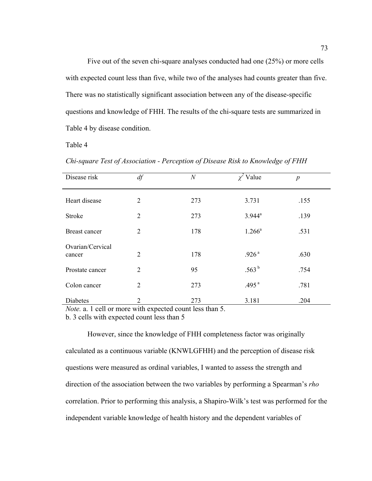Five out of the seven chi-square analyses conducted had one (25%) or more cells with expected count less than five, while two of the analyses had counts greater than five. There was no statistically significant association between any of the disease-specific questions and knowledge of FHH. The results of the chi-square tests are summarized in Table 4 by disease condition.

Table 4

*Chi-square Test of Association - Perception of Disease Risk to Knowledge of FHH* 

| Disease risk               | df             | $\boldsymbol{N}$ | $\chi^2$ Value    | $\boldsymbol{p}$ |
|----------------------------|----------------|------------------|-------------------|------------------|
| Heart disease              | 2              | 273              | 3.731             | .155             |
| <b>Stroke</b>              | 2              | 273              | $3.944^a$         | .139             |
| Breast cancer              | $\overline{2}$ | 178              | $1.266^a$         | .531             |
| Ovarian/Cervical<br>cancer | 2              | 178              | .926 <sup>a</sup> | .630             |
| Prostate cancer            | 2              | 95               | .563 $^{\rm b}$   | .754             |
| Colon cancer               | 2              | 273              | .495 $^{a}$       | .781             |
| Diabetes                   | 2              | 273              | 3.181             | .204             |

*Note.* a. 1 cell or more with expected count less than 5.

b. 3 cells with expected count less than 5

However, since the knowledge of FHH completeness factor was originally calculated as a continuous variable (KNWLGFHH) and the perception of disease risk questions were measured as ordinal variables, I wanted to assess the strength and direction of the association between the two variables by performing a Spearman's *rho* correlation. Prior to performing this analysis, a Shapiro-Wilk's test was performed for the independent variable knowledge of health history and the dependent variables of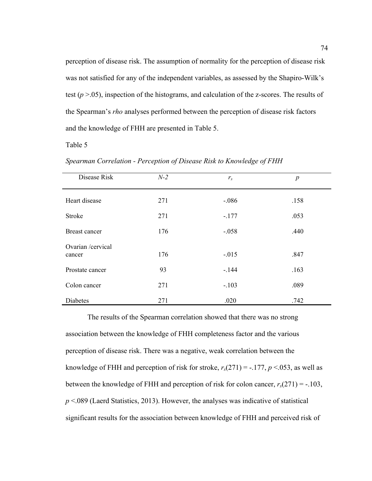perception of disease risk. The assumption of normality for the perception of disease risk was not satisfied for any of the independent variables, as assessed by the Shapiro-Wilk's test (*p* >.05), inspection of the histograms, and calculation of the z-scores. The results of the Spearman's *rho* analyses performed between the perception of disease risk factors and the knowledge of FHH are presented in Table 5.

Table 5

*Spearman Correlation - Perception of Disease Risk to Knowledge of FHH* 

| Disease Risk                | $N-2$ | $r_{s}$ | $\boldsymbol{p}$ |
|-----------------------------|-------|---------|------------------|
| Heart disease               | 271   | $-.086$ | .158             |
| <b>Stroke</b>               | 271   | $-.177$ | .053             |
| Breast cancer               | 176   | $-.058$ | .440             |
| Ovarian /cervical<br>cancer | 176   | $-.015$ | .847             |
| Prostate cancer             | 93    | $-.144$ | .163             |
| Colon cancer                | 271   | $-.103$ | .089             |
| Diabetes                    | 271   | .020    | .742             |

The results of the Spearman correlation showed that there was no strong association between the knowledge of FHH completeness factor and the various perception of disease risk. There was a negative, weak correlation between the knowledge of FHH and perception of risk for stroke,  $r_s(271) = -177$ ,  $p < 0.053$ , as well as between the knowledge of FHH and perception of risk for colon cancer,  $r_s(271) = -103$ , *p* <.089 (Laerd Statistics, 2013). However, the analyses was indicative of statistical significant results for the association between knowledge of FHH and perceived risk of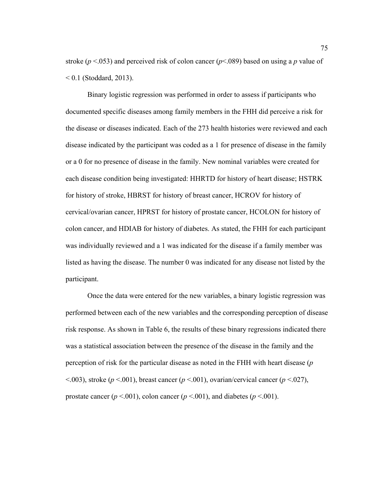stroke ( $p < .053$ ) and perceived risk of colon cancer ( $p < .089$ ) based on using a *p* value of  $< 0.1$  (Stoddard, 2013).

 Binary logistic regression was performed in order to assess if participants who documented specific diseases among family members in the FHH did perceive a risk for the disease or diseases indicated. Each of the 273 health histories were reviewed and each disease indicated by the participant was coded as a 1 for presence of disease in the family or a 0 for no presence of disease in the family. New nominal variables were created for each disease condition being investigated: HHRTD for history of heart disease; HSTRK for history of stroke, HBRST for history of breast cancer, HCROV for history of cervical/ovarian cancer, HPRST for history of prostate cancer, HCOLON for history of colon cancer, and HDIAB for history of diabetes. As stated, the FHH for each participant was individually reviewed and a 1 was indicated for the disease if a family member was listed as having the disease. The number 0 was indicated for any disease not listed by the participant.

 Once the data were entered for the new variables, a binary logistic regression was performed between each of the new variables and the corresponding perception of disease risk response. As shown in Table 6, the results of these binary regressions indicated there was a statistical association between the presence of the disease in the family and the perception of risk for the particular disease as noted in the FHH with heart disease (*p*   $<$ .003), stroke (*p*  $<$ .001), breast cancer (*p*  $<$ .001), ovarian/cervical cancer (*p*  $<$ .027), prostate cancer ( $p < .001$ ), colon cancer ( $p < .001$ ), and diabetes ( $p < .001$ ).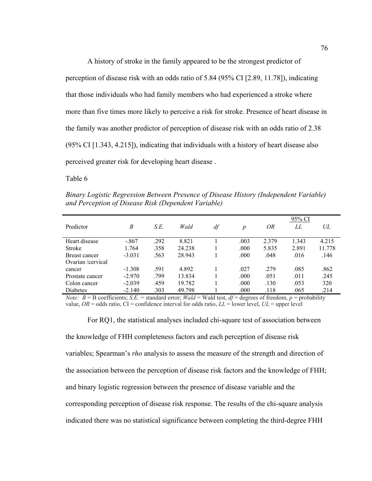A history of stroke in the family appeared to be the strongest predictor of perception of disease risk with an odds ratio of 5.84 (95% CI [2.89, 11.78]), indicating that those individuals who had family members who had experienced a stroke where more than five times more likely to perceive a risk for stroke. Presence of heart disease in the family was another predictor of perception of disease risk with an odds ratio of 2.38 (95% CI [1.343, 4.215]), indicating that individuals with a history of heart disease also perceived greater risk for developing heart disease .

Table 6

*Binary Logistic Regression Between Presence of Disease History (Independent Variable) and Perception of Disease Risk (Dependent Variable)* 

|                      |          |      |        |    |                  |       | 95% CI |        |
|----------------------|----------|------|--------|----|------------------|-------|--------|--------|
| Predictor            | B        | S.E. | Wald   | df | $\boldsymbol{p}$ | OR    | LL     | UL     |
|                      |          |      |        |    |                  |       |        |        |
| Heart disease        | $-.867$  | .292 | 8.821  |    | .003             | 2.379 | 1.343  | 4.215  |
| Stroke               | 1.764    | .358 | 24.238 |    | .000             | 5.835 | 2.891  | 11.778 |
| <b>Breast cancer</b> | $-3.031$ | .563 | 28.943 |    | .000             | .048  | .016   | .146   |
| Ovarian /cervical    |          |      |        |    |                  |       |        |        |
| cancer               | $-1.308$ | .591 | 4.892  |    | .027             | .279  | .085   | .862   |
| Prostate cancer      | $-2.970$ | .799 | 13.834 |    | .000             | .051  | .011   | .245   |
| Colon cancer         | $-2.039$ | .459 | 19.782 |    | .000             | .130  | .053   | 320    |
| <b>Diabetes</b>      | $-2.140$ | .303 | 49.798 |    | .000             | .118  | .065   | .214   |

*Note: B* = B coefficients; *S.E.* = standard error; *Wald* = Wald test, *df* = degrees of freedom, *p* = probability value,  $OR =$  odds ratio,  $CI =$  confidence interval for odds ratio,  $LL =$  lower level,  $UL =$  upper level

For RQ1, the statistical analyses included chi-square test of association between the knowledge of FHH completeness factors and each perception of disease risk variables; Spearman's *rho* analysis to assess the measure of the strength and direction of the association between the perception of disease risk factors and the knowledge of FHH;

and binary logistic regression between the presence of disease variable and the

corresponding perception of disease risk response. The results of the chi-square analysis

indicated there was no statistical significance between completing the third-degree FHH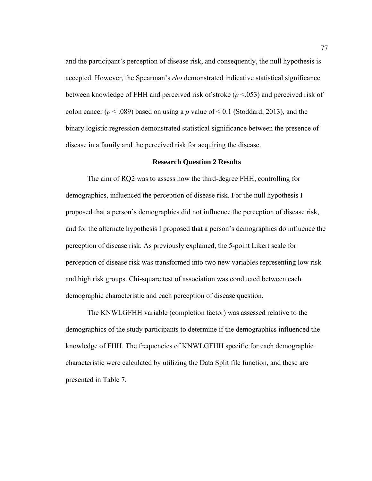and the participant's perception of disease risk, and consequently, the null hypothesis is accepted. However, the Spearman's *rho* demonstrated indicative statistical significance between knowledge of FHH and perceived risk of stroke (*p* <.053) and perceived risk of colon cancer ( $p < .089$ ) based on using a p value of  $< 0.1$  (Stoddard, 2013), and the binary logistic regression demonstrated statistical significance between the presence of disease in a family and the perceived risk for acquiring the disease.

### **Research Question 2 Results**

The aim of RQ2 was to assess how the third-degree FHH, controlling for demographics, influenced the perception of disease risk. For the null hypothesis I proposed that a person's demographics did not influence the perception of disease risk, and for the alternate hypothesis I proposed that a person's demographics do influence the perception of disease risk. As previously explained, the 5-point Likert scale for perception of disease risk was transformed into two new variables representing low risk and high risk groups. Chi-square test of association was conducted between each demographic characteristic and each perception of disease question.

The KNWLGFHH variable (completion factor) was assessed relative to the demographics of the study participants to determine if the demographics influenced the knowledge of FHH. The frequencies of KNWLGFHH specific for each demographic characteristic were calculated by utilizing the Data Split file function, and these are presented in Table 7.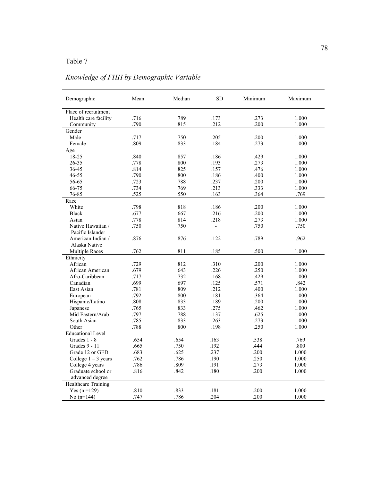# *Knowledge of FHH by Demographic Variable*

| Demographic                | Mean | Median | <b>SD</b>      | Minimum | Maximum |
|----------------------------|------|--------|----------------|---------|---------|
| Place of recruitment       |      |        |                |         |         |
| Health care facility       | .716 | .789   | .173           | .273    | 1.000   |
| Community                  | .790 | .815   | .212           | .200    | 1.000   |
| Gender                     |      |        |                |         |         |
| Male                       | .717 | .750   | .205           | .200    | 1.000   |
| Female                     | .809 | .833   | .184           | .273    | 1.000   |
| Age                        |      |        |                |         |         |
| 18-25                      | .840 | .857   | .186           | .429    | 1.000   |
| 26-35                      | .778 | .800   | .193           | .273    | 1.000   |
| 36-45                      | .814 | .825   | .157           | .476    | 1.000   |
| 46-55                      | .790 | .800   | .186           | .400    | 1.000   |
| 56-65                      | .723 | .788   | .237           | .200    | 1.000   |
| 66-75                      | .734 | .769   | .213           | .333    | 1.000   |
| 76-85                      | .525 | .550   | .163           | .364    | .769    |
| Race                       |      |        |                |         |         |
| White                      | .798 | .818   | .186           | .200    | 1.000   |
| <b>Black</b>               | .677 | .667   | .216           | .200    | 1.000   |
| Asian                      | .778 | .814   | .218           | .273    | 1.000   |
| Native Hawaiian /          | .750 | .750   | $\overline{a}$ | .750    | .750    |
| Pacific Islander           |      |        |                |         |         |
| American Indian /          | .876 | .876   | .122           | .789    | .962    |
| Alaska Native              |      |        |                |         |         |
| <b>Multiple Races</b>      | .762 | .811   | .185           | .500    | 1.000   |
| Ethnicity                  |      |        |                |         |         |
| African                    | .729 | .812   | .310           | .200    | 1.000   |
| African American           | .679 | .643   | .226           | .250    | 1.000   |
| Afro-Caribbean             | .717 | .732   | .168           | .429    | 1.000   |
| Canadian                   | .699 | .697   | .125           | .571    | .842    |
| East Asian                 | .781 | .809   | .212           | .400    | 1.000   |
| European                   | .792 | .800   | .181           | .364    | 1.000   |
| Hispanic/Latino            | .808 | .833   | .189           | .200    | 1.000   |
| Japanese                   | .765 | .833   | .275           | .462    | 1.000   |
| Mid Eastern/Arab           | .797 | .788   | .137           | .625    | 1.000   |
| South Asian                | .785 | .833   | .263           | .273    | 1.000   |
| Other                      | .788 | .800   | .198           | .250    | 1.000   |
| <b>Educational Level</b>   |      |        |                |         |         |
| Grades 1 - 8               | .654 | .654   | .163           | .538    | .769    |
| Grades 9 - 11              | .665 | .750   | .192           | .444    | .800    |
| Grade 12 or GED            | .683 | .625   | .237           | .200    | 1.000   |
| College $1 - 3$ years      | .762 | .786   | .190           | .250    | 1.000   |
| College 4 years            | .786 | .809   | .191           | .273    | 1.000   |
| Graduate school or         | .816 | .842   | .180           | .200    | 1.000   |
| advanced degree            |      |        |                |         |         |
| <b>Healthcare Training</b> |      |        |                |         |         |
| Yes $(n = 129)$            | .810 | .833   | .181           | .200    | 1.000   |
| No $(n=144)$               | 747  | .786   | 204            | .200    | 1.000   |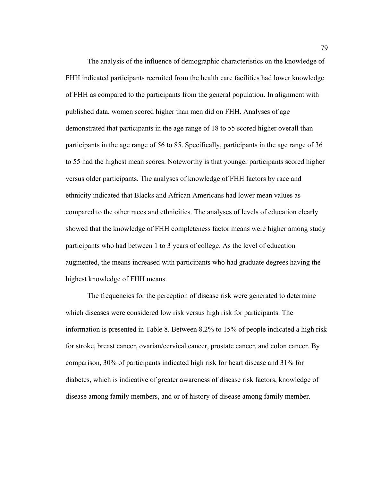The analysis of the influence of demographic characteristics on the knowledge of FHH indicated participants recruited from the health care facilities had lower knowledge of FHH as compared to the participants from the general population. In alignment with published data, women scored higher than men did on FHH. Analyses of age demonstrated that participants in the age range of 18 to 55 scored higher overall than participants in the age range of 56 to 85. Specifically, participants in the age range of 36 to 55 had the highest mean scores. Noteworthy is that younger participants scored higher versus older participants. The analyses of knowledge of FHH factors by race and ethnicity indicated that Blacks and African Americans had lower mean values as compared to the other races and ethnicities. The analyses of levels of education clearly showed that the knowledge of FHH completeness factor means were higher among study participants who had between 1 to 3 years of college. As the level of education augmented, the means increased with participants who had graduate degrees having the highest knowledge of FHH means.

 The frequencies for the perception of disease risk were generated to determine which diseases were considered low risk versus high risk for participants. The information is presented in Table 8. Between 8.2% to 15% of people indicated a high risk for stroke, breast cancer, ovarian/cervical cancer, prostate cancer, and colon cancer. By comparison, 30% of participants indicated high risk for heart disease and 31% for diabetes, which is indicative of greater awareness of disease risk factors, knowledge of disease among family members, and or of history of disease among family member.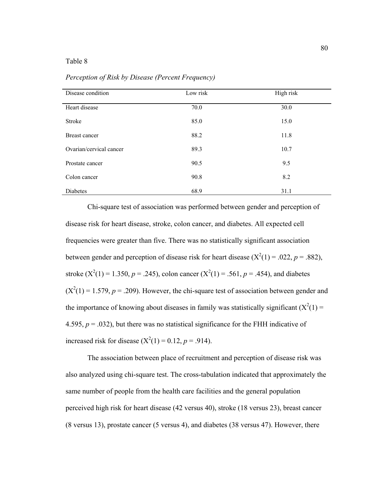| Disease condition       | Low risk | High risk |
|-------------------------|----------|-----------|
| Heart disease           | 70.0     | 30.0      |
| Stroke                  | 85.0     | 15.0      |
| Breast cancer           | 88.2     | 11.8      |
| Ovarian/cervical cancer | 89.3     | 10.7      |
| Prostate cancer         | 90.5     | 9.5       |
| Colon cancer            | 90.8     | 8.2       |
| Diabetes                | 68.9     | 31.1      |

*Perception of Risk by Disease (Percent Frequency)* 

Chi-square test of association was performed between gender and perception of disease risk for heart disease, stroke, colon cancer, and diabetes. All expected cell frequencies were greater than five. There was no statistically significant association between gender and perception of disease risk for heart disease  $(X^2(1) = .022, p = .882)$ , stroke  $(X^2(1) = 1.350, p = .245)$ , colon cancer  $(X^2(1) = .561, p = .454)$ , and diabetes  $(X^2(1) = 1.579, p = .209)$ . However, the chi-square test of association between gender and the importance of knowing about diseases in family was statistically significant  $(X^2(1) =$ 4.595,  $p = .032$ ), but there was no statistical significance for the FHH indicative of increased risk for disease  $(X^2(1) = 0.12, p = .914)$ .

 The association between place of recruitment and perception of disease risk was also analyzed using chi-square test. The cross-tabulation indicated that approximately the same number of people from the health care facilities and the general population perceived high risk for heart disease (42 versus 40), stroke (18 versus 23), breast cancer (8 versus 13), prostate cancer (5 versus 4), and diabetes (38 versus 47). However, there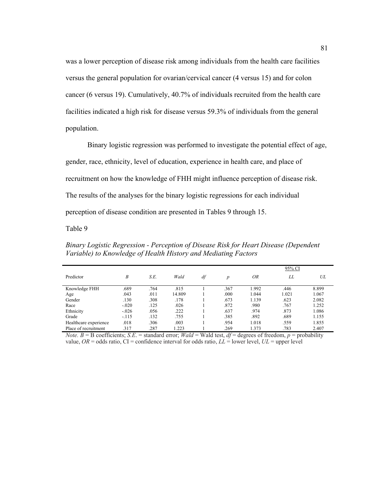was a lower perception of disease risk among individuals from the health care facilities versus the general population for ovarian/cervical cancer (4 versus 15) and for colon cancer (6 versus 19). Cumulatively, 40.7% of individuals recruited from the health care facilities indicated a high risk for disease versus 59.3% of individuals from the general population.

Binary logistic regression was performed to investigate the potential effect of age, gender, race, ethnicity, level of education, experience in health care, and place of recruitment on how the knowledge of FHH might influence perception of disease risk. The results of the analyses for the binary logistic regressions for each individual perception of disease condition are presented in Tables 9 through 15.

Table 9

*Binary Logistic Regression - Perception of Disease Risk for Heart Disease (Dependent Variable) to Knowledge of Health History and Mediating Factors* 

|                       |         |      |        |    |      | 95% CI |       |       |  |
|-----------------------|---------|------|--------|----|------|--------|-------|-------|--|
| Predictor             | B       | S.E. | Wald   | df | p    | OR     | LL    | UL    |  |
| Knowledge FHH         | .689    | .764 | .815   |    | .367 | 1.992  | .446  | 8.899 |  |
| Age                   | .043    | .011 | 14.809 |    | .000 | 1.044  | 1.021 | 1.067 |  |
| Gender                | .130    | .308 | .178   |    | .673 | 1.139  | .623  | 2.082 |  |
| Race                  | $-.020$ | .125 | .026   |    | .872 | .980   | .767  | 1.252 |  |
| Ethnicity             | $-.026$ | .056 | .222   |    | .637 | .974   | .873  | 1.086 |  |
| Grade                 | $-.115$ | .132 | .755   |    | 385  | .892   | .689  | 1.155 |  |
| Healthcare experience | .018    | .306 | .003   |    | .954 | 1.018  | .559  | 1.855 |  |
| Place of recruitment  | .317    | .287 | 1.223  |    | .269 | 1.373  | .783  | 2.407 |  |

*Note.*  $B = B$  coefficients; *S.E.* = standard error; *Wald* = Wald test, *df* = degrees of freedom, *p* = probability value,  $OR =$  odds ratio,  $CI =$  confidence interval for odds ratio,  $LL =$  lower level,  $UL =$  upper level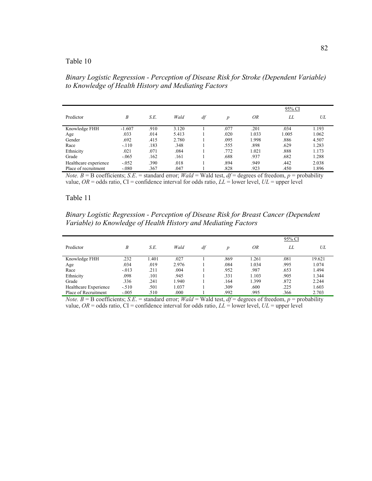*Binary Logistic Regression - Perception of Disease Risk for Stroke (Dependent Variable) to Knowledge of Health History and Mediating Factors* 

|                       |          |      |       |    |                  | 95% CI |       |       |  |
|-----------------------|----------|------|-------|----|------------------|--------|-------|-------|--|
| Predictor             | B        | S.E. | Wald  | df | $\boldsymbol{p}$ | ΟR     | LL    | UL    |  |
| Knowledge FHH         | $-1.607$ | .910 | 3.120 |    | .077             | .201   | .034  | 1.193 |  |
| Age                   | .033     | .014 | 5.413 |    | .020             | 1.033  | 1.005 | 1.062 |  |
| Gender                | .692     | .415 | 2.780 |    | .095             | 1.998  | .886  | 4.507 |  |
| Race                  | $-.110$  | .183 | .348  |    | .555             | .898   | .629  | 1.283 |  |
| Ethnicity             | .021     | .071 | .084  |    | .772             | 1.021  | .888  | 1.173 |  |
| Grade                 | $-.065$  | .162 | .161  |    | .688             | .937   | .682  | 1.288 |  |
| Healthcare experience | $-.052$  | .390 | .018  |    | .894             | .949   | .442  | 2.038 |  |
| Place of recruitment  | $-.080$  | .367 | .047  |    | .828             | .923   | .450  | 1.896 |  |

*Note.*  $B = B$  coefficients; *S.E.* = standard error; *Wald* = Wald test,  $df =$  degrees of freedom,  $p =$  probability value,  $OR =$  odds ratio,  $CI =$  confidence interval for odds ratio,  $LL =$  lower level,  $UL =$  upper level

### Table 11

*Binary Logistic Regression - Perception of Disease Risk for Breast Cancer (Dependent Variable) to Knowledge of Health History and Mediating Factors* 

|                       |         |       |       |    |      | 95% CI |      |        |  |
|-----------------------|---------|-------|-------|----|------|--------|------|--------|--|
| Predictor             | B       | S.E.  | Wald  | df | D    | ΟR     | LL   | UL     |  |
| Knowledge FHH         | .232    | 1.401 | .027  |    | .869 | 1.261  | .081 | 19.621 |  |
| Age                   | .034    | .019  | 2.976 |    | .084 | 1.034  | .995 | 1.074  |  |
| Race                  | $-.013$ | .211  | .004  |    | .952 | .987   | .653 | 1.494  |  |
| Ethnicity             | .098    | .101  | .945  |    | .331 | 1.103  | .905 | 1.344  |  |
| Grade                 | .336    | .241  | 1.940 |    | .164 | 1.399  | .872 | 2.244  |  |
| Healthcare Experience | $-.510$ | .501  | 1.037 |    | .309 | .600   | .225 | 1.603  |  |
| Place of Recruitment  | $-.005$ | .510  | .000  |    | .992 | .995   | .366 | 2.703  |  |

*Note. B* = B coefficients; *S.E.* = standard error; *Wald* = Wald test, *df* = degrees of freedom, *p* = probability value,  $OR =$  odds ratio,  $CI =$  confidence interval for odds ratio,  $LL =$  lower level,  $UL =$  upper level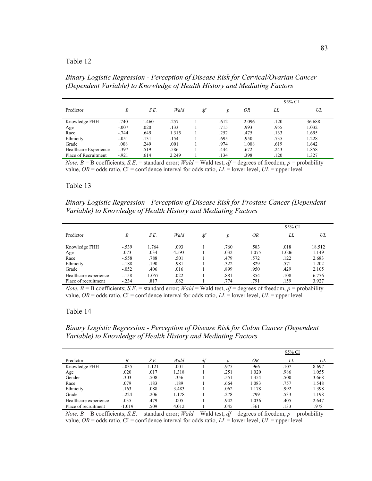*Binary Logistic Regression - Perception of Disease Risk for Cervical/Ovarian Cancer (Dependent Variable) to Knowledge of Health History and Mediating Factors* 

|                       |         |       |       |    |      |       | 95% CI |        |  |
|-----------------------|---------|-------|-------|----|------|-------|--------|--------|--|
| Predictor             | B       | S.E.  | Wald  | df |      | ΟR    | LL     | UL     |  |
| Knowledge FHH         | .740    | 1.460 | .257  |    | .612 | 2.096 | .120   | 36.688 |  |
| Age                   | $-.007$ | .020  | .133  |    | .715 | .993  | .955   | 1.032  |  |
| Race                  | $-744$  | .649  | 1.315 |    | .252 | .475  | .133   | 1.695  |  |
| Ethnicity             | $-.051$ | .131  | .154  |    | .695 | .950  | .735   | 1.228  |  |
| Grade                 | .008    | .249  | .001  |    | .974 | 1.008 | .619   | 1.642  |  |
| Healthcare Experience | $-.397$ | .519  | .586  |    | .444 | .672  | .243   | 1.858  |  |
| Place of Recruitment  | $-921$  | .614  | 2.249 |    | .134 | .398  | .120   | 1.327  |  |

*Note.*  $B = B$  coefficients; *S.E.* = standard error; *Wald* = Wald test,  $df =$  degrees of freedom,  $p =$  probability value,  $OR =$  odds ratio,  $CI =$  confidence interval for odds ratio,  $LL =$  lower level,  $UL =$  upper level

### Table 13

*Binary Logistic Regression - Perception of Disease Risk for Prostate Cancer (Dependent Variable) to Knowledge of Health History and Mediating Factors* 

|                       |         |       |       |    |      | 95% CI |       |        |  |
|-----------------------|---------|-------|-------|----|------|--------|-------|--------|--|
| Predictor             | B       | S.E.  | Wald  | df | p    | ΟR     | LL    | UL     |  |
| Knowledge FHH         | $-.539$ | 1.764 | .093  |    | .760 | .583   | .018  | 18.512 |  |
| Age                   | .073    | .034  | 4.593 |    | .032 | 1.075  | 1.006 | 1.149  |  |
| Race                  | $-.558$ | .788  | .501  |    | .479 | .572   | .122  | 2.683  |  |
| Ethnicity             | $-.188$ | .190  | .981  |    | .322 | .829   | .571  | 1.202  |  |
| Grade                 | $-.052$ | .406  | .016  |    | .899 | .950   | .429  | 2.105  |  |
| Healthcare experience | $-158$  | 1.057 | .022  |    | .881 | .854   | .108  | 6.776  |  |
| Place of recruitment  | $-.234$ | .817  | .082  |    | .774 | .791   | .159  | 3.927  |  |

*Note.*  $B = B$  coefficients; *S.E.* = standard error; *Wald* = Wald test,  $df =$  degrees of freedom,  $p =$  probability value,  $OR =$  odds ratio,  $CI =$  confidence interval for odds ratio,  $LL =$  lower level,  $UL =$  upper level

### Table 14

*Binary Logistic Regression - Perception of Disease Risk for Colon Cancer (Dependent Variable) to Knowledge of Health History and Mediating Factors* 

|                       |          |       |       |    |      |       | 95% CI |       |  |
|-----------------------|----------|-------|-------|----|------|-------|--------|-------|--|
| Predictor             | Β        | S.E.  | Wald  | df |      | OR    | LL     | UL    |  |
| Knowledge FHH         | $-.035$  | 1.121 | .001  |    | .975 | .966  | .107   | 8.697 |  |
| Age                   | .020     | .017  | 1.318 |    | .251 | 1.020 | .986   | 1.055 |  |
| Gender                | 303      | .508  | .356  |    | .551 | 1.354 | .500   | 3.668 |  |
| Race                  | .079     | .183  | .189  |    | .664 | 1.083 | .757   | 1.548 |  |
| Ethnicity             | .163     | .088  | 3.483 |    | .062 | 1.178 | .992   | 1.398 |  |
| Grade                 | $-.224$  | .206  | 1.178 |    | .278 | .799  | .533   | 1.198 |  |
| Healthcare experience | .035     | .479  | .005  |    | .942 | 1.036 | .405   | 2.647 |  |
| Place of recruitment  | $-1.019$ | .509  | 4.012 |    | .045 | .361  | .133   | .978  |  |

*Note. B* = B coefficients; *S.E.* = standard error; *Wald* = Wald test,  $df$  = degrees of freedom, *p* = probability value,  $OR =$  odds ratio,  $CI =$  confidence interval for odds ratio,  $LL =$  lower level,  $UL =$  upper level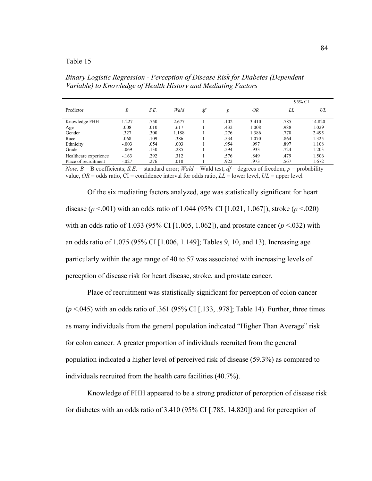*Binary Logistic Regression - Perception of Disease Risk for Diabetes (Dependent Variable) to Knowledge of Health History and Mediating Factors* 

|                       |         |      |       |    |      |       | 95% CI |        |
|-----------------------|---------|------|-------|----|------|-------|--------|--------|
| Predictor             | B       | S.E. | Wald  | df | p    | ΟR    | LL.    | UL     |
| Knowledge FHH         | 1.227   | .750 | 2.677 |    | .102 | 3.410 | .785   | 14.820 |
| Age                   | .008    | .010 | .617  |    | .432 | 1.008 | .988   | 1.029  |
| Gender                | .327    | .300 | 1.188 |    | .276 | 1.386 | .770   | 2.495  |
| Race                  | .068    | .109 | .386  |    | .534 | 1.070 | .864   | 1.325  |
| Ethnicity             | $-.003$ | .054 | .003  |    | .954 | .997  | .897   | 1.108  |
| Grade                 | $-.069$ | .130 | .285  |    | .594 | .933  | .724   | 1.203  |
| Healthcare experience | $-163$  | .292 | 312   |    | .576 | .849  | .479   | 1.506  |
| Place of recruitment  | $-.027$ | .276 | .010  |    | .922 | .973  | .567   | 1.672  |

*Note. B* = B coefficients; *S.E.* = standard error; *Wald* = Wald test, *df* = degrees of freedom, *p* = probability value,  $OR =$  odds ratio,  $CI =$  confidence interval for odds ratio,  $LL =$  lower level,  $UL =$  upper level

 Of the six mediating factors analyzed, age was statistically significant for heart disease (*p* <.001) with an odds ratio of 1.044 (95% CI [1.021, 1.067]), stroke (*p* <.020) with an odds ratio of 1.033 (95% CI [1.005, 1.062]), and prostate cancer (*p* <.032) with an odds ratio of 1.075 (95% CI [1.006, 1.149]; Tables 9, 10, and 13). Increasing age particularly within the age range of 40 to 57 was associated with increasing levels of perception of disease risk for heart disease, stroke, and prostate cancer.

Place of recruitment was statistically significant for perception of colon cancer (*p* <.045) with an odds ratio of .361 (95% CI [.133, .978]; Table 14). Further, three times as many individuals from the general population indicated "Higher Than Average" risk for colon cancer. A greater proportion of individuals recruited from the general population indicated a higher level of perceived risk of disease (59.3%) as compared to individuals recruited from the health care facilities (40.7%).

Knowledge of FHH appeared to be a strong predictor of perception of disease risk for diabetes with an odds ratio of 3.410 (95% CI [.785, 14.820]) and for perception of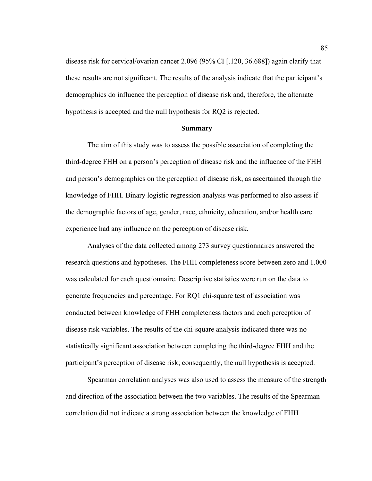disease risk for cervical/ovarian cancer 2.096 (95% CI [.120, 36.688]) again clarify that these results are not significant. The results of the analysis indicate that the participant's demographics do influence the perception of disease risk and, therefore, the alternate hypothesis is accepted and the null hypothesis for RQ2 is rejected.

#### **Summary**

 The aim of this study was to assess the possible association of completing the third-degree FHH on a person's perception of disease risk and the influence of the FHH and person's demographics on the perception of disease risk, as ascertained through the knowledge of FHH. Binary logistic regression analysis was performed to also assess if the demographic factors of age, gender, race, ethnicity, education, and/or health care experience had any influence on the perception of disease risk.

 Analyses of the data collected among 273 survey questionnaires answered the research questions and hypotheses. The FHH completeness score between zero and 1.000 was calculated for each questionnaire. Descriptive statistics were run on the data to generate frequencies and percentage. For RQ1 chi-square test of association was conducted between knowledge of FHH completeness factors and each perception of disease risk variables. The results of the chi-square analysis indicated there was no statistically significant association between completing the third-degree FHH and the participant's perception of disease risk; consequently, the null hypothesis is accepted.

 Spearman correlation analyses was also used to assess the measure of the strength and direction of the association between the two variables. The results of the Spearman correlation did not indicate a strong association between the knowledge of FHH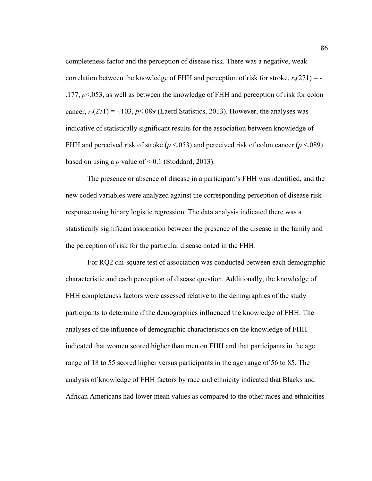completeness factor and the perception of disease risk. There was a negative, weak correlation between the knowledge of FHH and perception of risk for stroke,  $r_s(271) = -$ .177, *p*<.053, as well as between the knowledge of FHH and perception of risk for colon cancer,  $r_s(271) = -103$ ,  $p \le 0.089$  (Laerd Statistics, 2013). However, the analyses was indicative of statistically significant results for the association between knowledge of FHH and perceived risk of stroke ( $p < .053$ ) and perceived risk of colon cancer ( $p < .089$ ) based on using a *p* value of  $\leq 0.1$  (Stoddard, 2013).

 The presence or absence of disease in a participant's FHH was identified, and the new coded variables were analyzed against the corresponding perception of disease risk response using binary logistic regression. The data analysis indicated there was a statistically significant association between the presence of the disease in the family and the perception of risk for the particular disease noted in the FHH.

For RQ2 chi-square test of association was conducted between each demographic characteristic and each perception of disease question. Additionally, the knowledge of FHH completeness factors were assessed relative to the demographics of the study participants to determine if the demographics influenced the knowledge of FHH. The analyses of the influence of demographic characteristics on the knowledge of FHH indicated that women scored higher than men on FHH and that participants in the age range of 18 to 55 scored higher versus participants in the age range of 56 to 85. The analysis of knowledge of FHH factors by race and ethnicity indicated that Blacks and African Americans had lower mean values as compared to the other races and ethnicities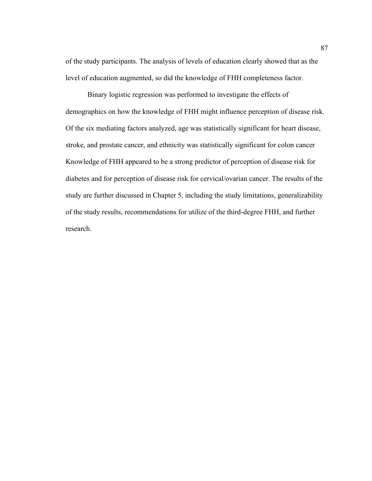of the study participants. The analysis of levels of education clearly showed that as the level of education augmented, so did the knowledge of FHH completeness factor.

Binary logistic regression was performed to investigate the effects of demographics on how the knowledge of FHH might influence perception of disease risk. Of the six mediating factors analyzed, age was statistically significant for heart disease, stroke, and prostate cancer, and ethnicity was statistically significant for colon cancer Knowledge of FHH appeared to be a strong predictor of perception of disease risk for diabetes and for perception of disease risk for cervical/ovarian cancer. The results of the study are further discussed in Chapter 5, including the study limitations, generalizability of the study results, recommendations for utilize of the third-degree FHH, and further research.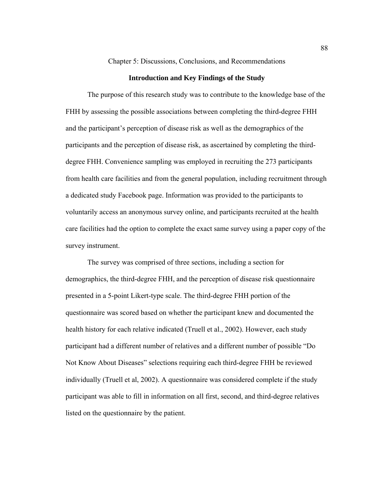Chapter 5: Discussions, Conclusions, and Recommendations

### **Introduction and Key Findings of the Study**

The purpose of this research study was to contribute to the knowledge base of the FHH by assessing the possible associations between completing the third-degree FHH and the participant's perception of disease risk as well as the demographics of the participants and the perception of disease risk, as ascertained by completing the thirddegree FHH. Convenience sampling was employed in recruiting the 273 participants from health care facilities and from the general population, including recruitment through a dedicated study Facebook page. Information was provided to the participants to voluntarily access an anonymous survey online, and participants recruited at the health care facilities had the option to complete the exact same survey using a paper copy of the survey instrument.

The survey was comprised of three sections, including a section for demographics, the third-degree FHH, and the perception of disease risk questionnaire presented in a 5-point Likert-type scale. The third-degree FHH portion of the questionnaire was scored based on whether the participant knew and documented the health history for each relative indicated (Truell et al., 2002). However, each study participant had a different number of relatives and a different number of possible "Do Not Know About Diseases" selections requiring each third-degree FHH be reviewed individually (Truell et al, 2002). A questionnaire was considered complete if the study participant was able to fill in information on all first, second, and third-degree relatives listed on the questionnaire by the patient.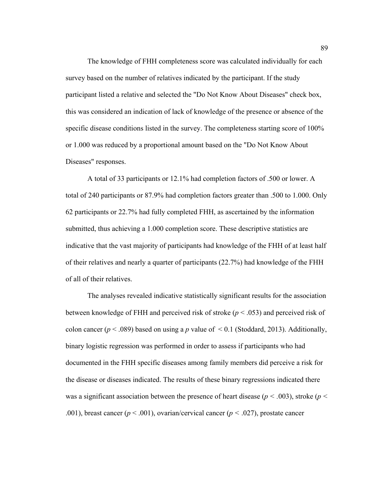The knowledge of FHH completeness score was calculated individually for each survey based on the number of relatives indicated by the participant. If the study participant listed a relative and selected the "Do Not Know About Diseases" check box, this was considered an indication of lack of knowledge of the presence or absence of the specific disease conditions listed in the survey. The completeness starting score of 100% or 1.000 was reduced by a proportional amount based on the "Do Not Know About Diseases" responses.

A total of 33 participants or 12.1% had completion factors of .500 or lower. A total of 240 participants or 87.9% had completion factors greater than .500 to 1.000. Only 62 participants or 22.7% had fully completed FHH, as ascertained by the information submitted, thus achieving a 1.000 completion score. These descriptive statistics are indicative that the vast majority of participants had knowledge of the FHH of at least half of their relatives and nearly a quarter of participants (22.7%) had knowledge of the FHH of all of their relatives.

The analyses revealed indicative statistically significant results for the association between knowledge of FHH and perceived risk of stroke (*p* < .053) and perceived risk of colon cancer ( $p < .089$ ) based on using a p value of  $< 0.1$  (Stoddard, 2013). Additionally, binary logistic regression was performed in order to assess if participants who had documented in the FHH specific diseases among family members did perceive a risk for the disease or diseases indicated. The results of these binary regressions indicated there was a significant association between the presence of heart disease ( $p < .003$ ), stroke ( $p <$ .001), breast cancer ( $p < .001$ ), ovarian/cervical cancer ( $p < .027$ ), prostate cancer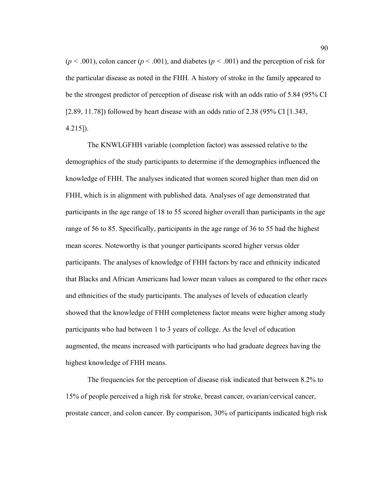$(p < .001)$ , colon cancer  $(p < .001)$ , and diabetes  $(p < .001)$  and the perception of risk for the particular disease as noted in the FHH. A history of stroke in the family appeared to be the strongest predictor of perception of disease risk with an odds ratio of 5.84 (95% CI [2.89, 11.78]) followed by heart disease with an odds ratio of 2.38 (95% CI [1.343, 4.215]).

The KNWLGFHH variable (completion factor) was assessed relative to the demographics of the study participants to determine if the demographics influenced the knowledge of FHH. The analyses indicated that women scored higher than men did on FHH, which is in alignment with published data. Analyses of age demonstrated that participants in the age range of 18 to 55 scored higher overall than participants in the age range of 56 to 85. Specifically, participants in the age range of 36 to 55 had the highest mean scores. Noteworthy is that younger participants scored higher versus older participants. The analyses of knowledge of FHH factors by race and ethnicity indicated that Blacks and African Americans had lower mean values as compared to the other races and ethnicities of the study participants. The analyses of levels of education clearly showed that the knowledge of FHH completeness factor means were higher among study participants who had between 1 to 3 years of college. As the level of education augmented, the means increased with participants who had graduate degrees having the highest knowledge of FHH means.

The frequencies for the perception of disease risk indicated that between 8.2% to 15% of people perceived a high risk for stroke, breast cancer, ovarian/cervical cancer, prostate cancer, and colon cancer. By comparison, 30% of participants indicated high risk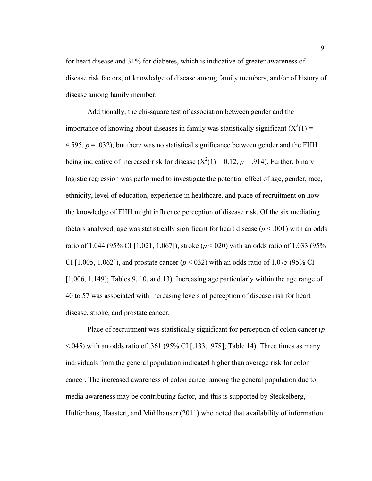for heart disease and 31% for diabetes, which is indicative of greater awareness of disease risk factors, of knowledge of disease among family members, and/or of history of disease among family member.

Additionally, the chi-square test of association between gender and the importance of knowing about diseases in family was statistically significant  $(X^2(1) =$ 4.595,  $p = .032$ ), but there was no statistical significance between gender and the FHH being indicative of increased risk for disease  $(X^2(1) = 0.12, p = .914)$ . Further, binary logistic regression was performed to investigate the potential effect of age, gender, race, ethnicity, level of education, experience in healthcare, and place of recruitment on how the knowledge of FHH might influence perception of disease risk. Of the six mediating factors analyzed, age was statistically significant for heart disease  $(p < .001)$  with an odds ratio of 1.044 (95% CI [1.021, 1.067]), stroke (*p* < 020) with an odds ratio of 1.033 (95% CI [1.005, 1.062]), and prostate cancer ( $p < 0.032$ ) with an odds ratio of 1.075 (95% CI [1.006, 1.149]; Tables 9, 10, and 13). Increasing age particularly within the age range of 40 to 57 was associated with increasing levels of perception of disease risk for heart disease, stroke, and prostate cancer.

Place of recruitment was statistically significant for perception of colon cancer (*p*   $<$  045) with an odds ratio of .361 (95% CI [.133, .978]; Table 14). Three times as many individuals from the general population indicated higher than average risk for colon cancer. The increased awareness of colon cancer among the general population due to media awareness may be contributing factor, and this is supported by Steckelberg, Hülfenhaus, Haastert, and Mühlhauser (2011) who noted that availability of information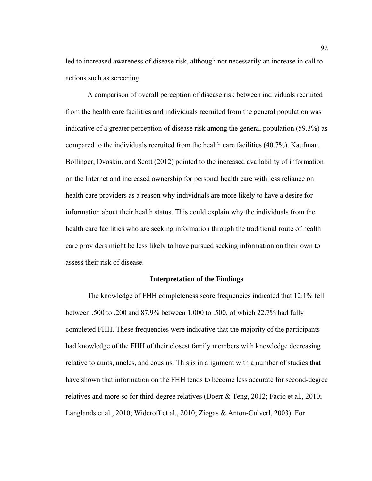led to increased awareness of disease risk, although not necessarily an increase in call to actions such as screening.

A comparison of overall perception of disease risk between individuals recruited from the health care facilities and individuals recruited from the general population was indicative of a greater perception of disease risk among the general population (59.3%) as compared to the individuals recruited from the health care facilities (40.7%). Kaufman, Bollinger, Dvoskin, and Scott (2012) pointed to the increased availability of information on the Internet and increased ownership for personal health care with less reliance on health care providers as a reason why individuals are more likely to have a desire for information about their health status. This could explain why the individuals from the health care facilities who are seeking information through the traditional route of health care providers might be less likely to have pursued seeking information on their own to assess their risk of disease.

### **Interpretation of the Findings**

The knowledge of FHH completeness score frequencies indicated that 12.1% fell between .500 to .200 and 87.9% between 1.000 to .500, of which 22.7% had fully completed FHH. These frequencies were indicative that the majority of the participants had knowledge of the FHH of their closest family members with knowledge decreasing relative to aunts, uncles, and cousins. This is in alignment with a number of studies that have shown that information on the FHH tends to become less accurate for second-degree relatives and more so for third-degree relatives (Doerr & Teng, 2012; Facio et al., 2010; Langlands et al., 2010; Wideroff et al., 2010; Ziogas & Anton-Culverl, 2003). For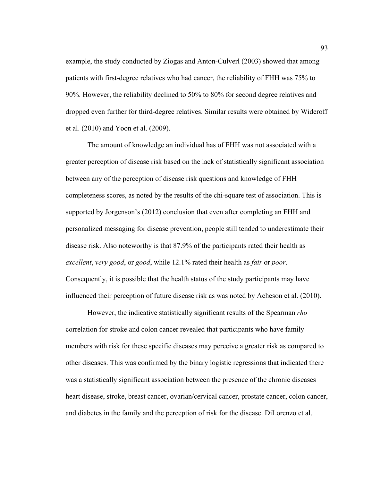example, the study conducted by Ziogas and Anton-Culverl (2003) showed that among patients with first-degree relatives who had cancer, the reliability of FHH was 75% to 90%. However, the reliability declined to 50% to 80% for second degree relatives and dropped even further for third-degree relatives. Similar results were obtained by Wideroff et al. (2010) and Yoon et al. (2009).

The amount of knowledge an individual has of FHH was not associated with a greater perception of disease risk based on the lack of statistically significant association between any of the perception of disease risk questions and knowledge of FHH completeness scores, as noted by the results of the chi-square test of association. This is supported by Jorgenson's (2012) conclusion that even after completing an FHH and personalized messaging for disease prevention, people still tended to underestimate their disease risk. Also noteworthy is that 87.9% of the participants rated their health as *excellent*, *very good*, or *good*, while 12.1% rated their health as *fair* or *poor*. Consequently, it is possible that the health status of the study participants may have influenced their perception of future disease risk as was noted by Acheson et al. (2010).

However, the indicative statistically significant results of the Spearman *rho* correlation for stroke and colon cancer revealed that participants who have family members with risk for these specific diseases may perceive a greater risk as compared to other diseases. This was confirmed by the binary logistic regressions that indicated there was a statistically significant association between the presence of the chronic diseases heart disease, stroke, breast cancer, ovarian/cervical cancer, prostate cancer, colon cancer, and diabetes in the family and the perception of risk for the disease. DiLorenzo et al.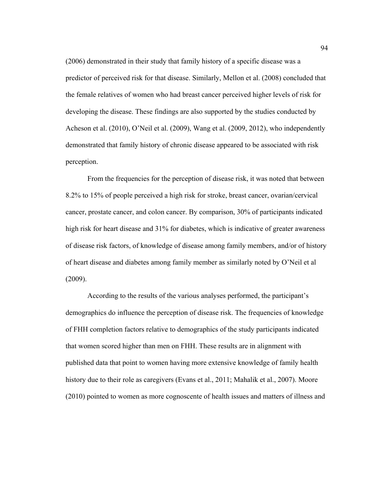(2006) demonstrated in their study that family history of a specific disease was a predictor of perceived risk for that disease. Similarly, Mellon et al. (2008) concluded that the female relatives of women who had breast cancer perceived higher levels of risk for developing the disease. These findings are also supported by the studies conducted by Acheson et al. (2010), O'Neil et al. (2009), Wang et al. (2009, 2012), who independently demonstrated that family history of chronic disease appeared to be associated with risk perception.

From the frequencies for the perception of disease risk, it was noted that between 8.2% to 15% of people perceived a high risk for stroke, breast cancer, ovarian/cervical cancer, prostate cancer, and colon cancer. By comparison, 30% of participants indicated high risk for heart disease and 31% for diabetes, which is indicative of greater awareness of disease risk factors, of knowledge of disease among family members, and/or of history of heart disease and diabetes among family member as similarly noted by O'Neil et al (2009).

According to the results of the various analyses performed, the participant's demographics do influence the perception of disease risk. The frequencies of knowledge of FHH completion factors relative to demographics of the study participants indicated that women scored higher than men on FHH. These results are in alignment with published data that point to women having more extensive knowledge of family health history due to their role as caregivers (Evans et al., 2011; Mahalik et al., 2007). Moore (2010) pointed to women as more cognoscente of health issues and matters of illness and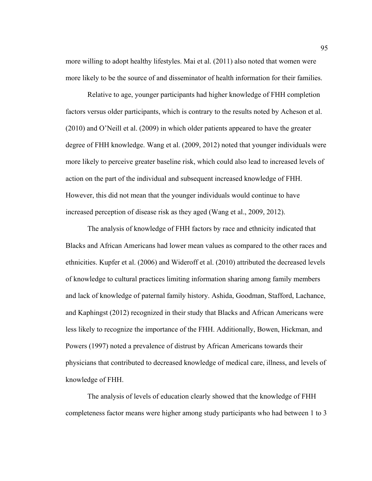more willing to adopt healthy lifestyles. Mai et al. (2011) also noted that women were more likely to be the source of and disseminator of health information for their families.

Relative to age, younger participants had higher knowledge of FHH completion factors versus older participants, which is contrary to the results noted by Acheson et al. (2010) and O'Neill et al. (2009) in which older patients appeared to have the greater degree of FHH knowledge. Wang et al. (2009, 2012) noted that younger individuals were more likely to perceive greater baseline risk, which could also lead to increased levels of action on the part of the individual and subsequent increased knowledge of FHH. However, this did not mean that the younger individuals would continue to have increased perception of disease risk as they aged (Wang et al., 2009, 2012).

The analysis of knowledge of FHH factors by race and ethnicity indicated that Blacks and African Americans had lower mean values as compared to the other races and ethnicities. Kupfer et al. (2006) and Wideroff et al. (2010) attributed the decreased levels of knowledge to cultural practices limiting information sharing among family members and lack of knowledge of paternal family history. Ashida, Goodman, Stafford, Lachance, and Kaphingst (2012) recognized in their study that Blacks and African Americans were less likely to recognize the importance of the FHH. Additionally, Bowen, Hickman, and Powers (1997) noted a prevalence of distrust by African Americans towards their physicians that contributed to decreased knowledge of medical care, illness, and levels of knowledge of FHH.

The analysis of levels of education clearly showed that the knowledge of FHH completeness factor means were higher among study participants who had between 1 to 3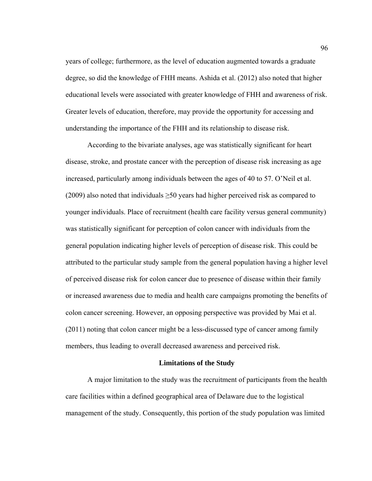years of college; furthermore, as the level of education augmented towards a graduate degree, so did the knowledge of FHH means. Ashida et al. (2012) also noted that higher educational levels were associated with greater knowledge of FHH and awareness of risk. Greater levels of education, therefore, may provide the opportunity for accessing and understanding the importance of the FHH and its relationship to disease risk.

According to the bivariate analyses, age was statistically significant for heart disease, stroke, and prostate cancer with the perception of disease risk increasing as age increased, particularly among individuals between the ages of 40 to 57. O'Neil et al. (2009) also noted that individuals  $\geq 50$  years had higher perceived risk as compared to younger individuals. Place of recruitment (health care facility versus general community) was statistically significant for perception of colon cancer with individuals from the general population indicating higher levels of perception of disease risk. This could be attributed to the particular study sample from the general population having a higher level of perceived disease risk for colon cancer due to presence of disease within their family or increased awareness due to media and health care campaigns promoting the benefits of colon cancer screening. However, an opposing perspective was provided by Mai et al. (2011) noting that colon cancer might be a less-discussed type of cancer among family members, thus leading to overall decreased awareness and perceived risk.

#### **Limitations of the Study**

 A major limitation to the study was the recruitment of participants from the health care facilities within a defined geographical area of Delaware due to the logistical management of the study. Consequently, this portion of the study population was limited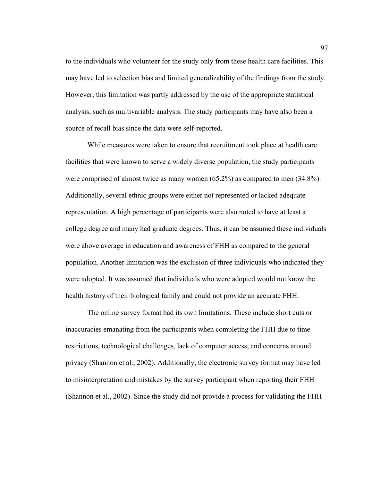to the individuals who volunteer for the study only from these health care facilities. This may have led to selection bias and limited generalizability of the findings from the study. However, this limitation was partly addressed by the use of the appropriate statistical analysis, such as multivariable analysis. The study participants may have also been a source of recall bias since the data were self-reported.

While measures were taken to ensure that recruitment took place at health care facilities that were known to serve a widely diverse population, the study participants were comprised of almost twice as many women (65.2%) as compared to men (34.8%). Additionally, several ethnic groups were either not represented or lacked adequate representation. A high percentage of participants were also noted to have at least a college degree and many had graduate degrees. Thus, it can be assumed these individuals were above average in education and awareness of FHH as compared to the general population. Another limitation was the exclusion of three individuals who indicated they were adopted. It was assumed that individuals who were adopted would not know the health history of their biological family and could not provide an accurate FHH.

The online survey format had its own limitations. These include short cuts or inaccuracies emanating from the participants when completing the FHH due to time restrictions, technological challenges, lack of computer access, and concerns around privacy (Shannon et al., 2002). Additionally, the electronic survey format may have led to misinterpretation and mistakes by the survey participant when reporting their FHH (Shannon et al., 2002). Since the study did not provide a process for validating the FHH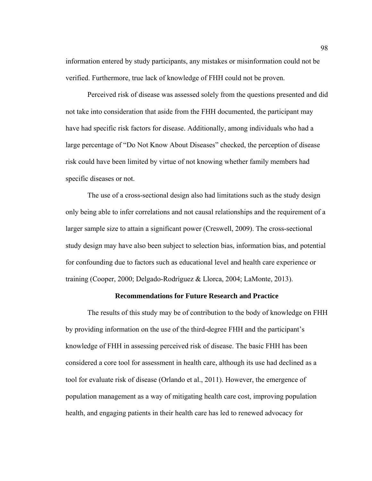information entered by study participants, any mistakes or misinformation could not be verified. Furthermore, true lack of knowledge of FHH could not be proven.

Perceived risk of disease was assessed solely from the questions presented and did not take into consideration that aside from the FHH documented, the participant may have had specific risk factors for disease. Additionally, among individuals who had a large percentage of "Do Not Know About Diseases" checked, the perception of disease risk could have been limited by virtue of not knowing whether family members had specific diseases or not.

The use of a cross-sectional design also had limitations such as the study design only being able to infer correlations and not causal relationships and the requirement of a larger sample size to attain a significant power (Creswell, 2009). The cross-sectional study design may have also been subject to selection bias, information bias, and potential for confounding due to factors such as educational level and health care experience or training (Cooper, 2000; Delgado-Rodríguez & Llorca, 2004; LaMonte, 2013).

# **Recommendations for Future Research and Practice**

 The results of this study may be of contribution to the body of knowledge on FHH by providing information on the use of the third-degree FHH and the participant's knowledge of FHH in assessing perceived risk of disease. The basic FHH has been considered a core tool for assessment in health care, although its use had declined as a tool for evaluate risk of disease (Orlando et al., 2011). However, the emergence of population management as a way of mitigating health care cost, improving population health, and engaging patients in their health care has led to renewed advocacy for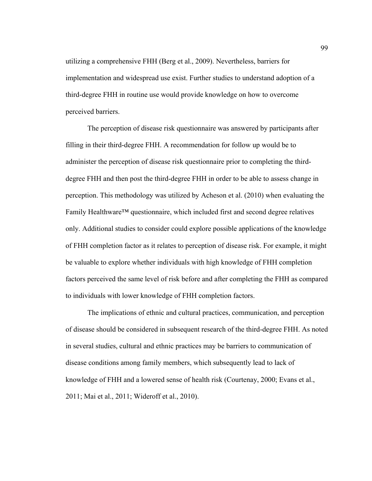utilizing a comprehensive FHH (Berg et al., 2009). Nevertheless, barriers for implementation and widespread use exist. Further studies to understand adoption of a third-degree FHH in routine use would provide knowledge on how to overcome perceived barriers.

 The perception of disease risk questionnaire was answered by participants after filling in their third-degree FHH. A recommendation for follow up would be to administer the perception of disease risk questionnaire prior to completing the thirddegree FHH and then post the third-degree FHH in order to be able to assess change in perception. This methodology was utilized by Acheson et al. (2010) when evaluating the Family Healthware™ questionnaire, which included first and second degree relatives only. Additional studies to consider could explore possible applications of the knowledge of FHH completion factor as it relates to perception of disease risk. For example, it might be valuable to explore whether individuals with high knowledge of FHH completion factors perceived the same level of risk before and after completing the FHH as compared to individuals with lower knowledge of FHH completion factors.

 The implications of ethnic and cultural practices, communication, and perception of disease should be considered in subsequent research of the third-degree FHH. As noted in several studies, cultural and ethnic practices may be barriers to communication of disease conditions among family members, which subsequently lead to lack of knowledge of FHH and a lowered sense of health risk (Courtenay, 2000; Evans et al., 2011; Mai et al., 2011; Wideroff et al., 2010).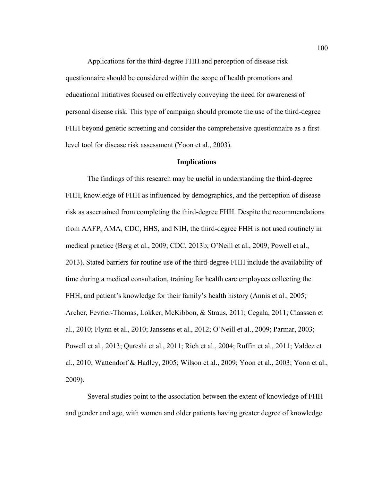Applications for the third-degree FHH and perception of disease risk questionnaire should be considered within the scope of health promotions and educational initiatives focused on effectively conveying the need for awareness of personal disease risk. This type of campaign should promote the use of the third-degree FHH beyond genetic screening and consider the comprehensive questionnaire as a first level tool for disease risk assessment (Yoon et al., 2003).

## **Implications**

The findings of this research may be useful in understanding the third-degree FHH, knowledge of FHH as influenced by demographics, and the perception of disease risk as ascertained from completing the third-degree FHH. Despite the recommendations from AAFP, AMA, CDC, HHS, and NIH, the third-degree FHH is not used routinely in medical practice (Berg et al., 2009; CDC, 2013b; O'Neill et al., 2009; Powell et al., 2013). Stated barriers for routine use of the third-degree FHH include the availability of time during a medical consultation, training for health care employees collecting the FHH, and patient's knowledge for their family's health history (Annis et al., 2005; Archer, Fevrier-Thomas, Lokker, McKibbon, & Straus, 2011; Cegala, 2011; Claassen et al., 2010; Flynn et al., 2010; Janssens et al., 2012; O'Neill et al., 2009; Parmar, 2003; Powell et al., 2013; Qureshi et al., 2011; Rich et al., 2004; Ruffin et al., 2011; Valdez et al., 2010; Wattendorf & Hadley, 2005; Wilson et al., 2009; Yoon et al., 2003; Yoon et al., 2009).

Several studies point to the association between the extent of knowledge of FHH and gender and age, with women and older patients having greater degree of knowledge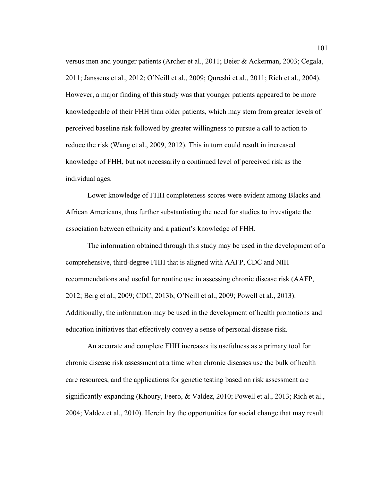versus men and younger patients (Archer et al., 2011; Beier & Ackerman, 2003; Cegala, 2011; Janssens et al., 2012; O'Neill et al., 2009; Qureshi et al., 2011; Rich et al., 2004). However, a major finding of this study was that younger patients appeared to be more knowledgeable of their FHH than older patients, which may stem from greater levels of perceived baseline risk followed by greater willingness to pursue a call to action to reduce the risk (Wang et al., 2009, 2012). This in turn could result in increased knowledge of FHH, but not necessarily a continued level of perceived risk as the individual ages.

Lower knowledge of FHH completeness scores were evident among Blacks and African Americans, thus further substantiating the need for studies to investigate the association between ethnicity and a patient's knowledge of FHH.

The information obtained through this study may be used in the development of a comprehensive, third-degree FHH that is aligned with AAFP, CDC and NIH recommendations and useful for routine use in assessing chronic disease risk (AAFP, 2012; Berg et al., 2009; CDC, 2013b; O'Neill et al., 2009; Powell et al., 2013). Additionally, the information may be used in the development of health promotions and education initiatives that effectively convey a sense of personal disease risk.

An accurate and complete FHH increases its usefulness as a primary tool for chronic disease risk assessment at a time when chronic diseases use the bulk of health care resources, and the applications for genetic testing based on risk assessment are significantly expanding (Khoury, Feero, & Valdez, 2010; Powell et al., 2013; Rich et al., 2004; Valdez et al., 2010). Herein lay the opportunities for social change that may result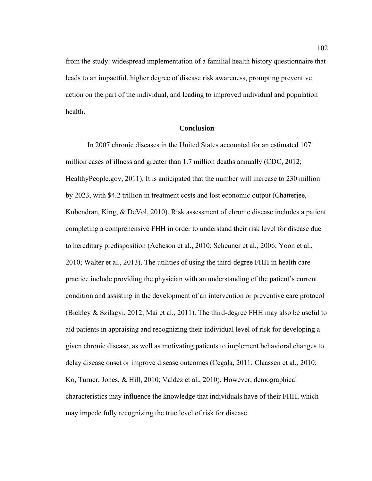from the study: widespread implementation of a familial health history questionnaire that leads to an impactful, higher degree of disease risk awareness, prompting preventive action on the part of the individual, and leading to improved individual and population health.

## **Conclusion**

 In 2007 chronic diseases in the United States accounted for an estimated 107 million cases of illness and greater than 1.7 million deaths annually (CDC, 2012; HealthyPeople.gov, 2011). It is anticipated that the number will increase to 230 million by 2023, with \$4.2 trillion in treatment costs and lost economic output (Chatterjee, Kubendran, King, & DeVol, 2010). Risk assessment of chronic disease includes a patient completing a comprehensive FHH in order to understand their risk level for disease due to hereditary predisposition (Acheson et al., 2010; Scheuner et al., 2006; Yoon et al., 2010; Walter et al., 2013). The utilities of using the third-degree FHH in health care practice include providing the physician with an understanding of the patient's current condition and assisting in the development of an intervention or preventive care protocol (Bickley & Szilagyi, 2012; Mai et al., 2011). The third-degree FHH may also be useful to aid patients in appraising and recognizing their individual level of risk for developing a given chronic disease, as well as motivating patients to implement behavioral changes to delay disease onset or improve disease outcomes (Cegala, 2011; Claassen et al., 2010; Ko, Turner, Jones, & Hill, 2010; Valdez et al., 2010). However, demographical characteristics may influence the knowledge that individuals have of their FHH, which may impede fully recognizing the true level of risk for disease.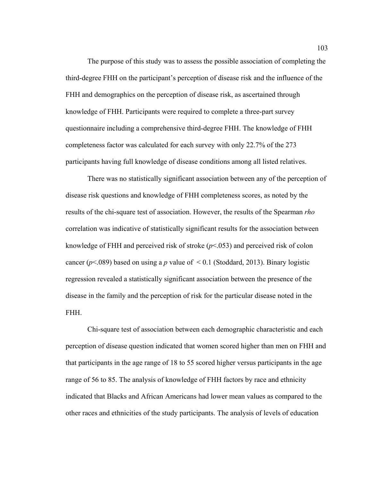The purpose of this study was to assess the possible association of completing the third-degree FHH on the participant's perception of disease risk and the influence of the FHH and demographics on the perception of disease risk, as ascertained through knowledge of FHH. Participants were required to complete a three-part survey questionnaire including a comprehensive third-degree FHH. The knowledge of FHH completeness factor was calculated for each survey with only 22.7% of the 273 participants having full knowledge of disease conditions among all listed relatives.

There was no statistically significant association between any of the perception of disease risk questions and knowledge of FHH completeness scores, as noted by the results of the chi-square test of association. However, the results of the Spearman *rho* correlation was indicative of statistically significant results for the association between knowledge of FHH and perceived risk of stroke (*p*<.053) and perceived risk of colon cancer ( $p$ <.089) based on using a *p* value of  $\leq$  0.1 (Stoddard, 2013). Binary logistic regression revealed a statistically significant association between the presence of the disease in the family and the perception of risk for the particular disease noted in the FHH.

Chi-square test of association between each demographic characteristic and each perception of disease question indicated that women scored higher than men on FHH and that participants in the age range of 18 to 55 scored higher versus participants in the age range of 56 to 85. The analysis of knowledge of FHH factors by race and ethnicity indicated that Blacks and African Americans had lower mean values as compared to the other races and ethnicities of the study participants. The analysis of levels of education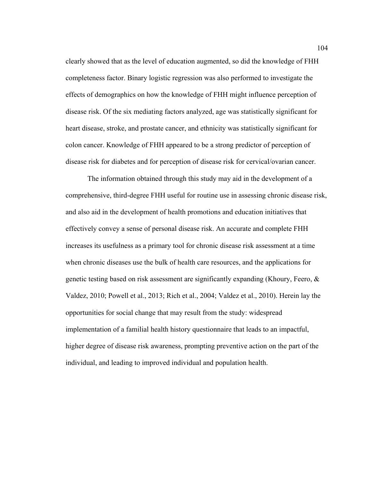clearly showed that as the level of education augmented, so did the knowledge of FHH completeness factor. Binary logistic regression was also performed to investigate the effects of demographics on how the knowledge of FHH might influence perception of disease risk. Of the six mediating factors analyzed, age was statistically significant for heart disease, stroke, and prostate cancer, and ethnicity was statistically significant for colon cancer. Knowledge of FHH appeared to be a strong predictor of perception of disease risk for diabetes and for perception of disease risk for cervical/ovarian cancer.

The information obtained through this study may aid in the development of a comprehensive, third-degree FHH useful for routine use in assessing chronic disease risk, and also aid in the development of health promotions and education initiatives that effectively convey a sense of personal disease risk. An accurate and complete FHH increases its usefulness as a primary tool for chronic disease risk assessment at a time when chronic diseases use the bulk of health care resources, and the applications for genetic testing based on risk assessment are significantly expanding (Khoury, Feero,  $\&$ Valdez, 2010; Powell et al., 2013; Rich et al., 2004; Valdez et al., 2010). Herein lay the opportunities for social change that may result from the study: widespread implementation of a familial health history questionnaire that leads to an impactful, higher degree of disease risk awareness, prompting preventive action on the part of the individual, and leading to improved individual and population health.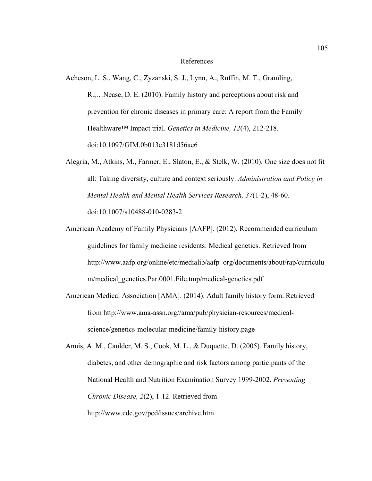#### References

Acheson, L. S., Wang, C., Zyzanski, S. J., Lynn, A., Ruffin, M. T., Gramling,

R.,…Nease, D. E. (2010). Family history and perceptions about risk and prevention for chronic diseases in primary care: A report from the Family Healthware™ Impact trial. *Genetics in Medicine, 12*(4), 212-218. doi:10.1097/GIM.0b013e3181d56ae6

- Alegria, M., Atkins, M., Farmer, E., Slaton, E., & Stelk, W. (2010). One size does not fit all: Taking diversity, culture and context seriously. *Administration and Policy in Mental Health and Mental Health Services Research, 37*(1-2), 48-60. doi:10.1007/s10488-010-0283-2
- American Academy of Family Physicians [AAFP]. (2012). Recommended curriculum guidelines for family medicine residents: Medical genetics. Retrieved from http://www.aafp.org/online/etc/medialib/aafp\_org/documents/about/rap/curriculu m/medical\_genetics.Par.0001.File.tmp/medical-genetics.pdf
- American Medical Association [AMA]. (2014). Adult family history form. Retrieved from http://www.ama-assn.org//ama/pub/physician-resources/medicalscience/genetics-molecular-medicine/family-history.page
- Annis, A. M., Caulder, M. S., Cook, M. L., & Duquette, D. (2005). Family history, diabetes, and other demographic and risk factors among participants of the National Health and Nutrition Examination Survey 1999-2002. *Preventing Chronic Disease, 2*(2), 1-12. Retrieved from http://www.cdc.gov/pcd/issues/archive.htm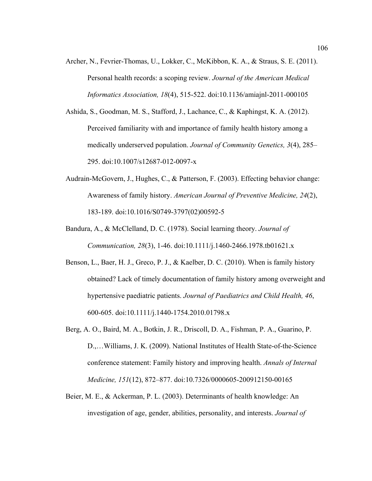- Archer, N., Fevrier-Thomas, U., Lokker, C., McKibbon, K. A., & Straus, S. E. (2011). Personal health records: a scoping review. *Journal of the American Medical Informatics Association, 18*(4), 515-522. doi:10.1136/amiajnl-2011-000105
- Ashida, S., Goodman, M. S., Stafford, J., Lachance, C., & Kaphingst, K. A. (2012). Perceived familiarity with and importance of family health history among a medically underserved population. *Journal of Community Genetics, 3*(4), 285– 295. doi:10.1007/s12687-012-0097-x
- Audrain-McGovern, J., Hughes, C., & Patterson, F. (2003). Effecting behavior change: Awareness of family history. *American Journal of Preventive Medicine, 24*(2), 183-189. doi:10.1016/S0749-3797(02)00592-5
- Bandura, A., & McClelland, D. C. (1978). Social learning theory. *Journal of Communication, 28*(3), 1-46. doi:10.1111/j.1460-2466.1978.tb01621.x
- Benson, L., Baer, H. J., Greco, P. J., & Kaelber, D. C. (2010). When is family history obtained? Lack of timely documentation of family history among overweight and hypertensive paediatric patients. *Journal of Paediatrics and Child Health, 46*, 600-605. doi:10.1111/j.1440-1754.2010.01798.x
- Berg, A. O., Baird, M. A., Botkin, J. R., Driscoll, D. A., Fishman, P. A., Guarino, P. D.,…Williams, J. K. (2009). National Institutes of Health State-of-the-Science conference statement: Family history and improving health. *Annals of Internal Medicine, 151*(12), 872–877. doi:10.7326/0000605-200912150-00165
- Beier, M. E., & Ackerman, P. L. (2003). Determinants of health knowledge: An investigation of age, gender, abilities, personality, and interests. *Journal of*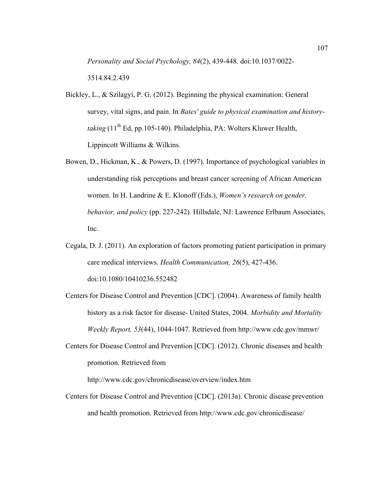*Personality and Social Psychology, 84*(2), 439-448. doi:10.1037/0022- 3514.84.2.439

- Bickley, L., & Szilagyi, P. G. (2012). Beginning the physical examination: General survey, vital signs, and pain. In *Bates' guide to physical examination and historytaking* (11<sup>th</sup> Ed, pp.105-140). Philadelphia, PA: Wolters Kluwer Health, Lippincott Williams & Wilkins.
- Bowen, D., Hickman, K., & Powers, D. (1997). Importance of psychological variables in understanding risk perceptions and breast cancer screening of African American women. In H. Landrine & E. Klonoff (Eds.), *Women's research on gender, behavior, and policy* (pp. 227-242). Hillsdale, NJ: Lawrence Erlbaum Associates, Inc.
- Cegala, D. J. (2011). An exploration of factors promoting patient participation in primary care medical interviews. *Health Communication, 26*(5), 427-436. doi:10.1080/10410236.552482
- Centers for Disease Control and Prevention [CDC]. (2004). Awareness of family health history as a risk factor for disease- United States, 2004. *Morbidity and Mortality Weekly Report, 53*(44), 1044-1047. Retrieved from http://www.cdc.gov/mmwr/
- Centers for Disease Control and Prevention [CDC]. (2012). Chronic diseases and health promotion. Retrieved from

http://www.cdc.gov/chronicdisease/overview/index.htm

Centers for Disease Control and Prevention [CDC]. (2013a). Chronic disease prevention and health promotion. Retrieved from http://www.cdc.gov/chronicdisease/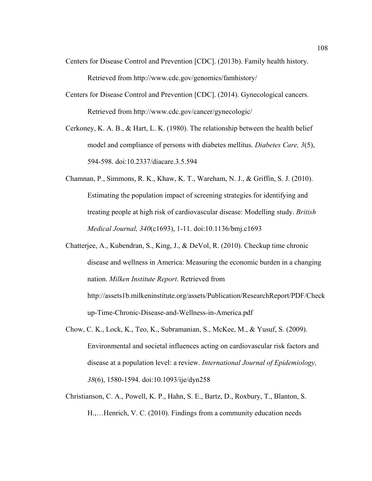- Centers for Disease Control and Prevention [CDC]. (2013b). Family health history. Retrieved from http://www.cdc.gov/genomics/famhistory/
- Centers for Disease Control and Prevention [CDC]. (2014). Gynecological cancers. Retrieved from http://www.cdc.gov/cancer/gynecologic/
- Cerkoney, K. A. B., & Hart, L. K. (1980). The relationship between the health belief model and compliance of persons with diabetes mellitus. *Diabetes Care, 3*(5), 594-598. doi:10.2337/diacare.3.5.594
- Chamnan, P., Simmons, R. K., Khaw, K. T., Wareham, N. J., & Griffin, S. J. (2010). Estimating the population impact of screening strategies for identifying and treating people at high risk of cardiovascular disease: Modelling study. *British Medical Journal, 340*(c1693), 1-11. doi:10.1136/bmj.c1693
- Chatterjee, A., Kubendran, S., King, J., & DeVol, R. (2010). Checkup time chronic disease and wellness in America: Measuring the economic burden in a changing nation. *Milken Institute Report*. Retrieved from http://assets1b.milkeninstitute.org/assets/Publication/ResearchReport/PDF/Check up-Time-Chronic-Disease-and-Wellness-in-America.pdf
- Chow, C. K., Lock, K., Teo, K., Subramanian, S., McKee, M., & Yusuf, S. (2009). Environmental and societal influences acting on cardiovascular risk factors and disease at a population level: a review. *International Journal of Epidemiology, 38*(6), 1580-1594. doi:10.1093/ije/dyn258
- Christianson, C. A., Powell, K. P., Hahn, S. E., Bartz, D., Roxbury, T., Blanton, S. H.,…Henrich, V. C. (2010). Findings from a community education needs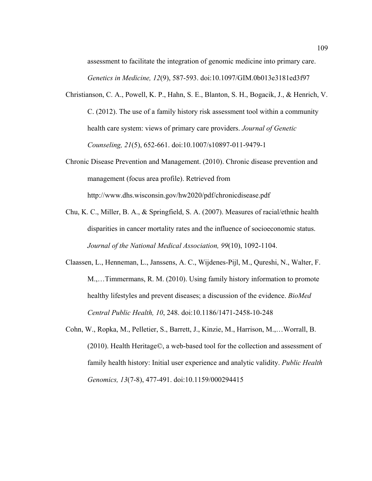assessment to facilitate the integration of genomic medicine into primary care. *Genetics in Medicine, 12*(9), 587-593. doi:10.1097/GIM.0b013e3181ed3f97

- Christianson, C. A., Powell, K. P., Hahn, S. E., Blanton, S. H., Bogacik, J., & Henrich, V. C. (2012). The use of a family history risk assessment tool within a community health care system: views of primary care providers. *Journal of Genetic Counseling, 21*(5), 652-661. doi:10.1007/s10897-011-9479-1
- Chronic Disease Prevention and Management. (2010). Chronic disease prevention and management (focus area profile). Retrieved from http://www.dhs.wisconsin.gov/hw2020/pdf/chronicdisease.pdf
- Chu, K. C., Miller, B. A., & Springfield, S. A. (2007). Measures of racial/ethnic health disparities in cancer mortality rates and the influence of socioeconomic status. *Journal of the National Medical Association, 99*(10), 1092-1104.
- Claassen, L., Henneman, L., Janssens, A. C., Wijdenes-Pijl, M., Qureshi, N., Walter, F. M.,…Timmermans, R. M. (2010). Using family history information to promote healthy lifestyles and prevent diseases; a discussion of the evidence. *BioMed Central Public Health, 10*, 248. doi:10.1186/1471-2458-10-248
- Cohn, W., Ropka, M., Pelletier, S., Barrett, J., Kinzie, M., Harrison, M.,…Worrall, B. (2010). Health Heritage©, a web-based tool for the collection and assessment of family health history: Initial user experience and analytic validity. *Public Health Genomics, 13*(7-8), 477-491. doi:10.1159/000294415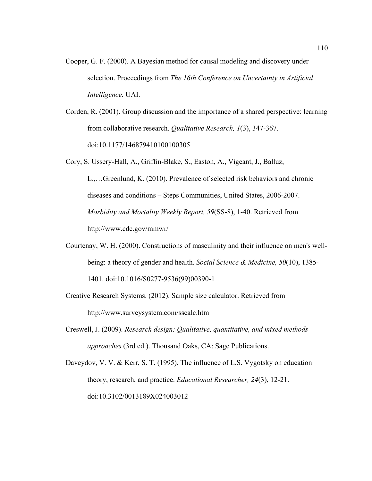- Cooper, G. F. (2000). A Bayesian method for causal modeling and discovery under selection. Proceedings from *The 16th Conference on Uncertainty in Artificial Intelligence.* UAI.
- Corden, R. (2001). Group discussion and the importance of a shared perspective: learning from collaborative research. *Qualitative Research, 1*(3), 347-367. doi:10.1177/146879410100100305

Cory, S. Ussery-Hall, A., Griffin-Blake, S., Easton, A., Vigeant, J., Balluz,

L.,…Greenlund, K. (2010). Prevalence of selected risk behaviors and chronic diseases and conditions – Steps Communities, United States, 2006-2007. *Morbidity and Mortality Weekly Report, 59*(SS-8), 1-40. Retrieved from http://www.cdc.gov/mmwr/

- Courtenay, W. H. (2000). Constructions of masculinity and their influence on men's wellbeing: a theory of gender and health. *Social Science & Medicine, 50*(10), 1385- 1401. doi:10.1016/S0277-9536(99)00390-1
- Creative Research Systems. (2012). Sample size calculator. Retrieved from http://www.surveysystem.com/sscalc.htm
- Creswell, J. (2009). *Research design: Qualitative, quantitative, and mixed methods approaches* (3rd ed.). Thousand Oaks, CA: Sage Publications.

Daveydov, V. V. & Kerr, S. T. (1995). The influence of L.S. Vygotsky on education theory, research, and practice. *Educational Researcher, 24*(3), 12-21. doi:10.3102/0013189X024003012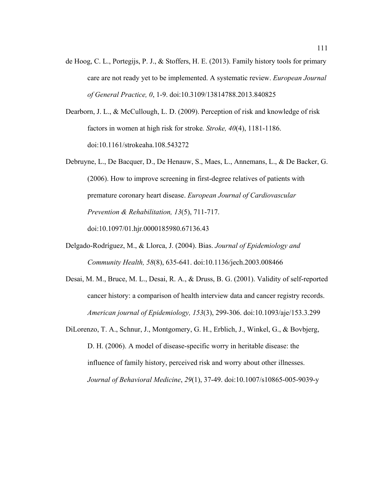- de Hoog, C. L., Portegijs, P. J., & Stoffers, H. E. (2013). Family history tools for primary care are not ready yet to be implemented. A systematic review. *European Journal of General Practice, 0*, 1-9. doi:10.3109/13814788.2013.840825
- Dearborn, J. L., & McCullough, L. D. (2009). Perception of risk and knowledge of risk factors in women at high risk for stroke*. Stroke, 40*(4), 1181-1186. doi:10.1161/strokeaha.108.543272
- Debruyne, L., De Bacquer, D., De Henauw, S., Maes, L., Annemans, L., & De Backer, G. (2006). How to improve screening in first-degree relatives of patients with premature coronary heart disease. *European Journal of Cardiovascular Prevention & Rehabilitation, 13*(5), 711-717. doi:10.1097/01.hjr.0000185980.67136.43
- Delgado-Rodríguez, M., & Llorca, J. (2004). Bias. *Journal of Epidemiology and Community Health, 58*(8), 635-641. doi:10.1136/jech.2003.008466
- Desai, M. M., Bruce, M. L., Desai, R. A., & Druss, B. G. (2001). Validity of self-reported cancer history: a comparison of health interview data and cancer registry records. *American journal of Epidemiology, 153*(3), 299-306. doi:10.1093/aje/153.3.299
- DiLorenzo, T. A., Schnur, J., Montgomery, G. H., Erblich, J., Winkel, G., & Bovbjerg, D. H. (2006). A model of disease-specific worry in heritable disease: the influence of family history, perceived risk and worry about other illnesses. *Journal of Behavioral Medicine*, *29*(1), 37-49. doi:10.1007/s10865-005-9039-y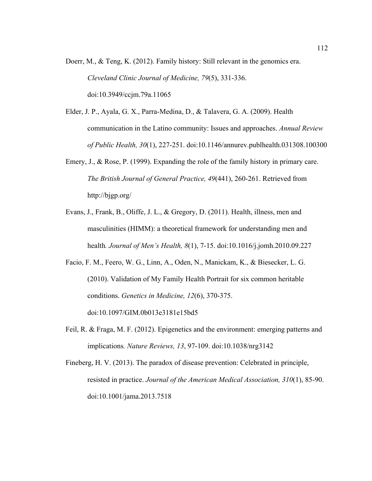Doerr, M., & Teng, K. (2012). Family history: Still relevant in the genomics era. *Cleveland Clinic Journal of Medicine, 79*(5), 331-336. doi:10.3949/ccjm.79a.11065

- Elder, J. P., Ayala, G. X., Parra-Medina, D., & Talavera, G. A. (2009). Health communication in the Latino community: Issues and approaches. *Annual Review of Public Health, 30*(1), 227-251. doi:10.1146/annurev.publhealth.031308.100300
- Emery, J., & Rose, P. (1999). Expanding the role of the family history in primary care. *The British Journal of General Practice, 49*(441), 260-261. Retrieved from http://bjgp.org/
- Evans, J., Frank, B., Oliffe, J. L., & Gregory, D. (2011). Health, illness, men and masculinities (HIMM): a theoretical framework for understanding men and health*. Journal of Men's Health, 8*(1), 7-15. doi:10.1016/j.jomh.2010.09.227
- Facio, F. M., Feero, W. G., Linn, A., Oden, N., Manickam, K., & Biesecker, L. G. (2010). Validation of My Family Health Portrait for six common heritable conditions. *Genetics in Medicine, 12*(6), 370-375. doi:10.1097/GIM.0b013e3181e15bd5
- Feil, R. & Fraga, M. F. (2012). Epigenetics and the environment: emerging patterns and implications*. Nature Reviews, 13*, 97-109. doi:10.1038/nrg3142
- Fineberg, H. V. (2013). The paradox of disease prevention: Celebrated in principle, resisted in practice. *Journal of the American Medical Association, 310*(1), 85-90. doi:10.1001/jama.2013.7518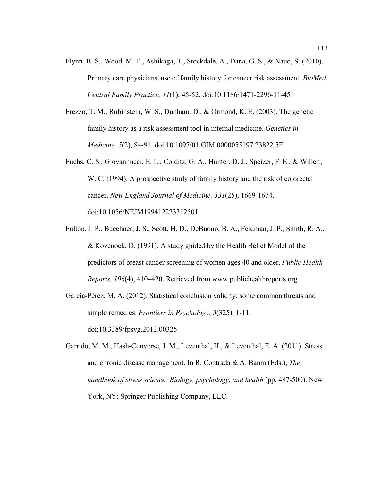- Flynn, B. S., Wood, M. E., Ashikaga, T., Stockdale, A., Dana, G. S., & Naud, S. (2010). Primary care physicians' use of family history for cancer risk assessment. *BioMed Central Family Practice, 11*(1), 45-52. doi:10.1186/1471-2296-11-45
- Frezzo, T. M., Rubinstein, W. S., Dunham, D., & Ormond, K. E. (2003). The genetic family history as a risk assessment tool in internal medicine. *Genetics in Medicine, 5*(2), 84-91. doi:10.1097/01.GIM.0000055197.23822.5E
- Fuchs, C. S., Giovannucci, E. L., Colditz, G. A., Hunter, D. J., Speizer, F. E., & Willett, W. C. (1994). A prospective study of family history and the risk of colorectal cancer. *New England Journal of Medicine, 331*(25), 1669-1674. doi:10.1056/NEJM199412223312501
- Fulton, J. P., Buechner, J. S., Scott, H. D., DeBuono, B. A., Feldman, J. P., Smith, R. A., & Kovenock, D. (1991). A study guided by the Health Belief Model of the predictors of breast cancer screening of women ages 40 and older. *Public Health Reports, 106*(4), 410–420. Retrieved from www.publichealthreports.org
- García-Pérez, M. A. (2012). Statistical conclusion validity: some common threats and simple remedies. *Frontiers in Psychology*, *3*(325), 1-11.

doi:10.3389/fpsyg.2012.00325

Garrido, M. M., Hash-Converse, J. M., Leventhal, H., & Leventhal, E. A. (2011). Stress and chronic disease management. In R. Contrada & A. Baum (Eds.), *The handbook of stress science: Biology, psychology, and health* (pp. 487-500). New York, NY: Springer Publishing Company, LLC.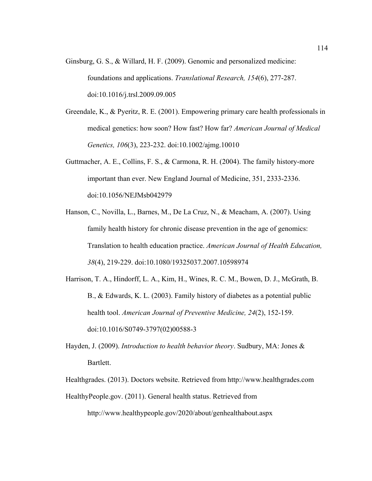- Ginsburg, G. S., & Willard, H. F. (2009). Genomic and personalized medicine: foundations and applications. *Translational Research, 154*(6), 277-287. doi:10.1016/j.trsl.2009.09.005
- Greendale, K., & Pyeritz, R. E. (2001). Empowering primary care health professionals in medical genetics: how soon? How fast? How far? *American Journal of Medical Genetics, 106*(3), 223-232. doi:10.1002/ajmg.10010
- Guttmacher, A. E., Collins, F. S., & Carmona, R. H. (2004). The family history-more important than ever. New England Journal of Medicine, 351, 2333-2336. doi:10.1056/NEJMsb042979
- Hanson, C., Novilla, L., Barnes, M., De La Cruz, N., & Meacham, A. (2007). Using family health history for chronic disease prevention in the age of genomics: Translation to health education practice. *American Journal of Health Education, 38*(4), 219-229. doi:10.1080/19325037.2007.10598974
- Harrison, T. A., Hindorff, L. A., Kim, H., Wines, R. C. M., Bowen, D. J., McGrath, B. B., & Edwards, K. L. (2003). Family history of diabetes as a potential public health tool. *American Journal of Preventive Medicine, 24*(2), 152-159. doi:10.1016/S0749-3797(02)00588-3
- Hayden, J. (2009). *Introduction to health behavior theory*. Sudbury, MA: Jones & Bartlett.
- Healthgrades. (2013). Doctors website. Retrieved from http://www.healthgrades.com HealthyPeople.gov. (2011). General health status. Retrieved from

http://www.healthypeople.gov/2020/about/genhealthabout.aspx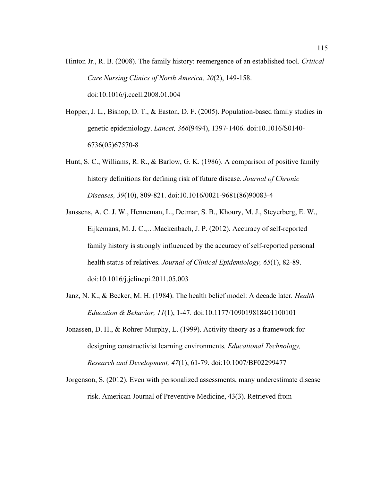- Hinton Jr., R. B. (2008). The family history: reemergence of an established tool. *Critical Care Nursing Clinics of North America, 20*(2), 149-158. doi:10.1016/j.ccell.2008.01.004
- Hopper, J. L., Bishop, D. T., & Easton, D. F. (2005). Population-based family studies in genetic epidemiology. *Lancet, 366*(9494), 1397-1406. doi:10.1016/S0140- 6736(05)67570-8
- Hunt, S. C., Williams, R. R., & Barlow, G. K. (1986). A comparison of positive family history definitions for defining risk of future disease. *Journal of Chronic Diseases, 39*(10), 809-821. doi:10.1016/0021-9681(86)90083-4
- Janssens, A. C. J. W., Henneman, L., Detmar, S. B., Khoury, M. J., Steyerberg, E. W., Eijkemans, M. J. C.,…Mackenbach, J. P. (2012). Accuracy of self-reported family history is strongly influenced by the accuracy of self-reported personal health status of relatives. *Journal of Clinical Epidemiology, 65*(1), 82-89. doi:10.1016/j.jclinepi.2011.05.003
- Janz, N. K., & Becker, M. H. (1984). The health belief model: A decade later*. Health Education & Behavior, 11*(1), 1-47. doi:10.1177/109019818401100101
- Jonassen, D. H., & Rohrer-Murphy, L. (1999). Activity theory as a framework for designing constructivist learning environments*. Educational Technology, Research and Development, 47*(1), 61-79. doi:10.1007/BF02299477
- Jorgenson, S. (2012). Even with personalized assessments, many underestimate disease risk. American Journal of Preventive Medicine, 43(3). Retrieved from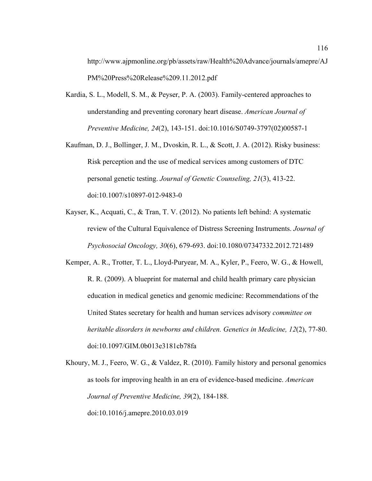http://www.ajpmonline.org/pb/assets/raw/Health%20Advance/journals/amepre/AJ PM%20Press%20Release%209.11.2012.pdf

- Kardia, S. L., Modell, S. M., & Peyser, P. A. (2003). Family-centered approaches to understanding and preventing coronary heart disease. *American Journal of Preventive Medicine, 24*(2), 143-151. doi:10.1016/S0749-3797(02)00587-1
- Kaufman, D. J., Bollinger, J. M., Dvoskin, R. L., & Scott, J. A. (2012). Risky business: Risk perception and the use of medical services among customers of DTC personal genetic testing. *Journal of Genetic Counseling, 21*(3), 413-22. doi:10.1007/s10897-012-9483-0
- Kayser, K., Acquati, C., & Tran, T. V. (2012). No patients left behind: A systematic review of the Cultural Equivalence of Distress Screening Instruments. *Journal of Psychosocial Oncology, 30*(6), 679-693. doi:10.1080/07347332.2012.721489
- Kemper, A. R., Trotter, T. L., Lloyd-Puryear, M. A., Kyler, P., Feero, W. G., & Howell, R. R. (2009). A blueprint for maternal and child health primary care physician education in medical genetics and genomic medicine: Recommendations of the United States secretary for health and human services advisory *committee on heritable disorders in newborns and children. Genetics in Medicine, 12*(2), 77-80. doi:10.1097/GIM.0b013e3181cb78fa
- Khoury, M. J., Feero, W. G., & Valdez, R. (2010). Family history and personal genomics as tools for improving health in an era of evidence-based medicine. *American Journal of Preventive Medicine, 39*(2), 184-188. doi:10.1016/j.amepre.2010.03.019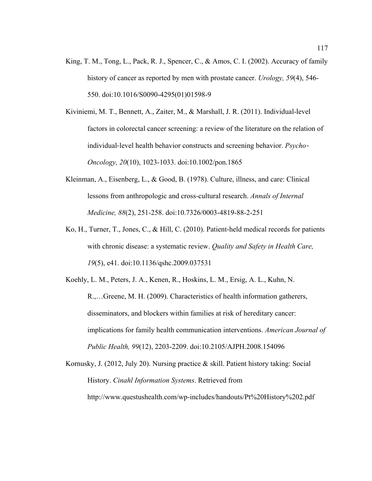- King, T. M., Tong, L., Pack, R. J., Spencer, C., & Amos, C. I. (2002). Accuracy of family history of cancer as reported by men with prostate cancer. *Urology, 59*(4), 546- 550. doi:10.1016/S0090-4295(01)01598-9
- Kiviniemi, M. T., Bennett, A., Zaiter, M., & Marshall, J. R. (2011). Individual-level factors in colorectal cancer screening: a review of the literature on the relation of individual‐level health behavior constructs and screening behavior. *Psycho*‐ *Oncology, 20*(10), 1023-1033. doi:10.1002/pon.1865
- Kleinman, A., Eisenberg, L., & Good, B. (1978). Culture, illness, and care: Clinical lessons from anthropologic and cross-cultural research. *Annals of Internal Medicine, 88*(2), 251-258. doi:10.7326/0003-4819-88-2-251
- Ko, H., Turner, T., Jones, C., & Hill, C. (2010). Patient-held medical records for patients with chronic disease: a systematic review. *Quality and Safety in Health Care, 19*(5), e41. doi:10.1136/qshc.2009.037531
- Koehly, L. M., Peters, J. A., Kenen, R., Hoskins, L. M., Ersig, A. L., Kuhn, N. R.,…Greene, M. H. (2009). Characteristics of health information gatherers, disseminators, and blockers within families at risk of hereditary cancer: implications for family health communication interventions. *American Journal of Public Health, 99*(12), 2203-2209. doi:10.2105/AJPH.2008.154096
- Kornusky, J. (2012, July 20). Nursing practice & skill. Patient history taking: Social History. *Cinahl Information Systems*. Retrieved from http://www.questushealth.com/wp-includes/handouts/Pt%20History%202.pdf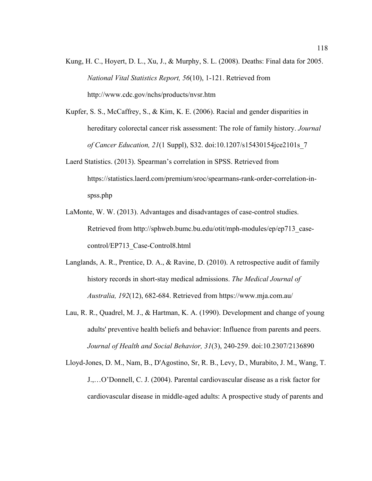- Kung, H. C., Hoyert, D. L., Xu, J., & Murphy, S. L. (2008). Deaths: Final data for 2005. *National Vital Statistics Report, 56*(10), 1-121. Retrieved from http://www.cdc.gov/nchs/products/nvsr.htm
- Kupfer, S. S., McCaffrey, S., & Kim, K. E. (2006). Racial and gender disparities in hereditary colorectal cancer risk assessment: The role of family history. *Journal of Cancer Education, 21*(1 Suppl), S32. doi:10.1207/s15430154jce2101s\_7
- Laerd Statistics. (2013). Spearman's correlation in SPSS. Retrieved from https://statistics.laerd.com/premium/sroc/spearmans-rank-order-correlation-inspss.php
- LaMonte, W. W. (2013). Advantages and disadvantages of case-control studies. Retrieved from http://sphweb.bumc.bu.edu/otit/mph-modules/ep/ep713\_casecontrol/EP713\_Case-Control8.html
- Langlands, A. R., Prentice, D. A., & Ravine, D. (2010). A retrospective audit of family history records in short-stay medical admissions. *The Medical Journal of Australia, 192*(12), 682-684. Retrieved from https://www.mja.com.au/
- Lau, R. R., Quadrel, M. J., & Hartman, K. A. (1990). Development and change of young adults' preventive health beliefs and behavior: Influence from parents and peers. *Journal of Health and Social Behavior, 31*(3), 240-259. doi:10.2307/2136890

Lloyd-Jones, D. M., Nam, B., D'Agostino, Sr, R. B., Levy, D., Murabito, J. M., Wang, T. J.,…O'Donnell, C. J. (2004). Parental cardiovascular disease as a risk factor for cardiovascular disease in middle-aged adults: A prospective study of parents and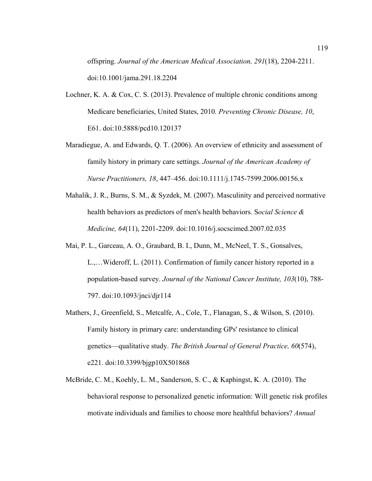offspring. *Journal of the American Medical Association, 291*(18), 2204-2211. doi:10.1001/jama.291.18.2204

- Lochner, K. A. & Cox, C. S. (2013). Prevalence of multiple chronic conditions among Medicare beneficiaries, United States, 2010*. Preventing Chronic Disease, 10*, E61. doi:10.5888/pcd10.120137
- Maradiegue, A. and Edwards, Q. T. (2006). An overview of ethnicity and assessment of family history in primary care settings. *Journal of the American Academy of Nurse Practitioners, 18*, 447–456. doi:10.1111/j.1745-7599.2006.00156.x
- Mahalik, J. R., Burns, S. M., & Syzdek, M. (2007). Masculinity and perceived normative health behaviors as predictors of men's health behaviors. S*ocial Science & Medicine, 64*(11), 2201-2209. doi:10.1016/j.socscimed.2007.02.035
- Mai, P. L., Garceau, A. O., Graubard, B. I., Dunn, M., McNeel, T. S., Gonsalves, L.,…Wideroff, L. (2011). Confirmation of family cancer history reported in a population-based survey. *Journal of the National Cancer Institute, 103*(10), 788- 797. doi:10.1093/jnci/djr114
- Mathers, J., Greenfield, S., Metcalfe, A., Cole, T., Flanagan, S., & Wilson, S. (2010). Family history in primary care: understanding GPs' resistance to clinical genetics—qualitative study. *The British Journal of General Practice, 60*(574), e221. doi:10.3399/bjgp10X501868
- McBride, C. M., Koehly, L. M., Sanderson, S. C., & Kaphingst, K. A. (2010). The behavioral response to personalized genetic information: Will genetic risk profiles motivate individuals and families to choose more healthful behaviors? *Annual*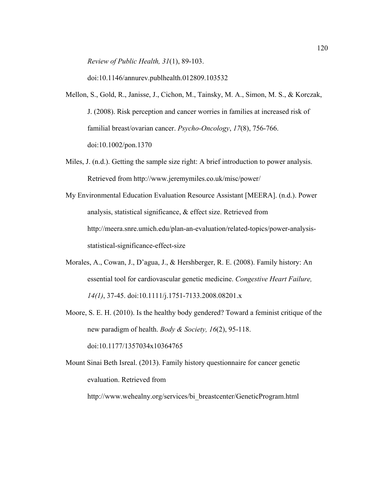*Review of Public Health, 31*(1), 89-103.

doi:10.1146/annurev.publhealth.012809.103532

- Mellon, S., Gold, R., Janisse, J., Cichon, M., Tainsky, M. A., Simon, M. S., & Korczak, J. (2008). Risk perception and cancer worries in families at increased risk of familial breast/ovarian cancer. *Psycho-Oncology*, *17*(8), 756-766. doi:10.1002/pon.1370
- Miles, J. (n.d.). Getting the sample size right: A brief introduction to power analysis. Retrieved from http://www.jeremymiles.co.uk/misc/power/
- My Environmental Education Evaluation Resource Assistant [MEERA]. (n.d.). Power analysis, statistical significance, & effect size. Retrieved from http://meera.snre.umich.edu/plan-an-evaluation/related-topics/power-analysisstatistical-significance-effect-size
- Morales, A., Cowan, J., D'agua, J., & Hershberger, R. E. (2008). Family history: An essential tool for cardiovascular genetic medicine. *Congestive Heart Failure, 14(1)*, 37-45. doi:10.1111/j.1751-7133.2008.08201.x
- Moore, S. E. H. (2010). Is the healthy body gendered? Toward a feminist critique of the new paradigm of health. *Body & Society, 16*(2), 95-118. doi:10.1177/1357034x10364765
- Mount Sinai Beth Isreal. (2013). Family history questionnaire for cancer genetic evaluation. Retrieved from http://www.wehealny.org/services/bi\_breastcenter/GeneticProgram.html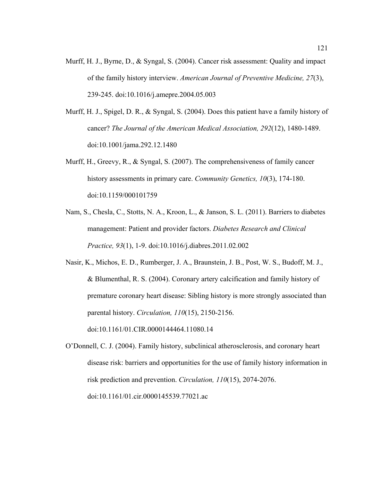- Murff, H. J., Byrne, D., & Syngal, S. (2004). Cancer risk assessment: Quality and impact of the family history interview. *American Journal of Preventive Medicine, 27*(3), 239-245. doi:10.1016/j.amepre.2004.05.003
- Murff, H. J., Spigel, D. R., & Syngal, S. (2004). Does this patient have a family history of cancer? *The Journal of the American Medical Association, 292*(12), 1480-1489. doi:10.1001/jama.292.12.1480
- Murff, H., Greevy, R., & Syngal, S. (2007). The comprehensiveness of family cancer history assessments in primary care. *Community Genetics, 10*(3), 174-180. doi:10.1159/000101759
- Nam, S., Chesla, C., Stotts, N. A., Kroon, L., & Janson, S. L. (2011). Barriers to diabetes management: Patient and provider factors. *Diabetes Research and Clinical Practice, 93*(1), 1-9. doi:10.1016/j.diabres.2011.02.002
- Nasir, K., Michos, E. D., Rumberger, J. A., Braunstein, J. B., Post, W. S., Budoff, M. J., & Blumenthal, R. S. (2004). Coronary artery calcification and family history of premature coronary heart disease: Sibling history is more strongly associated than parental history. *Circulation, 110*(15), 2150-2156.

doi:10.1161/01.CIR.0000144464.11080.14

O'Donnell, C. J. (2004). Family history, subclinical atherosclerosis, and coronary heart disease risk: barriers and opportunities for the use of family history information in risk prediction and prevention. *Circulation, 110*(15), 2074-2076. doi:10.1161/01.cir.0000145539.77021.ac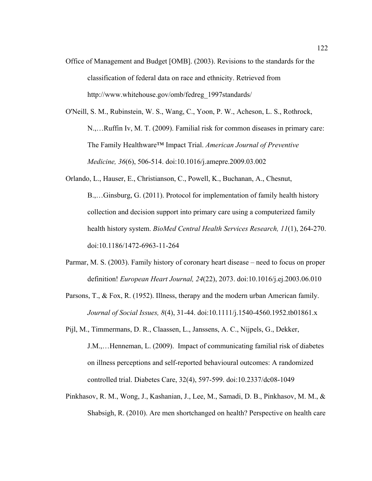- Office of Management and Budget [OMB]. (2003). Revisions to the standards for the classification of federal data on race and ethnicity. Retrieved from http://www.whitehouse.gov/omb/fedreg\_1997standards/
- O'Neill, S. M., Rubinstein, W. S., Wang, C., Yoon, P. W., Acheson, L. S., Rothrock, N.,…Ruffin Iv, M. T. (2009). Familial risk for common diseases in primary care: The Family Healthware™ Impact Trial. *American Journal of Preventive Medicine, 36*(6), 506-514. doi:10.1016/j.amepre.2009.03.002
- Orlando, L., Hauser, E., Christianson, C., Powell, K., Buchanan, A., Chesnut, B.,…Ginsburg, G. (2011). Protocol for implementation of family health history collection and decision support into primary care using a computerized family health history system. *BioMed Central Health Services Research, 11*(1), 264-270. doi:10.1186/1472-6963-11-264
- Parmar, M. S. (2003). Family history of coronary heart disease need to focus on proper definition! *European Heart Journal, 24*(22), 2073. doi:10.1016/j.ej.2003.06.010
- Parsons, T., & Fox, R. (1952). Illness, therapy and the modern urban American family. *Journal of Social Issues, 8*(4), 31-44. doi:10.1111/j.1540-4560.1952.tb01861.x
- Pijl, M., Timmermans, D. R., Claassen, L., Janssens, A. C., Nijpels, G., Dekker, J.M.,…Henneman, L. (2009). Impact of communicating familial risk of diabetes on illness perceptions and self-reported behavioural outcomes: A randomized controlled trial. Diabetes Care, 32(4), 597-599. doi:10.2337/dc08-1049
- Pinkhasov, R. M., Wong, J., Kashanian, J., Lee, M., Samadi, D. B., Pinkhasov, M. M., & Shabsigh, R. (2010). Are men shortchanged on health? Perspective on health care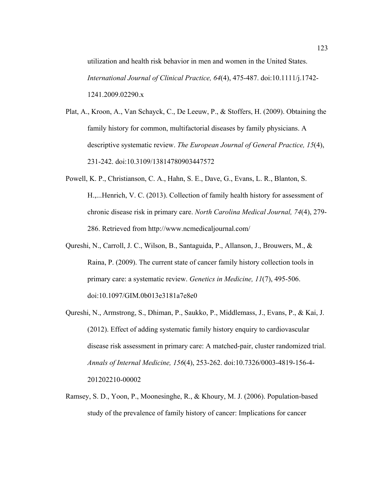utilization and health risk behavior in men and women in the United States. *International Journal of Clinical Practice, 64*(4), 475-487. doi:10.1111/j.1742- 1241.2009.02290.x

Plat, A., Kroon, A., Van Schayck, C., De Leeuw, P., & Stoffers, H. (2009). Obtaining the family history for common, multifactorial diseases by family physicians. A descriptive systematic review. *The European Journal of General Practice, 15*(4), 231-242. doi:10.3109/13814780903447572

- Powell, K. P., Christianson, C. A., Hahn, S. E., Dave, G., Evans, L. R., Blanton, S. H.,...Henrich, V. C. (2013). Collection of family health history for assessment of chronic disease risk in primary care. *North Carolina Medical Journal, 74*(4), 279- 286. Retrieved from http://www.ncmedicaljournal.com/
- Qureshi, N., Carroll, J. C., Wilson, B., Santaguida, P., Allanson, J., Brouwers, M., & Raina, P. (2009). The current state of cancer family history collection tools in primary care: a systematic review. *Genetics in Medicine, 11*(7), 495-506. doi:10.1097/GIM.0b013e3181a7e8e0
- Qureshi, N., Armstrong, S., Dhiman, P., Saukko, P., Middlemass, J., Evans, P., & Kai, J. (2012). Effect of adding systematic family history enquiry to cardiovascular disease risk assessment in primary care: A matched-pair, cluster randomized trial. *Annals of Internal Medicine, 156*(4), 253-262. doi:10.7326/0003-4819-156-4- 201202210-00002
- Ramsey, S. D., Yoon, P., Moonesinghe, R., & Khoury, M. J. (2006). Population-based study of the prevalence of family history of cancer: Implications for cancer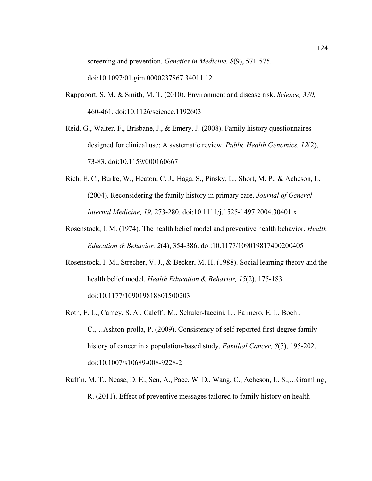screening and prevention. *Genetics in Medicine, 8*(9), 571-575. doi:10.1097/01.gim.0000237867.34011.12

- Rappaport, S. M. & Smith, M. T. (2010). Environment and disease risk. *Science, 330*, 460-461. doi:10.1126/science.1192603
- Reid, G., Walter, F., Brisbane, J., & Emery, J. (2008). Family history questionnaires designed for clinical use: A systematic review. *Public Health Genomics, 12*(2), 73-83. doi:10.1159/000160667
- Rich, E. C., Burke, W., Heaton, C. J., Haga, S., Pinsky, L., Short, M. P., & Acheson, L. (2004). Reconsidering the family history in primary care. *Journal of General Internal Medicine, 19*, 273-280. doi:10.1111/j.1525-1497.2004.30401.x
- Rosenstock, I. M. (1974). The health belief model and preventive health behavior. *Health Education & Behavior, 2*(4), 354-386. doi:10.1177/109019817400200405
- Rosenstock, I. M., Strecher, V. J., & Becker, M. H. (1988). Social learning theory and the health belief model. *Health Education & Behavior, 15*(2), 175-183. doi:10.1177/109019818801500203
- Roth, F. L., Camey, S. A., Caleffi, M., Schuler-faccini, L., Palmero, E. I., Bochi, C.,…Ashton-prolla, P. (2009). Consistency of self-reported first-degree family history of cancer in a population-based study. *Familial Cancer, 8*(3), 195-202. doi:10.1007/s10689-008-9228-2
- Ruffin, M. T., Nease, D. E., Sen, A., Pace, W. D., Wang, C., Acheson, L. S.,…Gramling, R. (2011). Effect of preventive messages tailored to family history on health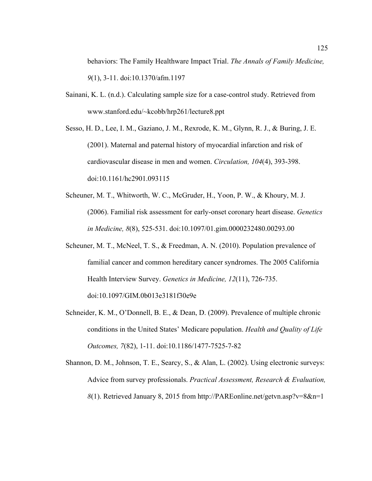behaviors: The Family Healthware Impact Trial. *The Annals of Family Medicine, 9*(1), 3-11. doi:10.1370/afm.1197

- Sainani, K. L. (n.d.). Calculating sample size for a case-control study. Retrieved from www.stanford.edu/~kcobb/hrp261/lecture8.ppt
- Sesso, H. D., Lee, I. M., Gaziano, J. M., Rexrode, K. M., Glynn, R. J., & Buring, J. E. (2001). Maternal and paternal history of myocardial infarction and risk of cardiovascular disease in men and women. *Circulation, 104*(4), 393-398. doi:10.1161/hc2901.093115
- Scheuner, M. T., Whitworth, W. C., McGruder, H., Yoon, P. W., & Khoury, M. J. (2006). Familial risk assessment for early-onset coronary heart disease. *Genetics in Medicine, 8*(8), 525-531. doi:10.1097/01.gim.0000232480.00293.00
- Scheuner, M. T., McNeel, T. S., & Freedman, A. N. (2010). Population prevalence of familial cancer and common hereditary cancer syndromes. The 2005 California Health Interview Survey. *Genetics in Medicine, 12*(11), 726-735. doi:10.1097/GIM.0b013e3181f30e9e
- Schneider, K. M., O'Donnell, B. E., & Dean, D. (2009). Prevalence of multiple chronic conditions in the United States' Medicare population. *Health and Quality of Life Outcomes, 7*(82), 1-11. doi:10.1186/1477-7525-7-82
- Shannon, D. M., Johnson, T. E., Searcy, S., & Alan, L. (2002). Using electronic surveys: Advice from survey professionals. *Practical Assessment, Research & Evaluation, 8*(1). Retrieved January 8, 2015 from http://PAREonline.net/getvn.asp?v=8&n=1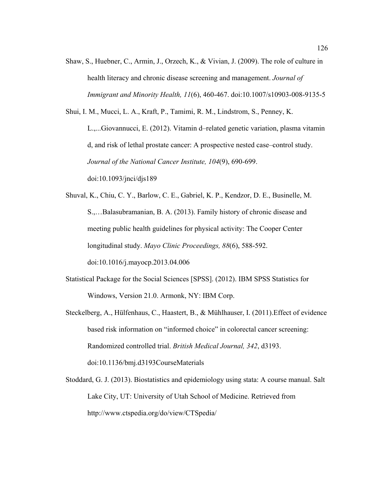Shaw, S., Huebner, C., Armin, J., Orzech, K., & Vivian, J. (2009). The role of culture in health literacy and chronic disease screening and management. *Journal of Immigrant and Minority Health, 11*(6), 460-467. doi:10.1007/s10903-008-9135-5

Shui, I. M., Mucci, L. A., Kraft, P., Tamimi, R. M., Lindstrom, S., Penney, K.

L.,...Giovannucci, E. (2012). Vitamin d–related genetic variation, plasma vitamin d, and risk of lethal prostate cancer: A prospective nested case–control study. *Journal of the National Cancer Institute, 104*(9), 690-699. doi:10.1093/jnci/djs189

- Shuval, K., Chiu, C. Y., Barlow, C. E., Gabriel, K. P., Kendzor, D. E., Businelle, M. S.,…Balasubramanian, B. A. (2013). Family history of chronic disease and meeting public health guidelines for physical activity: The Cooper Center longitudinal study. *Mayo Clinic Proceedings, 88*(6), 588-592. doi:10.1016/j.mayocp.2013.04.006
- Statistical Package for the Social Sciences [SPSS]. (2012). IBM SPSS Statistics for Windows, Version 21.0. Armonk, NY: IBM Corp.
- Steckelberg, A., Hülfenhaus, C., Haastert, B., & Mühlhauser, I. (2011).Effect of evidence based risk information on "informed choice" in colorectal cancer screening: Randomized controlled trial. *British Medical Journal, 342*, d3193. doi:10.1136/bmj.d3193CourseMaterials
- Stoddard, G. J. (2013). Biostatistics and epidemiology using stata: A course manual. Salt Lake City, UT: University of Utah School of Medicine. Retrieved from http://www.ctspedia.org/do/view/CTSpedia/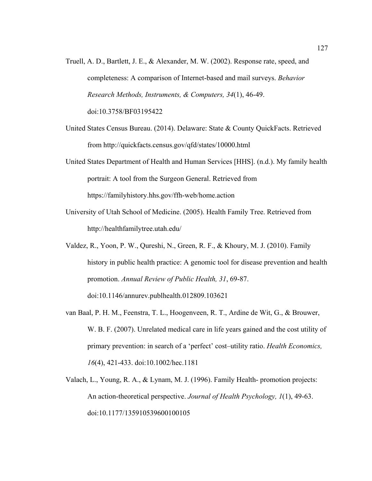- Truell, A. D., Bartlett, J. E., & Alexander, M. W. (2002). Response rate, speed, and completeness: A comparison of Internet-based and mail surveys. *Behavior Research Methods, Instruments, & Computers, 34*(1), 46-49. doi:10.3758/BF03195422
- United States Census Bureau. (2014). Delaware: State & County QuickFacts. Retrieved from http://quickfacts.census.gov/qfd/states/10000.html
- United States Department of Health and Human Services [HHS]. (n.d.). My family health portrait: A tool from the Surgeon General. Retrieved from https://familyhistory.hhs.gov/ffh-web/home.action
- University of Utah School of Medicine. (2005). Health Family Tree. Retrieved from http://healthfamilytree.utah.edu/
- Valdez, R., Yoon, P. W., Qureshi, N., Green, R. F., & Khoury, M. J. (2010). Family history in public health practice: A genomic tool for disease prevention and health promotion. *Annual Review of Public Health, 31*, 69-87. doi:10.1146/annurev.publhealth.012809.103621
- van Baal, P. H. M., Feenstra, T. L., Hoogenveen, R. T., Ardine de Wit, G., & Brouwer, W. B. F. (2007). Unrelated medical care in life years gained and the cost utility of primary prevention: in search of a 'perfect' cost–utility ratio. *Health Economics, 16*(4), 421-433. doi:10.1002/hec.1181
- Valach, L., Young, R. A., & Lynam, M. J. (1996). Family Health- promotion projects: An action-theoretical perspective. *Journal of Health Psychology, 1*(1), 49-63. doi:10.1177/135910539600100105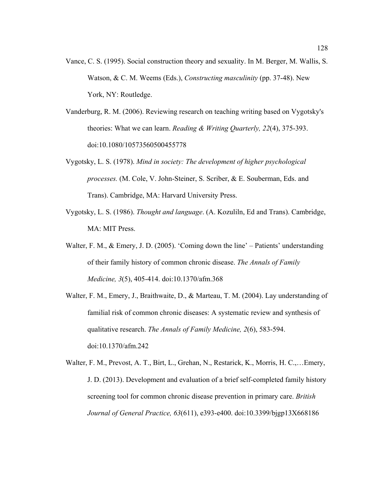- Vance, C. S. (1995). Social construction theory and sexuality. In M. Berger, M. Wallis, S. Watson, & C. M. Weems (Eds.), *Constructing masculinity* (pp. 37-48). New York, NY: Routledge.
- Vanderburg, R. M. (2006). Reviewing research on teaching writing based on Vygotsky's theories: What we can learn. *Reading & Writing Quarterly, 22*(4), 375-393. doi:10.1080/10573560500455778
- Vygotsky, L. S. (1978). *Mind in society: The development of higher psychological processes.* (M. Cole, V. John-Steiner, S. Scriber, & E. Souberman, Eds. and Trans). Cambridge, MA: Harvard University Press.
- Vygotsky, L. S. (1986). *Thought and language*. (A. Kozuliln, Ed and Trans). Cambridge, MA: MIT Press.
- Walter, F. M., & Emery, J. D. (2005). 'Coming down the line' Patients' understanding of their family history of common chronic disease. *The Annals of Family Medicine, 3*(5), 405-414. doi:10.1370/afm.368
- Walter, F. M., Emery, J., Braithwaite, D., & Marteau, T. M. (2004). Lay understanding of familial risk of common chronic diseases: A systematic review and synthesis of qualitative research. *The Annals of Family Medicine, 2*(6), 583-594. doi:10.1370/afm.242
- Walter, F. M., Prevost, A. T., Birt, L., Grehan, N., Restarick, K., Morris, H. C.,…Emery, J. D. (2013). Development and evaluation of a brief self-completed family history screening tool for common chronic disease prevention in primary care. *British Journal of General Practice, 63*(611), e393-e400. doi:10.3399/bjgp13X668186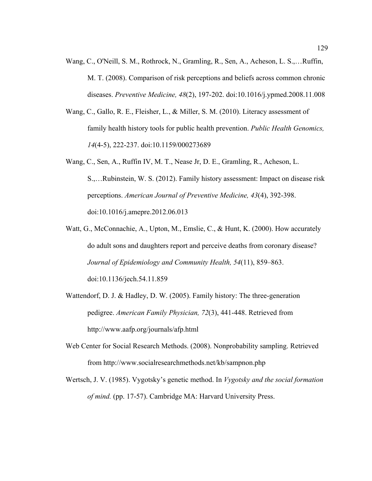- Wang, C., O'Neill, S. M., Rothrock, N., Gramling, R., Sen, A., Acheson, L. S.,…Ruffin, M. T. (2008). Comparison of risk perceptions and beliefs across common chronic diseases. *Preventive Medicine, 48*(2), 197-202. doi:10.1016/j.ypmed.2008.11.008
- Wang, C., Gallo, R. E., Fleisher, L., & Miller, S. M. (2010). Literacy assessment of family health history tools for public health prevention. *Public Health Genomics, 14*(4-5), 222-237. doi:10.1159/000273689
- Wang, C., Sen, A., Ruffin IV, M. T., Nease Jr, D. E., Gramling, R., Acheson, L. S.,…Rubinstein, W. S. (2012). Family history assessment: Impact on disease risk perceptions. *American Journal of Preventive Medicine, 43*(4), 392-398. doi:10.1016/j.amepre.2012.06.013
- Watt, G., McConnachie, A., Upton, M., Emslie, C., & Hunt, K. (2000). How accurately do adult sons and daughters report and perceive deaths from coronary disease? *Journal of Epidemiology and Community Health, 54*(11), 859–863. doi:10.1136/jech.54.11.859
- Wattendorf, D. J. & Hadley, D. W. (2005). Family history: The three-generation pedigree. *American Family Physician, 72*(3), 441-448. Retrieved from http://www.aafp.org/journals/afp.html
- Web Center for Social Research Methods. (2008). Nonprobability sampling. Retrieved from http://www.socialresearchmethods.net/kb/sampnon.php
- Wertsch, J. V. (1985). Vygotsky's genetic method. In *Vygotsky and the social formation of mind.* (pp. 17-57). Cambridge MA: Harvard University Press.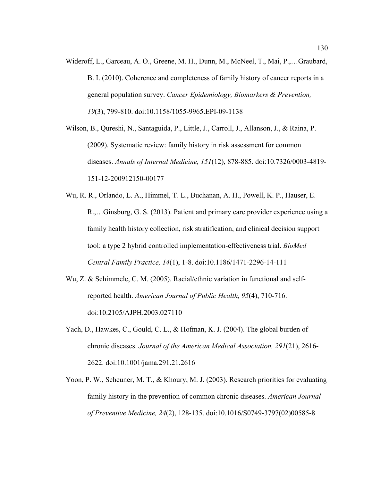Wideroff, L., Garceau, A. O., Greene, M. H., Dunn, M., McNeel, T., Mai, P.,…Graubard, B. I. (2010). Coherence and completeness of family history of cancer reports in a general population survey. *Cancer Epidemiology, Biomarkers & Prevention, 19*(3), 799-810. doi:10.1158/1055-9965.EPI-09-1138

Wilson, B., Qureshi, N., Santaguida, P., Little, J., Carroll, J., Allanson, J., & Raina, P. (2009). Systematic review: family history in risk assessment for common diseases. *Annals of Internal Medicine, 151*(12), 878-885. doi:10.7326/0003-4819- 151-12-200912150-00177

- Wu, R. R., Orlando, L. A., Himmel, T. L., Buchanan, A. H., Powell, K. P., Hauser, E. R.,…Ginsburg, G. S. (2013). Patient and primary care provider experience using a family health history collection, risk stratification, and clinical decision support tool: a type 2 hybrid controlled implementation-effectiveness trial. *BioMed Central Family Practice, 14*(1), 1-8. doi:10.1186/1471-2296-14-111
- Wu, Z. & Schimmele, C. M. (2005). Racial/ethnic variation in functional and selfreported health. *American Journal of Public Health, 95*(4), 710-716. doi:10.2105/AJPH.2003.027110
- Yach, D., Hawkes, C., Gould, C. L., & Hofman, K. J. (2004). The global burden of chronic diseases. *Journal of the American Medical Association, 291*(21), 2616- 2622. doi:10.1001/jama.291.21.2616
- Yoon, P. W., Scheuner, M. T., & Khoury, M. J. (2003). Research priorities for evaluating family history in the prevention of common chronic diseases. *American Journal of Preventive Medicine, 24*(2), 128-135. doi:10.1016/S0749-3797(02)00585-8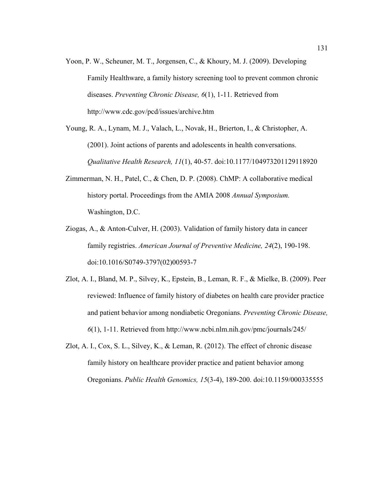- Yoon, P. W., Scheuner, M. T., Jorgensen, C., & Khoury, M. J. (2009). Developing Family Healthware, a family history screening tool to prevent common chronic diseases. *Preventing Chronic Disease, 6*(1), 1-11. Retrieved from http://www.cdc.gov/pcd/issues/archive.htm
- Young, R. A., Lynam, M. J., Valach, L., Novak, H., Brierton, I., & Christopher, A. (2001). Joint actions of parents and adolescents in health conversations. *Qualitative Health Research, 11*(1), 40-57. doi:10.1177/104973201129118920
- Zimmerman, N. H., Patel, C., & Chen, D. P. (2008). ChMP: A collaborative medical history portal. Proceedings from the AMIA 2008 *Annual Symposium.* Washington, D.C.
- Ziogas, A., & Anton-Culver, H. (2003). Validation of family history data in cancer family registries. *American Journal of Preventive Medicine, 24*(2), 190-198. doi:10.1016/S0749-3797(02)00593-7
- Zlot, A. I., Bland, M. P., Silvey, K., Epstein, B., Leman, R. F., & Mielke, B. (2009). Peer reviewed: Influence of family history of diabetes on health care provider practice and patient behavior among nondiabetic Oregonians. *Preventing Chronic Disease, 6*(1), 1-11. Retrieved from http://www.ncbi.nlm.nih.gov/pmc/journals/245/
- Zlot, A. I., Cox, S. L., Silvey, K., & Leman, R. (2012). The effect of chronic disease family history on healthcare provider practice and patient behavior among Oregonians. *Public Health Genomics, 15*(3-4), 189-200. doi:10.1159/000335555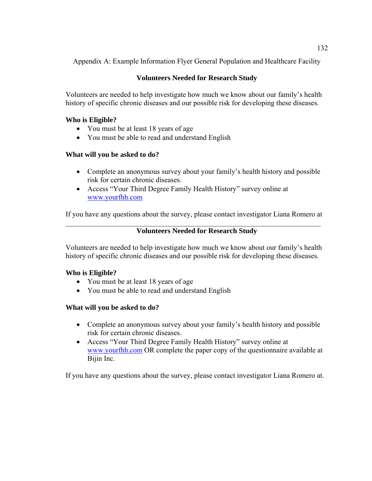Appendix A: Example Information Flyer General Population and Healthcare Facility

# **Volunteers Needed for Research Study**

Volunteers are needed to help investigate how much we know about our family's health history of specific chronic diseases and our possible risk for developing these diseases.

## **Who is Eligible?**

- You must be at least 18 years of age
- You must be able to read and understand English

# **What will you be asked to do?**

- Complete an anonymous survey about your family's health history and possible risk for certain chronic diseases.
- Access "Your Third Degree Family Health History" survey online at www.yourfhh.com

If you have any questions about the survey, please contact investigator Liana Romero at

### $\mathcal{L}_\mathcal{L} = \mathcal{L}_\mathcal{L} = \mathcal{L}_\mathcal{L} = \mathcal{L}_\mathcal{L} = \mathcal{L}_\mathcal{L} = \mathcal{L}_\mathcal{L} = \mathcal{L}_\mathcal{L} = \mathcal{L}_\mathcal{L} = \mathcal{L}_\mathcal{L} = \mathcal{L}_\mathcal{L} = \mathcal{L}_\mathcal{L} = \mathcal{L}_\mathcal{L} = \mathcal{L}_\mathcal{L} = \mathcal{L}_\mathcal{L} = \mathcal{L}_\mathcal{L} = \mathcal{L}_\mathcal{L} = \mathcal{L}_\mathcal{L}$ **Volunteers Needed for Research Study**

Volunteers are needed to help investigate how much we know about our family's health history of specific chronic diseases and our possible risk for developing these diseases.

# **Who is Eligible?**

- You must be at least 18 years of age
- You must be able to read and understand English

# **What will you be asked to do?**

- Complete an anonymous survey about your family's health history and possible risk for certain chronic diseases.
- Access "Your Third Degree Family Health History" survey online at www.yourfhh.com OR complete the paper copy of the questionnaire available at Bijin Inc.

If you have any questions about the survey, please contact investigator Liana Romero at.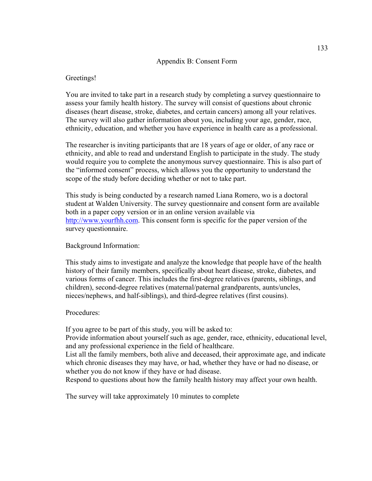#### Appendix B: Consent Form

#### Greetings!

You are invited to take part in a research study by completing a survey questionnaire to assess your family health history. The survey will consist of questions about chronic diseases (heart disease, stroke, diabetes, and certain cancers) among all your relatives. The survey will also gather information about you, including your age, gender, race, ethnicity, education, and whether you have experience in health care as a professional.

The researcher is inviting participants that are 18 years of age or older, of any race or ethnicity, and able to read and understand English to participate in the study. The study would require you to complete the anonymous survey questionnaire. This is also part of the "informed consent" process, which allows you the opportunity to understand the scope of the study before deciding whether or not to take part.

This study is being conducted by a research named Liana Romero, wo is a doctoral student at Walden University. The survey questionnaire and consent form are available both in a paper copy version or in an online version available via http://www.yourfhh.com. This consent form is specific for the paper version of the survey questionnaire.

#### Background Information:

This study aims to investigate and analyze the knowledge that people have of the health history of their family members, specifically about heart disease, stroke, diabetes, and various forms of cancer. This includes the first-degree relatives (parents, siblings, and children), second-degree relatives (maternal/paternal grandparents, aunts/uncles, nieces/nephews, and half-siblings), and third-degree relatives (first cousins).

#### Procedures:

If you agree to be part of this study, you will be asked to:

Provide information about yourself such as age, gender, race, ethnicity, educational level, and any professional experience in the field of healthcare.

List all the family members, both alive and deceased, their approximate age, and indicate which chronic diseases they may have, or had, whether they have or had no disease, or whether you do not know if they have or had disease.

Respond to questions about how the family health history may affect your own health.

The survey will take approximately 10 minutes to complete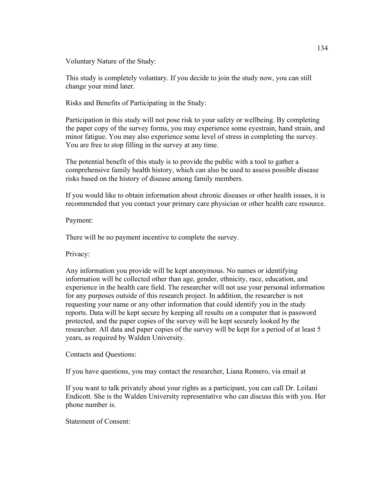Voluntary Nature of the Study:

This study is completely voluntary. If you decide to join the study now, you can still change your mind later.

Risks and Benefits of Participating in the Study:

Participation in this study will not pose risk to your safety or wellbeing. By completing the paper copy of the survey forms, you may experience some eyestrain, hand strain, and minor fatigue. You may also experience some level of stress in completing the survey. You are free to stop filling in the survey at any time.

The potential benefit of this study is to provide the public with a tool to gather a comprehensive family health history, which can also be used to assess possible disease risks based on the history of disease among family members.

If you would like to obtain information about chronic diseases or other health issues, it is recommended that you contact your primary care physician or other health care resource.

Payment:

There will be no payment incentive to complete the survey.

Privacy:

Any information you provide will be kept anonymous. No names or identifying information will be collected other than age, gender, ethnicity, race, education, and experience in the health care field. The researcher will not use your personal information for any purposes outside of this research project. In addition, the researcher is not requesting your name or any other information that could identify you in the study reports. Data will be kept secure by keeping all results on a computer that is password protected, and the paper copies of the survey will be kept securely looked by the researcher. All data and paper copies of the survey will be kept for a period of at least 5 years, as required by Walden University.

Contacts and Questions:

If you have questions, you may contact the researcher, Liana Romero, via email at

If you want to talk privately about your rights as a participant, you can call Dr. Leilani Endicott. She is the Walden University representative who can discuss this with you. Her phone number is.

Statement of Consent: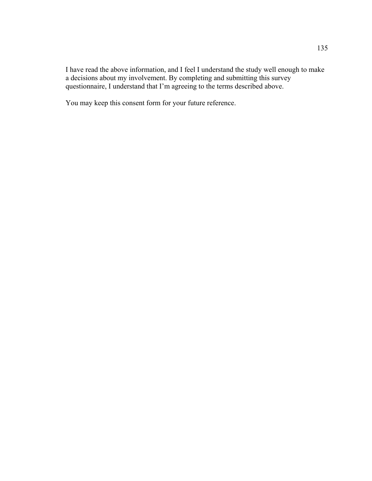I have read the above information, and I feel I understand the study well enough to make a decisions about my involvement. By completing and submitting this survey questionnaire, I understand that I'm agreeing to the terms described above.

You may keep this consent form for your future reference.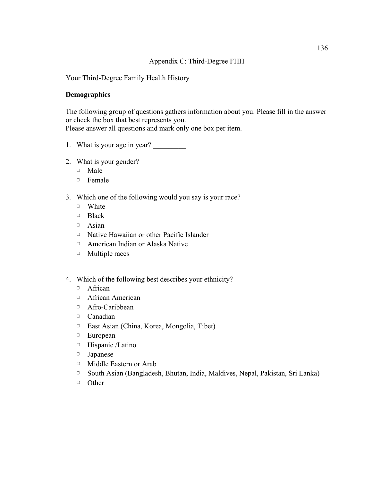### Appendix C: Third-Degree FHH

Your Third-Degree Family Health History

### **Demographics**

The following group of questions gathers information about you. Please fill in the answer or check the box that best represents you. Please answer all questions and mark only one box per item.

- 1. What is your age in year?
- 2. What is your gender?
	- ▢ Male
	- ▢ Female
- 3. Which one of the following would you say is your race?
	- ▢ White
	- ▢ Black
	- ▢ Asian
	- ▢ Native Hawaiian or other Pacific Islander
	- ▢ American Indian or Alaska Native
	- ▢ Multiple races
- 4. Which of the following best describes your ethnicity?
	- ▢ African
	- ▢ African American
	- ▢ Afro-Caribbean
	- ▢ Canadian
	- ▢ East Asian (China, Korea, Mongolia, Tibet)
	- ▢ European
	- ▢ Hispanic /Latino
	- ▢ Japanese
	- ▢ Middle Eastern or Arab
	- ▢ South Asian (Bangladesh, Bhutan, India, Maldives, Nepal, Pakistan, Sri Lanka)
	- ▢ Other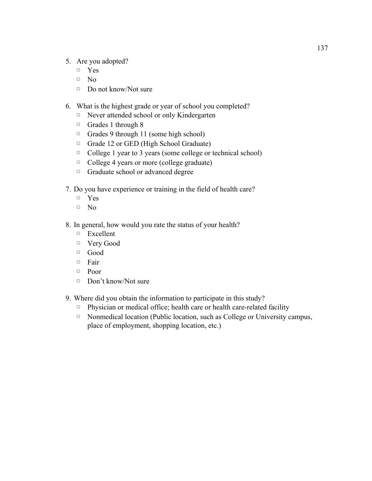- 5. Are you adopted?
	- ▢ Yes
	- ▢ No
	- ▢ Do not know/Not sure
- 6. What is the highest grade or year of school you completed?
	- ▢ Never attended school or only Kindergarten
	- ▢ Grades 1 through 8
	- ▢ Grades 9 through 11 (some high school)
	- ▢ Grade 12 or GED (High School Graduate)
	- ▢ College 1 year to 3 years (some college or technical school)
	- ▢ College 4 years or more (college graduate)
	- ▢ Graduate school or advanced degree
- 7. Do you have experience or training in the field of health care?
	- ▢ Yes
	- ▢ No
- 8. In general, how would you rate the status of your health?
	- ▢ Excellent
	- ▢ Very Good
	- ▢ Good
	- ▢ Fair
	- ▢ Poor
	- ▢ Don't know/Not sure
- 9. Where did you obtain the information to participate in this study?
	- ▢ Physician or medical office; health care or health care-related facility
	- ▢ Nonmedical location (Public location, such as College or University campus, place of employment, shopping location, etc.)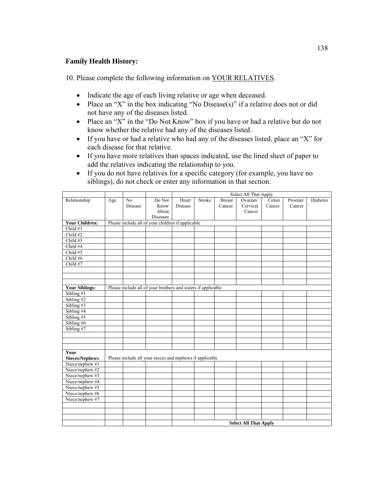### **Family Health History:**

10. Please complete the following information on YOUR RELATIVES.

- Indicate the age of each living relative or age when deceased.
- Place an "X" in the box indicating "No Disease(s)" if a relative does not or did not have any of the diseases listed.
- Place an "X" in the "Do Not Know" box if you have or had a relative but do not know whether the relative had any of the diseases listed.
- If you have or had a relative who had any of the diseases listed, place an "X" for each disease for that relative.
- If you have more relatives than spaces indicated, use the lined sheet of paper to add the relatives indicating the relationship to you.
- If you do not have relatives for a specific category (for example, you have no siblings), do not check or enter any information in that section.

|                       |                                                   |                              |                                                               | Select All That Apply |        |               |          |        |          |          |  |
|-----------------------|---------------------------------------------------|------------------------------|---------------------------------------------------------------|-----------------------|--------|---------------|----------|--------|----------|----------|--|
| Relationship          | Age                                               | No                           | Do Not                                                        | Heart                 | Stroke | <b>Breast</b> | Ovarian/ | Colon  | Prostate | Diabetes |  |
|                       |                                                   | Disease                      | Know                                                          | Disease               |        | Cancer        | Cervical | Cancer | Cancer   |          |  |
|                       |                                                   |                              | About                                                         |                       |        |               | Cancer   |        |          |          |  |
|                       |                                                   |                              | Diseases                                                      |                       |        |               |          |        |          |          |  |
| <b>Your Children:</b> | Please include all of your children if applicable |                              |                                                               |                       |        |               |          |        |          |          |  |
| Child #1              |                                                   |                              |                                                               |                       |        |               |          |        |          |          |  |
| Child #2              |                                                   |                              |                                                               |                       |        |               |          |        |          |          |  |
| Child #3              |                                                   |                              |                                                               |                       |        |               |          |        |          |          |  |
| Child #4              |                                                   |                              |                                                               |                       |        |               |          |        |          |          |  |
| Child #5              |                                                   |                              |                                                               |                       |        |               |          |        |          |          |  |
| Child #6              |                                                   |                              |                                                               |                       |        |               |          |        |          |          |  |
| Child #7              |                                                   |                              |                                                               |                       |        |               |          |        |          |          |  |
|                       |                                                   |                              |                                                               |                       |        |               |          |        |          |          |  |
|                       |                                                   |                              |                                                               |                       |        |               |          |        |          |          |  |
|                       |                                                   |                              |                                                               |                       |        |               |          |        |          |          |  |
| <b>Your Siblings:</b> |                                                   |                              | Please include all of your brothers and sisters if applicable |                       |        |               |          |        |          |          |  |
| Sibling #1            |                                                   |                              |                                                               |                       |        |               |          |        |          |          |  |
| Sibling #2            |                                                   |                              |                                                               |                       |        |               |          |        |          |          |  |
| Sibling #3            |                                                   |                              |                                                               |                       |        |               |          |        |          |          |  |
| Sibling #4            |                                                   |                              |                                                               |                       |        |               |          |        |          |          |  |
| Sibling #5            |                                                   |                              |                                                               |                       |        |               |          |        |          |          |  |
| Sibling #6            |                                                   |                              |                                                               |                       |        |               |          |        |          |          |  |
| Sibling #7            |                                                   |                              |                                                               |                       |        |               |          |        |          |          |  |
|                       |                                                   |                              |                                                               |                       |        |               |          |        |          |          |  |
|                       |                                                   |                              |                                                               |                       |        |               |          |        |          |          |  |
|                       |                                                   |                              |                                                               |                       |        |               |          |        |          |          |  |
| Your                  |                                                   |                              |                                                               |                       |        |               |          |        |          |          |  |
| Nieces/Nephews        |                                                   |                              | Please include all your nieces and nephews if applicable      |                       |        |               |          |        |          |          |  |
| Niece/nephew #1       |                                                   |                              |                                                               |                       |        |               |          |        |          |          |  |
| Niece/nephew #2       |                                                   |                              |                                                               |                       |        |               |          |        |          |          |  |
| Niece/nephew #3       |                                                   |                              |                                                               |                       |        |               |          |        |          |          |  |
| Niece/nephew #4       |                                                   |                              |                                                               |                       |        |               |          |        |          |          |  |
| Niece/nephew #5       |                                                   |                              |                                                               |                       |        |               |          |        |          |          |  |
| Niece/nephew #6       |                                                   |                              |                                                               |                       |        |               |          |        |          |          |  |
| Niece/nephew #7       |                                                   |                              |                                                               |                       |        |               |          |        |          |          |  |
|                       |                                                   |                              |                                                               |                       |        |               |          |        |          |          |  |
|                       |                                                   |                              |                                                               |                       |        |               |          |        |          |          |  |
|                       |                                                   |                              |                                                               |                       |        |               |          |        |          |          |  |
|                       |                                                   | <b>Select All That Apply</b> |                                                               |                       |        |               |          |        |          |          |  |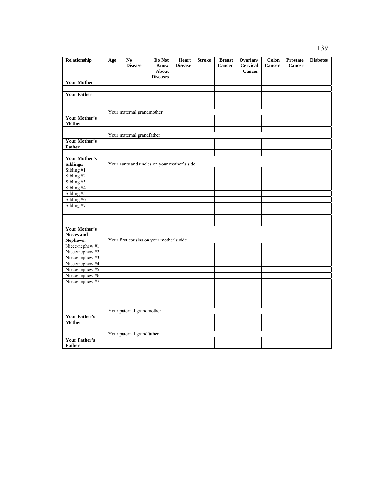| Relationship                          | Age                       | N <sub>0</sub><br><b>Disease</b> | Do Not<br>Know<br>About<br><b>Diseases</b>  | Heart<br><b>Disease</b> | <b>Stroke</b> | <b>Breast</b><br><b>Cancer</b> | Ovarian/<br><b>Cervical</b><br>Cancer | Colon<br><b>Cancer</b> | <b>Prostate</b><br>Cancer | <b>Diabetes</b> |
|---------------------------------------|---------------------------|----------------------------------|---------------------------------------------|-------------------------|---------------|--------------------------------|---------------------------------------|------------------------|---------------------------|-----------------|
| <b>Your Mother</b>                    |                           |                                  |                                             |                         |               |                                |                                       |                        |                           |                 |
|                                       |                           |                                  |                                             |                         |               |                                |                                       |                        |                           |                 |
| <b>Your Father</b>                    |                           |                                  |                                             |                         |               |                                |                                       |                        |                           |                 |
|                                       |                           |                                  |                                             |                         |               |                                |                                       |                        |                           |                 |
|                                       |                           |                                  |                                             |                         |               |                                |                                       |                        |                           |                 |
|                                       |                           | Your maternal grandmother        |                                             |                         |               |                                |                                       |                        |                           |                 |
| <b>Your Mother's</b>                  |                           |                                  |                                             |                         |               |                                |                                       |                        |                           |                 |
| Mother                                |                           |                                  |                                             |                         |               |                                |                                       |                        |                           |                 |
|                                       |                           |                                  |                                             |                         |               |                                |                                       |                        |                           |                 |
|                                       |                           | Your maternal grandfather        |                                             |                         |               |                                |                                       |                        |                           |                 |
| <b>Your Mother's</b>                  |                           |                                  |                                             |                         |               |                                |                                       |                        |                           |                 |
| <b>Father</b>                         |                           |                                  |                                             |                         |               |                                |                                       |                        |                           |                 |
| <b>Your Mother's</b>                  |                           |                                  |                                             |                         |               |                                |                                       |                        |                           |                 |
| Siblings:                             |                           |                                  | Your aunts and uncles on your mother's side |                         |               |                                |                                       |                        |                           |                 |
| Sibling #1                            |                           |                                  |                                             |                         |               |                                |                                       |                        |                           |                 |
| Sibling #2                            |                           |                                  |                                             |                         |               |                                |                                       |                        |                           |                 |
| Sibling #3                            |                           |                                  |                                             |                         |               |                                |                                       |                        |                           |                 |
| Sibling #4                            |                           |                                  |                                             |                         |               |                                |                                       |                        |                           |                 |
| Sibling #5                            |                           |                                  |                                             |                         |               |                                |                                       |                        |                           |                 |
| Sibling #6                            |                           |                                  |                                             |                         |               |                                |                                       |                        |                           |                 |
| Sibling #7                            |                           |                                  |                                             |                         |               |                                |                                       |                        |                           |                 |
|                                       |                           |                                  |                                             |                         |               |                                |                                       |                        |                           |                 |
|                                       |                           |                                  |                                             |                         |               |                                |                                       |                        |                           |                 |
|                                       |                           |                                  |                                             |                         |               |                                |                                       |                        |                           |                 |
| <b>Your Mother's</b>                  |                           |                                  |                                             |                         |               |                                |                                       |                        |                           |                 |
| <b>Nieces and</b>                     |                           |                                  |                                             |                         |               |                                |                                       |                        |                           |                 |
| Nephews:                              |                           |                                  | Your first cousins on your mother's side    |                         |               |                                |                                       |                        |                           |                 |
| Niece/nephew #1                       |                           |                                  |                                             |                         |               |                                |                                       |                        |                           |                 |
| Niece/nephew #2<br>Niece/nephew #3    |                           |                                  |                                             |                         |               |                                |                                       |                        |                           |                 |
| Niece/nephew #4                       |                           |                                  |                                             |                         |               |                                |                                       |                        |                           |                 |
| Niece/nephew #5                       |                           |                                  |                                             |                         |               |                                |                                       |                        |                           |                 |
| Niece/nephew #6                       |                           |                                  |                                             |                         |               |                                |                                       |                        |                           |                 |
| Niece/nephew #7                       |                           |                                  |                                             |                         |               |                                |                                       |                        |                           |                 |
|                                       |                           |                                  |                                             |                         |               |                                |                                       |                        |                           |                 |
|                                       |                           |                                  |                                             |                         |               |                                |                                       |                        |                           |                 |
|                                       |                           |                                  |                                             |                         |               |                                |                                       |                        |                           |                 |
|                                       |                           |                                  |                                             |                         |               |                                |                                       |                        |                           |                 |
|                                       | Your paternal grandmother |                                  |                                             |                         |               |                                |                                       |                        |                           |                 |
| <b>Your Father's</b>                  |                           |                                  |                                             |                         |               |                                |                                       |                        |                           |                 |
| Mother                                |                           |                                  |                                             |                         |               |                                |                                       |                        |                           |                 |
|                                       |                           |                                  |                                             |                         |               |                                |                                       |                        |                           |                 |
|                                       |                           | Your paternal grandfather        |                                             |                         |               |                                |                                       |                        |                           |                 |
| <b>Your Father's</b><br><b>Father</b> |                           |                                  |                                             |                         |               |                                |                                       |                        |                           |                 |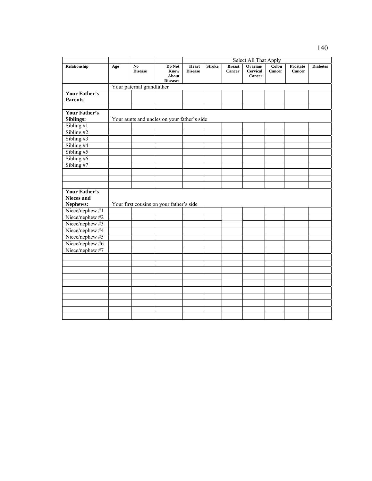|                      |                           |                |                                             | Select All That Apply |               |               |                           |        |                 |                 |
|----------------------|---------------------------|----------------|---------------------------------------------|-----------------------|---------------|---------------|---------------------------|--------|-----------------|-----------------|
| Relationship         | Age                       | N <sub>0</sub> | Do Not                                      | Heart                 | <b>Stroke</b> | <b>Breast</b> | Ovarian/                  | Colon  | <b>Prostate</b> | <b>Diabetes</b> |
|                      |                           | <b>Disease</b> | Know<br>About                               | <b>Disease</b>        |               | Cancer        | <b>Cervical</b><br>Cancer | Cancer | Cancer          |                 |
|                      |                           |                | <b>Diseases</b>                             |                       |               |               |                           |        |                 |                 |
|                      | Your paternal grandfather |                |                                             |                       |               |               |                           |        |                 |                 |
| <b>Your Father's</b> |                           |                |                                             |                       |               |               |                           |        |                 |                 |
| <b>Parents</b>       |                           |                |                                             |                       |               |               |                           |        |                 |                 |
|                      |                           |                |                                             |                       |               |               |                           |        |                 |                 |
| <b>Your Father's</b> |                           |                |                                             |                       |               |               |                           |        |                 |                 |
| Siblings:            |                           |                | Your aunts and uncles on your father's side |                       |               |               |                           |        |                 |                 |
| Sibling $#1$         |                           |                |                                             |                       |               |               |                           |        |                 |                 |
| Sibling #2           |                           |                |                                             |                       |               |               |                           |        |                 |                 |
| Sibling #3           |                           |                |                                             |                       |               |               |                           |        |                 |                 |
| Sibling #4           |                           |                |                                             |                       |               |               |                           |        |                 |                 |
| Sibling #5           |                           |                |                                             |                       |               |               |                           |        |                 |                 |
| Sibling $#6$         |                           |                |                                             |                       |               |               |                           |        |                 |                 |
| Sibling #7           |                           |                |                                             |                       |               |               |                           |        |                 |                 |
|                      |                           |                |                                             |                       |               |               |                           |        |                 |                 |
|                      |                           |                |                                             |                       |               |               |                           |        |                 |                 |
|                      |                           |                |                                             |                       |               |               |                           |        |                 |                 |
| Your Father's        |                           |                |                                             |                       |               |               |                           |        |                 |                 |
| <b>Nieces and</b>    |                           |                |                                             |                       |               |               |                           |        |                 |                 |
| Nephews:             |                           |                | Your first cousins on your father's side    |                       |               |               |                           |        |                 |                 |
| Niece/nephew #1      |                           |                |                                             |                       |               |               |                           |        |                 |                 |
| Niece/nephew #2      |                           |                |                                             |                       |               |               |                           |        |                 |                 |
| Niece/nephew #3      |                           |                |                                             |                       |               |               |                           |        |                 |                 |
| Niece/nephew #4      |                           |                |                                             |                       |               |               |                           |        |                 |                 |
| Niece/nephew #5      |                           |                |                                             |                       |               |               |                           |        |                 |                 |
| Niece/nephew #6      |                           |                |                                             |                       |               |               |                           |        |                 |                 |
| Niece/nephew #7      |                           |                |                                             |                       |               |               |                           |        |                 |                 |
|                      |                           |                |                                             |                       |               |               |                           |        |                 |                 |
|                      |                           |                |                                             |                       |               |               |                           |        |                 |                 |
|                      |                           |                |                                             |                       |               |               |                           |        |                 |                 |
|                      |                           |                |                                             |                       |               |               |                           |        |                 |                 |
|                      |                           |                |                                             |                       |               |               |                           |        |                 |                 |
|                      |                           |                |                                             |                       |               |               |                           |        |                 |                 |
|                      |                           |                |                                             |                       |               |               |                           |        |                 |                 |
|                      |                           |                |                                             |                       |               |               |                           |        |                 |                 |
|                      |                           |                |                                             |                       |               |               |                           |        |                 |                 |
|                      |                           |                |                                             |                       |               |               |                           |        |                 |                 |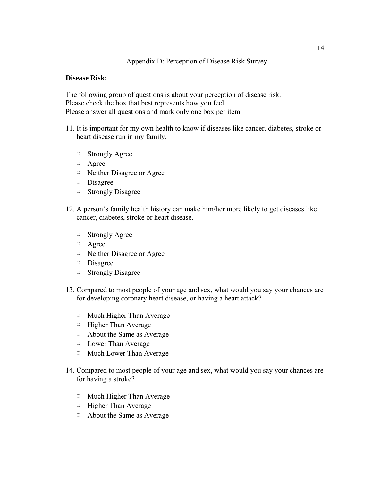### **Disease Risk:**

The following group of questions is about your perception of disease risk. Please check the box that best represents how you feel. Please answer all questions and mark only one box per item.

- 11. It is important for my own health to know if diseases like cancer, diabetes, stroke or heart disease run in my family.
	- ▢ Strongly Agree
	- ▢ Agree
	- ▢ Neither Disagree or Agree
	- ▢ Disagree
	- ▢ Strongly Disagree
- 12. A person's family health history can make him/her more likely to get diseases like cancer, diabetes, stroke or heart disease.
	- ▢ Strongly Agree
	- ▢ Agree
	- ▢ Neither Disagree or Agree
	- ▢ Disagree
	- ▢ Strongly Disagree
- 13. Compared to most people of your age and sex, what would you say your chances are for developing coronary heart disease, or having a heart attack?
	- ▢ Much Higher Than Average
	- ▢ Higher Than Average
	- ▢ About the Same as Average
	- ▢ Lower Than Average
	- ▢ Much Lower Than Average
- 14. Compared to most people of your age and sex, what would you say your chances are for having a stroke?
	- ▢ Much Higher Than Average
	- ▢ Higher Than Average
	- ▢ About the Same as Average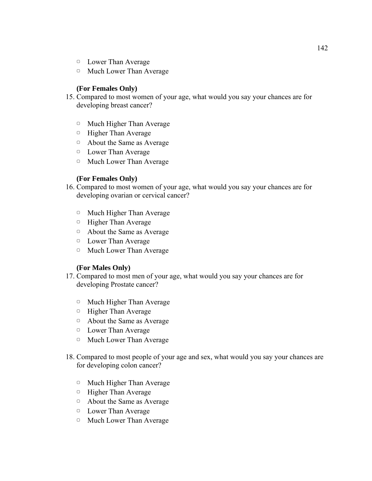- ▢ Lower Than Average
- ▢ Much Lower Than Average

### **(For Females Only)**

- 15. Compared to most women of your age, what would you say your chances are for developing breast cancer?
	- ▢ Much Higher Than Average
	- ▢ Higher Than Average
	- ▢ About the Same as Average
	- ▢ Lower Than Average
	- ▢ Much Lower Than Average

### **(For Females Only)**

- 16. Compared to most women of your age, what would you say your chances are for developing ovarian or cervical cancer?
	- ▢ Much Higher Than Average
	- ▢ Higher Than Average
	- ▢ About the Same as Average
	- ▢ Lower Than Average
	- ▢ Much Lower Than Average

### **(For Males Only)**

- 17. Compared to most men of your age, what would you say your chances are for developing Prostate cancer?
	- ▢ Much Higher Than Average
	- ▢ Higher Than Average
	- ▢ About the Same as Average
	- ▢ Lower Than Average
	- ▢ Much Lower Than Average
- 18. Compared to most people of your age and sex, what would you say your chances are for developing colon cancer?
	- ▢ Much Higher Than Average
	- ▢ Higher Than Average
	- ▢ About the Same as Average
	- ▢ Lower Than Average
	- ▢ Much Lower Than Average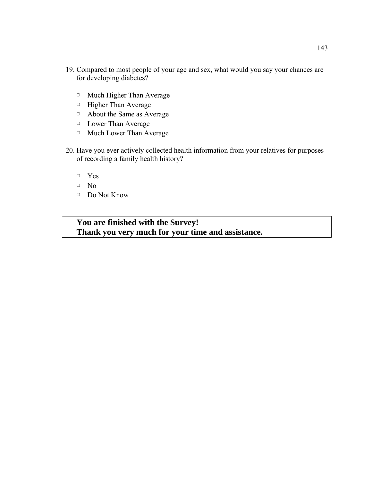- 19. Compared to most people of your age and sex, what would you say your chances are for developing diabetes?
	- ▢ Much Higher Than Average
	- ▢ Higher Than Average
	- ▢ About the Same as Average
	- ▢ Lower Than Average
	- ▢ Much Lower Than Average
- 20. Have you ever actively collected health information from your relatives for purposes of recording a family health history?
	- ▢ Yes
	- ▢ No
	- ▢ Do Not Know

# **You are finished with the Survey! Thank you very much for your time and assistance.**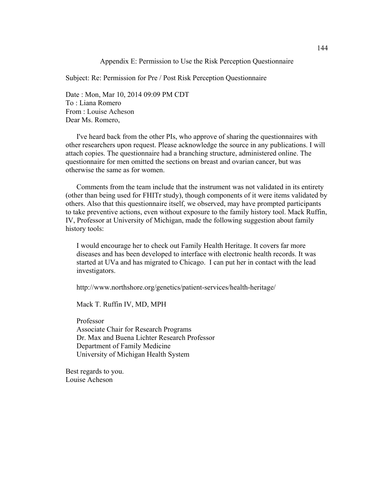Appendix E: Permission to Use the Risk Perception Questionnaire

Subject: Re: Permission for Pre / Post Risk Perception Questionnaire

Date : Mon, Mar 10, 2014 09:09 PM CDT To : Liana Romero From : Louise Acheson Dear Ms. Romero,

I've heard back from the other PIs, who approve of sharing the questionnaires with other researchers upon request. Please acknowledge the source in any publications. I will attach copies. The questionnaire had a branching structure, administered online. The questionnaire for men omitted the sections on breast and ovarian cancer, but was otherwise the same as for women.

Comments from the team include that the instrument was not validated in its entirety (other than being used for FHITr study), though components of it were items validated by others. Also that this questionnaire itself, we observed, may have prompted participants to take preventive actions, even without exposure to the family history tool. Mack Ruffin, IV, Professor at University of Michigan, made the following suggestion about family history tools:

I would encourage her to check out Family Health Heritage. It covers far more diseases and has been developed to interface with electronic health records. It was started at UVa and has migrated to Chicago. I can put her in contact with the lead investigators.

http://www.northshore.org/genetics/patient-services/health-heritage/

Mack T. Ruffin IV, MD, MPH

Professor Associate Chair for Research Programs Dr. Max and Buena Lichter Research Professor Department of Family Medicine University of Michigan Health System

Best regards to you. Louise Acheson